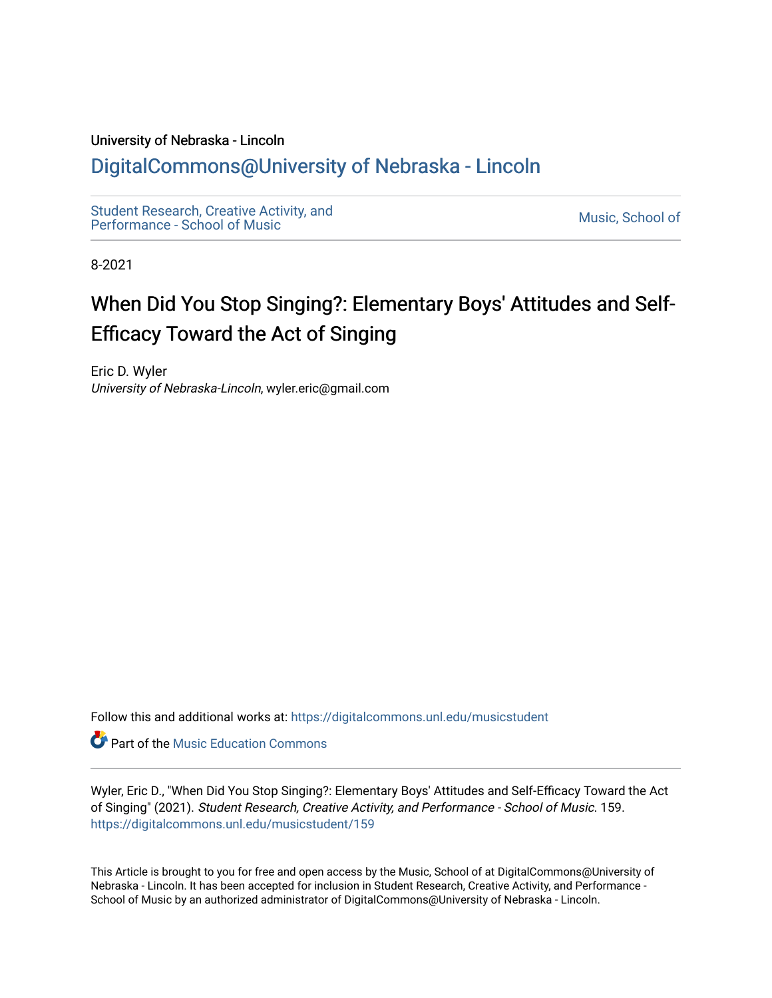## University of Nebraska - Lincoln

## [DigitalCommons@University of Nebraska - Lincoln](https://digitalcommons.unl.edu/)

[Student Research, Creative Activity, and](https://digitalcommons.unl.edu/musicstudent) Student Research, Creative Activity, and<br>Performance - School of Music

8-2021

# When Did You Stop Singing?: Elementary Boys' Attitudes and Self-Efficacy Toward the Act of Singing

Eric D. Wyler University of Nebraska-Lincoln, wyler.eric@gmail.com

Follow this and additional works at: [https://digitalcommons.unl.edu/musicstudent](https://digitalcommons.unl.edu/musicstudent?utm_source=digitalcommons.unl.edu%2Fmusicstudent%2F159&utm_medium=PDF&utm_campaign=PDFCoverPages)

**Part of the Music Education Commons** 

Wyler, Eric D., "When Did You Stop Singing?: Elementary Boys' Attitudes and Self-Efficacy Toward the Act of Singing" (2021). Student Research, Creative Activity, and Performance - School of Music. 159. [https://digitalcommons.unl.edu/musicstudent/159](https://digitalcommons.unl.edu/musicstudent/159?utm_source=digitalcommons.unl.edu%2Fmusicstudent%2F159&utm_medium=PDF&utm_campaign=PDFCoverPages)

This Article is brought to you for free and open access by the Music, School of at DigitalCommons@University of Nebraska - Lincoln. It has been accepted for inclusion in Student Research, Creative Activity, and Performance - School of Music by an authorized administrator of DigitalCommons@University of Nebraska - Lincoln.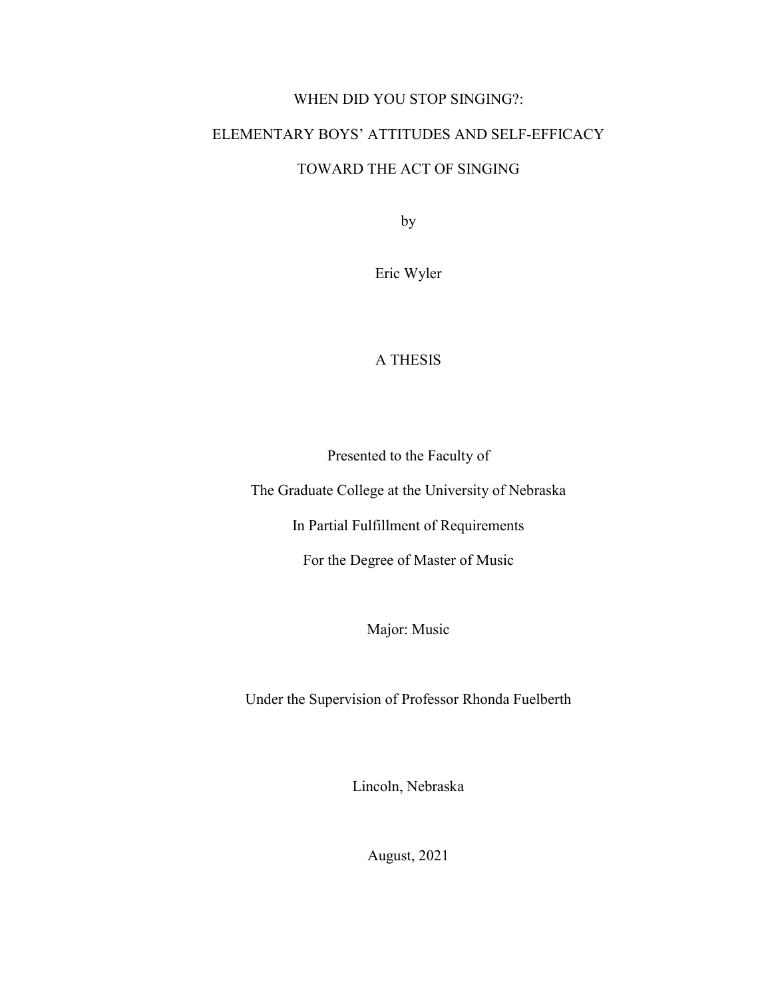## WHEN DID YOU STOP SINGING?:

## ELEMENTARY BOYS' ATTITUDES AND SELF-EFFICACY

## TOWARD THE ACT OF SINGING

by

Eric Wyler

## A THESIS

Presented to the Faculty of

The Graduate College at the University of Nebraska

In Partial Fulfillment of Requirements

For the Degree of Master of Music

Major: Music

Under the Supervision of Professor Rhonda Fuelberth

Lincoln, Nebraska

August, 2021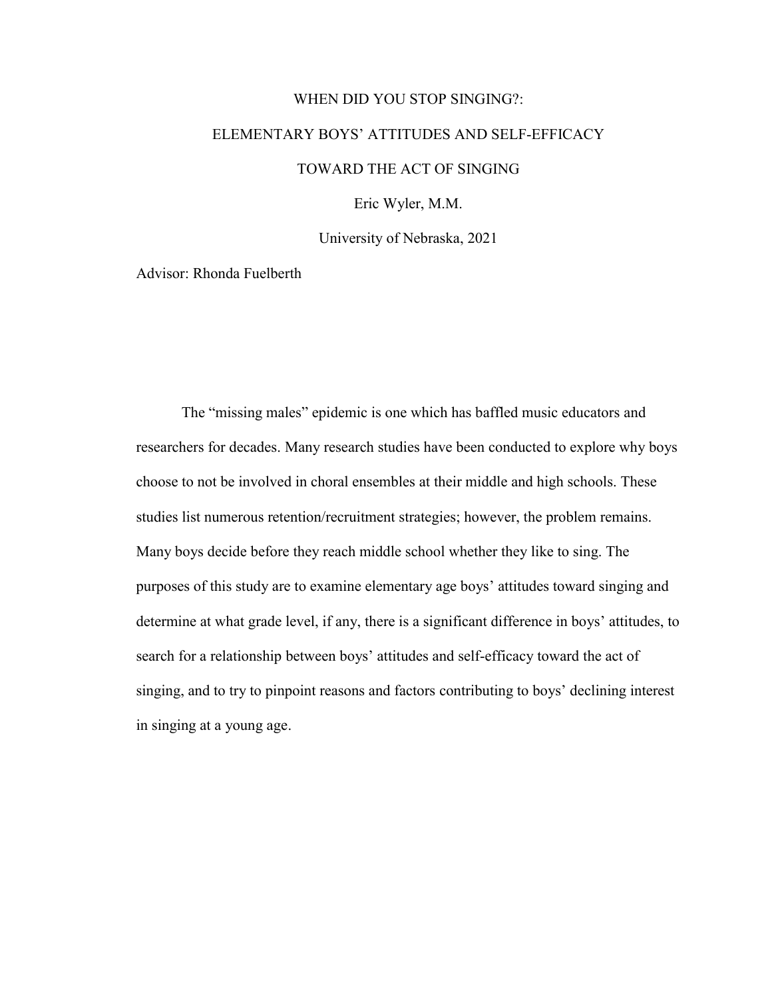# WHEN DID YOU STOP SINGING?: ELEMENTARY BOYS' ATTITUDES AND SELF-EFFICACY TOWARD THE ACT OF SINGING Eric Wyler, M.M.

University of Nebraska, 2021

Advisor: Rhonda Fuelberth

The "missing males" epidemic is one which has baffled music educators and researchers for decades. Many research studies have been conducted to explore why boys choose to not be involved in choral ensembles at their middle and high schools. These studies list numerous retention/recruitment strategies; however, the problem remains. Many boys decide before they reach middle school whether they like to sing. The purposes of this study are to examine elementary age boys' attitudes toward singing and determine at what grade level, if any, there is a significant difference in boys' attitudes, to search for a relationship between boys' attitudes and self-efficacy toward the act of singing, and to try to pinpoint reasons and factors contributing to boys' declining interest in singing at a young age.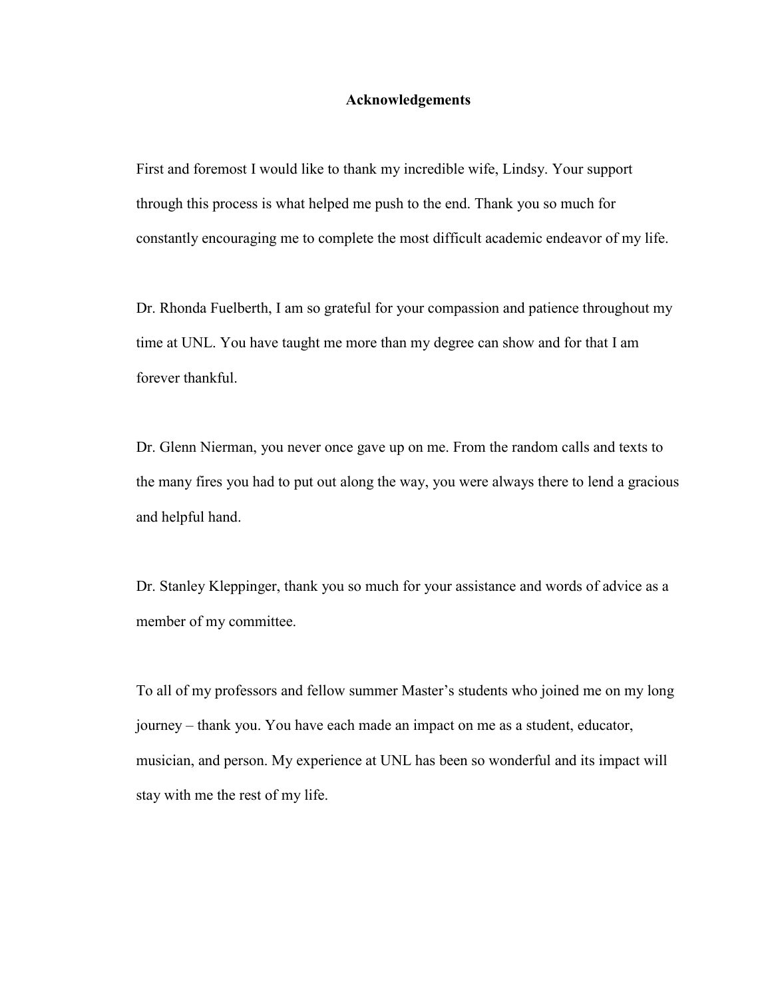## **Acknowledgements**

First and foremost I would like to thank my incredible wife, Lindsy. Your support through this process is what helped me push to the end. Thank you so much for constantly encouraging me to complete the most difficult academic endeavor of my life.

Dr. Rhonda Fuelberth, I am so grateful for your compassion and patience throughout my time at UNL. You have taught me more than my degree can show and for that I am forever thankful.

Dr. Glenn Nierman, you never once gave up on me. From the random calls and texts to the many fires you had to put out along the way, you were always there to lend a gracious and helpful hand.

Dr. Stanley Kleppinger, thank you so much for your assistance and words of advice as a member of my committee.

To all of my professors and fellow summer Master's students who joined me on my long journey – thank you. You have each made an impact on me as a student, educator, musician, and person. My experience at UNL has been so wonderful and its impact will stay with me the rest of my life.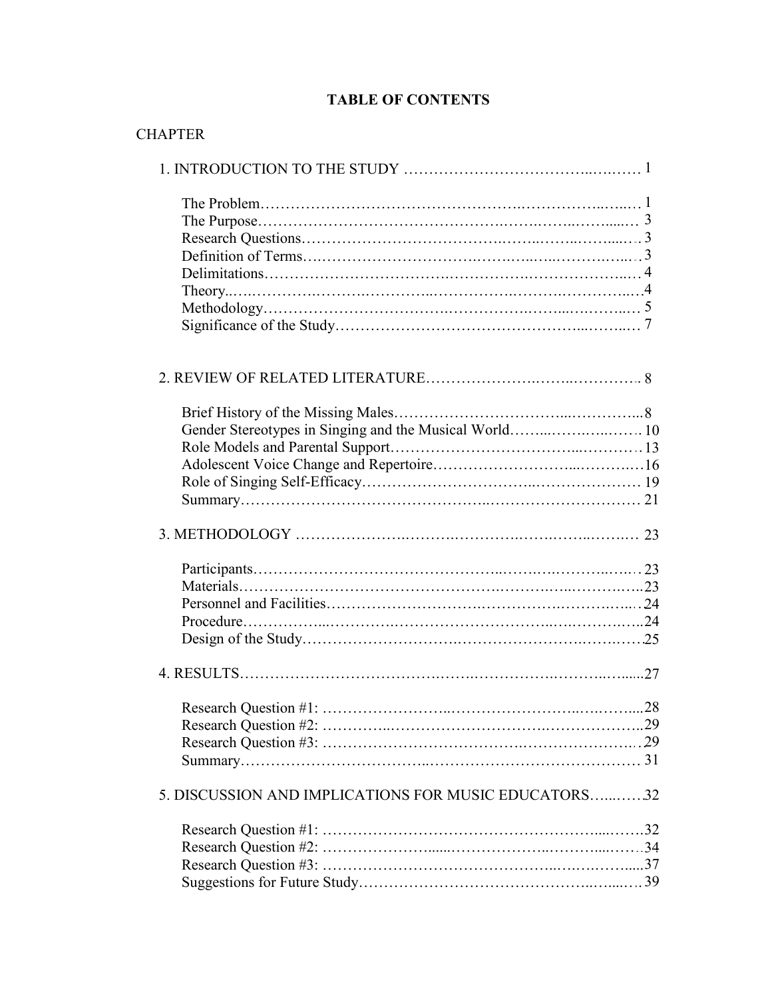## **TABLE OF CONTENTS**

| <b>CHAPTER</b>                                         |  |
|--------------------------------------------------------|--|
|                                                        |  |
|                                                        |  |
|                                                        |  |
|                                                        |  |
|                                                        |  |
|                                                        |  |
|                                                        |  |
|                                                        |  |
|                                                        |  |
|                                                        |  |
|                                                        |  |
|                                                        |  |
| Gender Stereotypes in Singing and the Musical World 10 |  |
|                                                        |  |
|                                                        |  |
|                                                        |  |
|                                                        |  |
|                                                        |  |
|                                                        |  |
|                                                        |  |
|                                                        |  |
|                                                        |  |
|                                                        |  |
|                                                        |  |
|                                                        |  |
|                                                        |  |
|                                                        |  |
|                                                        |  |
| 5. DISCUSSION AND IMPLICATIONS FOR MUSIC EDUCATORS32   |  |
|                                                        |  |
|                                                        |  |
|                                                        |  |
|                                                        |  |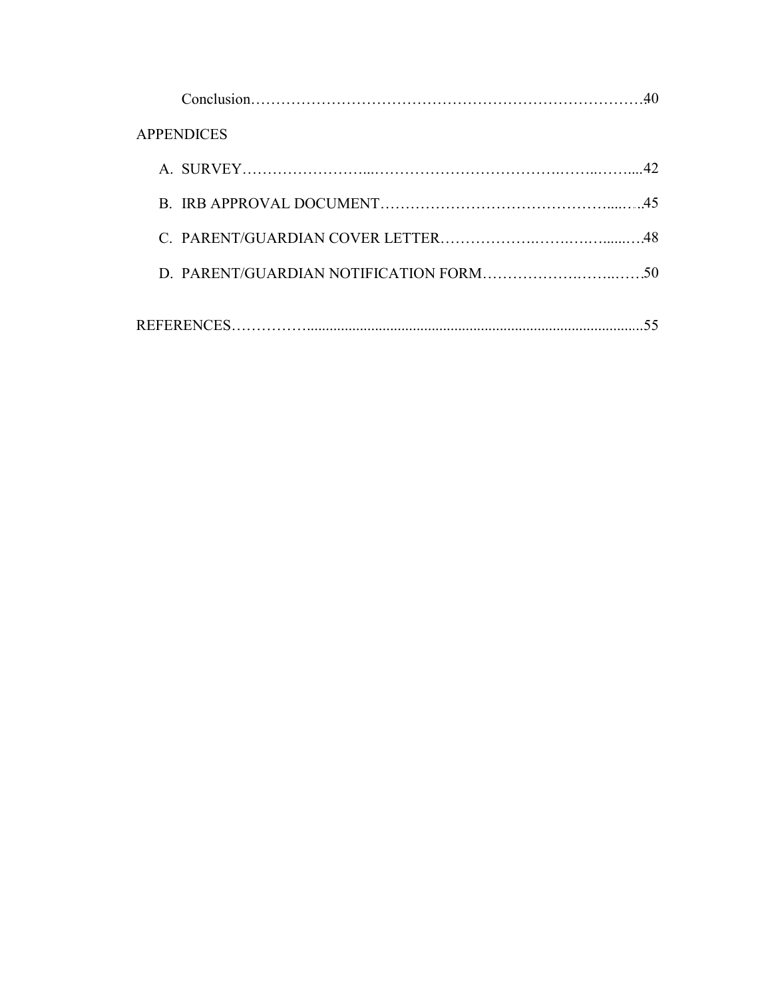| <b>APPENDICES</b> |  |
|-------------------|--|
|                   |  |
|                   |  |
|                   |  |
|                   |  |
|                   |  |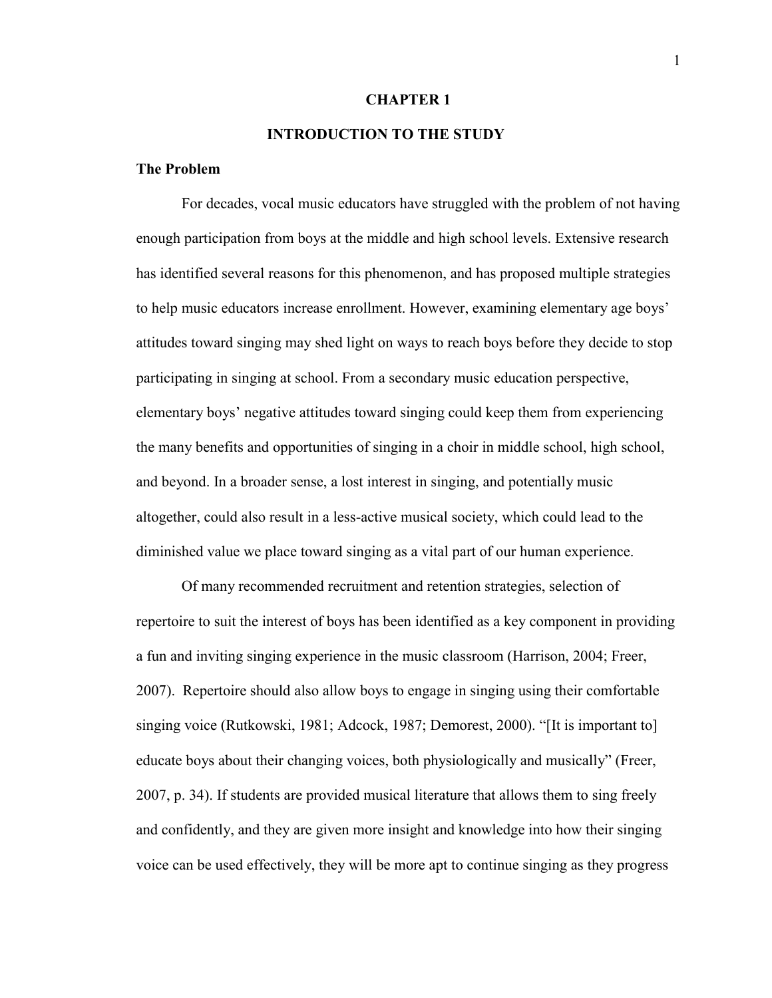#### **CHAPTER 1**

## **INTRODUCTION TO THE STUDY**

## **The Problem**

For decades, vocal music educators have struggled with the problem of not having enough participation from boys at the middle and high school levels. Extensive research has identified several reasons for this phenomenon, and has proposed multiple strategies to help music educators increase enrollment. However, examining elementary age boys' attitudes toward singing may shed light on ways to reach boys before they decide to stop participating in singing at school. From a secondary music education perspective, elementary boys' negative attitudes toward singing could keep them from experiencing the many benefits and opportunities of singing in a choir in middle school, high school, and beyond. In a broader sense, a lost interest in singing, and potentially music altogether, could also result in a less-active musical society, which could lead to the diminished value we place toward singing as a vital part of our human experience.

Of many recommended recruitment and retention strategies, selection of repertoire to suit the interest of boys has been identified as a key component in providing a fun and inviting singing experience in the music classroom (Harrison, 2004; Freer, 2007). Repertoire should also allow boys to engage in singing using their comfortable singing voice (Rutkowski, 1981; Adcock, 1987; Demorest, 2000). "[It is important to] educate boys about their changing voices, both physiologically and musically" (Freer, 2007, p. 34). If students are provided musical literature that allows them to sing freely and confidently, and they are given more insight and knowledge into how their singing voice can be used effectively, they will be more apt to continue singing as they progress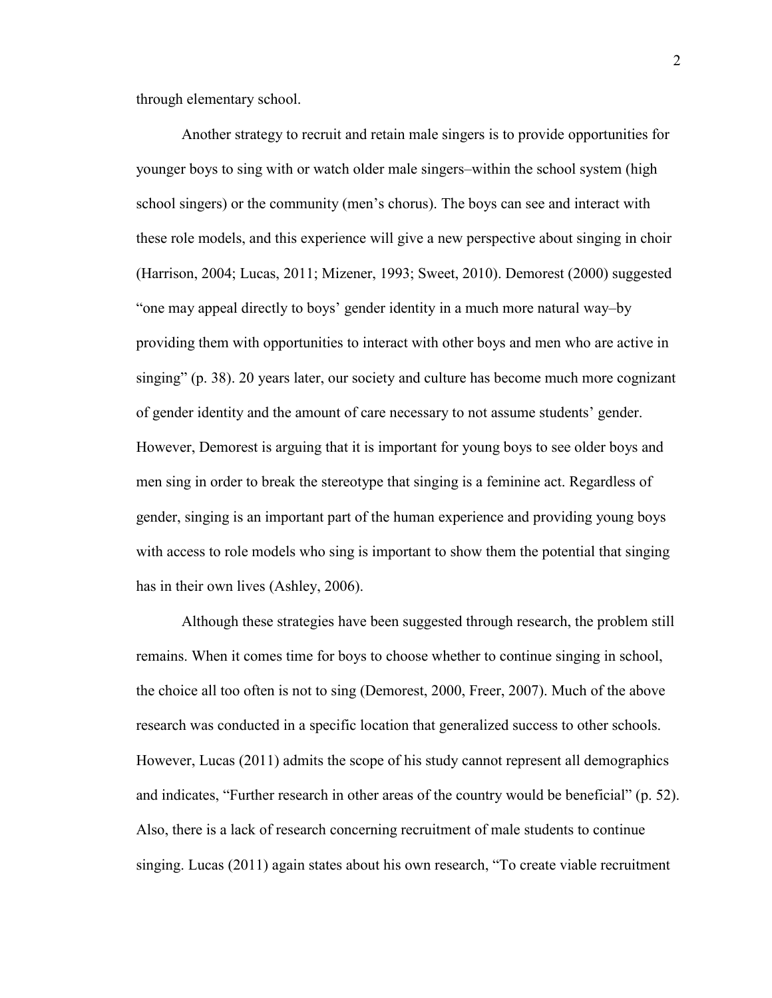through elementary school.

Another strategy to recruit and retain male singers is to provide opportunities for younger boys to sing with or watch older male singers–within the school system (high school singers) or the community (men's chorus). The boys can see and interact with these role models, and this experience will give a new perspective about singing in choir (Harrison, 2004; Lucas, 2011; Mizener, 1993; Sweet, 2010). Demorest (2000) suggested "one may appeal directly to boys' gender identity in a much more natural way–by providing them with opportunities to interact with other boys and men who are active in singing" (p. 38). 20 years later, our society and culture has become much more cognizant of gender identity and the amount of care necessary to not assume students' gender. However, Demorest is arguing that it is important for young boys to see older boys and men sing in order to break the stereotype that singing is a feminine act. Regardless of gender, singing is an important part of the human experience and providing young boys with access to role models who sing is important to show them the potential that singing has in their own lives (Ashley, 2006).

Although these strategies have been suggested through research, the problem still remains. When it comes time for boys to choose whether to continue singing in school, the choice all too often is not to sing (Demorest, 2000, Freer, 2007). Much of the above research was conducted in a specific location that generalized success to other schools. However, Lucas (2011) admits the scope of his study cannot represent all demographics and indicates, "Further research in other areas of the country would be beneficial" (p. 52). Also, there is a lack of research concerning recruitment of male students to continue singing. Lucas (2011) again states about his own research, "To create viable recruitment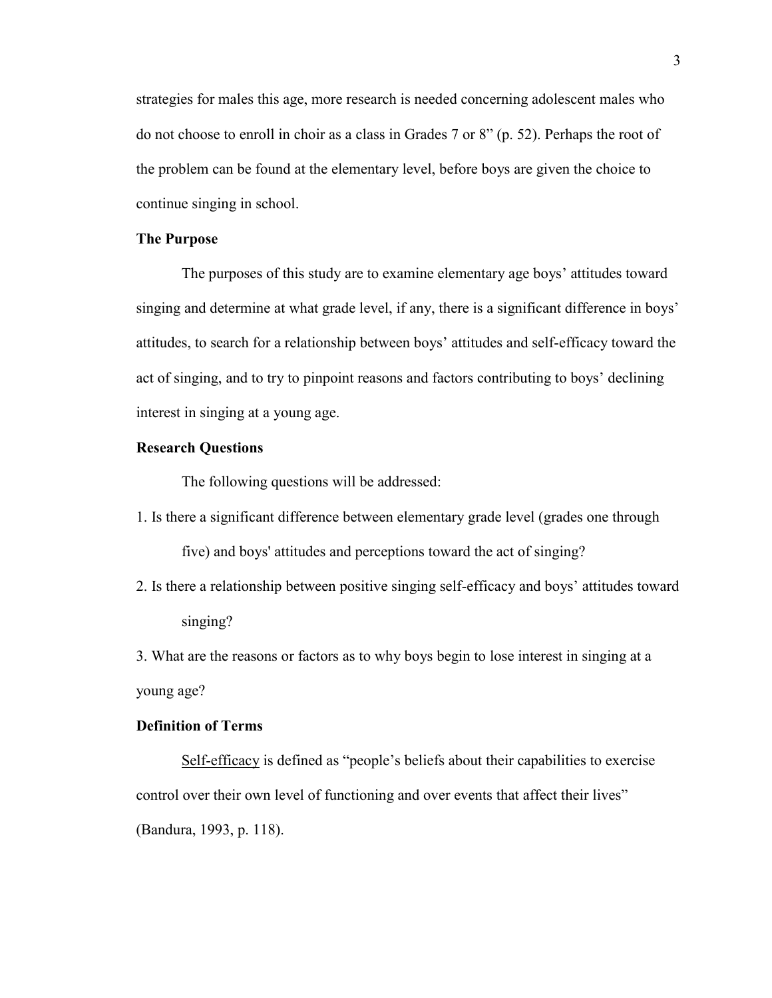strategies for males this age, more research is needed concerning adolescent males who do not choose to enroll in choir as a class in Grades 7 or 8" (p. 52). Perhaps the root of the problem can be found at the elementary level, before boys are given the choice to continue singing in school.

## **The Purpose**

The purposes of this study are to examine elementary age boys' attitudes toward singing and determine at what grade level, if any, there is a significant difference in boys' attitudes, to search for a relationship between boys' attitudes and self-efficacy toward the act of singing, and to try to pinpoint reasons and factors contributing to boys' declining interest in singing at a young age.

## **Research Questions**

The following questions will be addressed:

- 1. Is there a significant difference between elementary grade level (grades one through five) and boys' attitudes and perceptions toward the act of singing?
- 2. Is there a relationship between positive singing self-efficacy and boys' attitudes toward singing?

3. What are the reasons or factors as to why boys begin to lose interest in singing at a young age?

## **Definition of Terms**

Self-efficacy is defined as "people's beliefs about their capabilities to exercise control over their own level of functioning and over events that affect their lives" (Bandura, 1993, p. 118).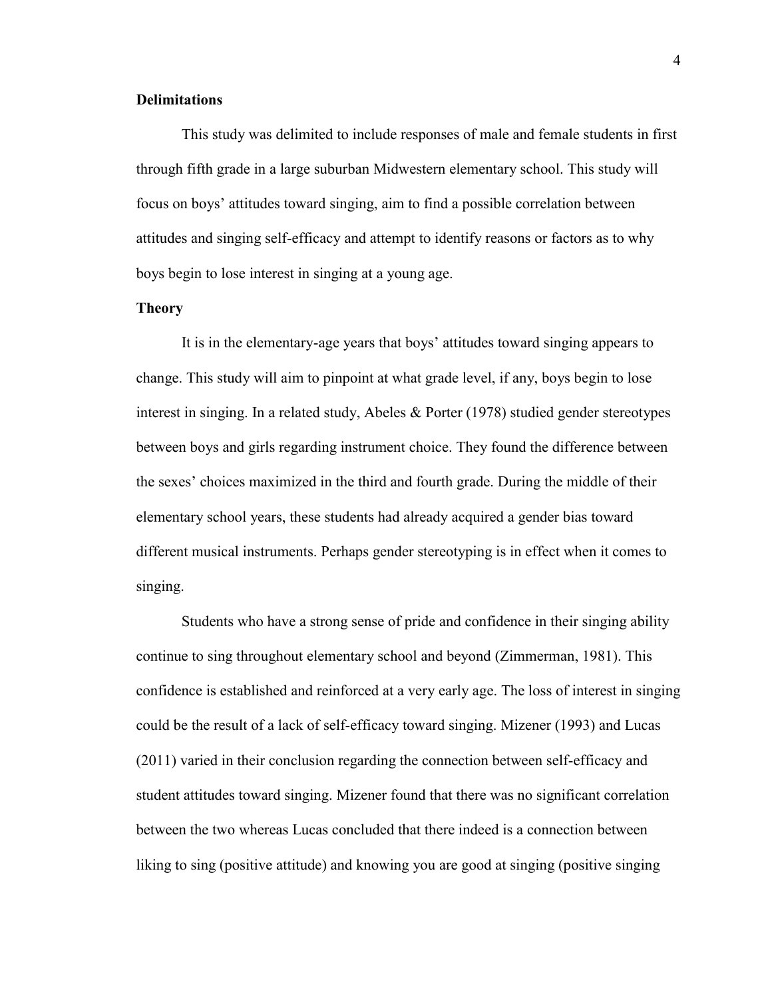## **Delimitations**

This study was delimited to include responses of male and female students in first through fifth grade in a large suburban Midwestern elementary school. This study will focus on boys' attitudes toward singing, aim to find a possible correlation between attitudes and singing self-efficacy and attempt to identify reasons or factors as to why boys begin to lose interest in singing at a young age.

### **Theory**

It is in the elementary-age years that boys' attitudes toward singing appears to change. This study will aim to pinpoint at what grade level, if any, boys begin to lose interest in singing. In a related study, Abeles & Porter (1978) studied gender stereotypes between boys and girls regarding instrument choice. They found the difference between the sexes' choices maximized in the third and fourth grade. During the middle of their elementary school years, these students had already acquired a gender bias toward different musical instruments. Perhaps gender stereotyping is in effect when it comes to singing.

Students who have a strong sense of pride and confidence in their singing ability continue to sing throughout elementary school and beyond (Zimmerman, 1981). This confidence is established and reinforced at a very early age. The loss of interest in singing could be the result of a lack of self-efficacy toward singing. Mizener (1993) and Lucas (2011) varied in their conclusion regarding the connection between self-efficacy and student attitudes toward singing. Mizener found that there was no significant correlation between the two whereas Lucas concluded that there indeed is a connection between liking to sing (positive attitude) and knowing you are good at singing (positive singing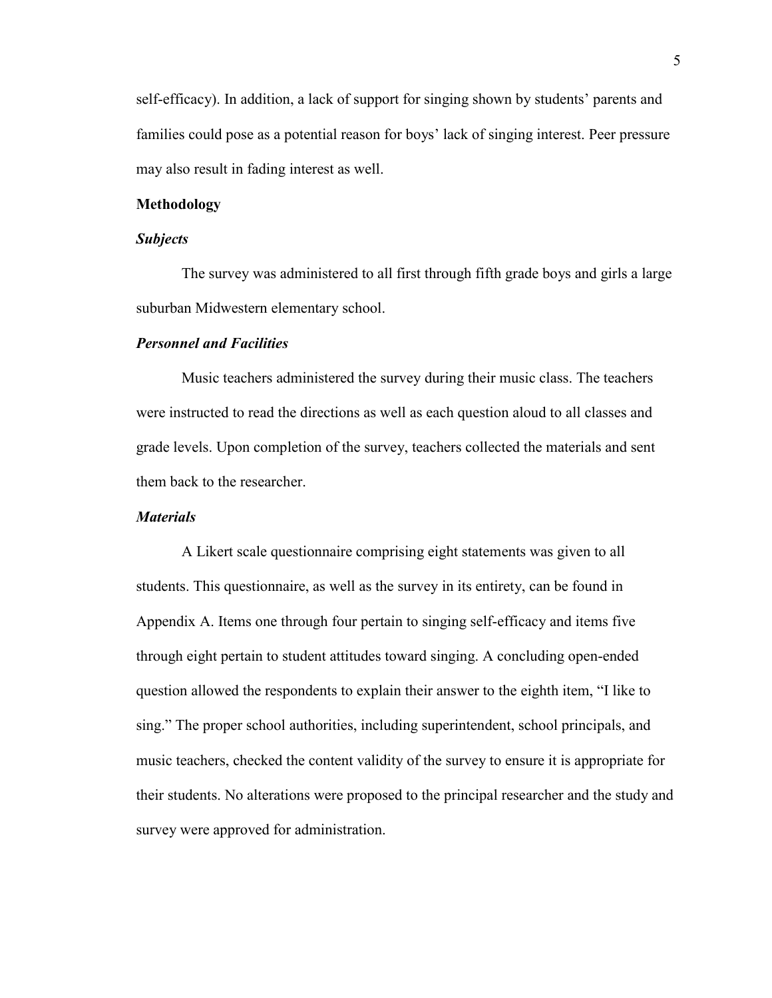self-efficacy). In addition, a lack of support for singing shown by students' parents and families could pose as a potential reason for boys' lack of singing interest. Peer pressure may also result in fading interest as well.

## **Methodology**

#### *Subjects*

The survey was administered to all first through fifth grade boys and girls a large suburban Midwestern elementary school.

#### *Personnel and Facilities*

Music teachers administered the survey during their music class. The teachers were instructed to read the directions as well as each question aloud to all classes and grade levels. Upon completion of the survey, teachers collected the materials and sent them back to the researcher.

## *Materials*

A Likert scale questionnaire comprising eight statements was given to all students. This questionnaire, as well as the survey in its entirety, can be found in Appendix A. Items one through four pertain to singing self-efficacy and items five through eight pertain to student attitudes toward singing. A concluding open-ended question allowed the respondents to explain their answer to the eighth item, "I like to sing." The proper school authorities, including superintendent, school principals, and music teachers, checked the content validity of the survey to ensure it is appropriate for their students. No alterations were proposed to the principal researcher and the study and survey were approved for administration.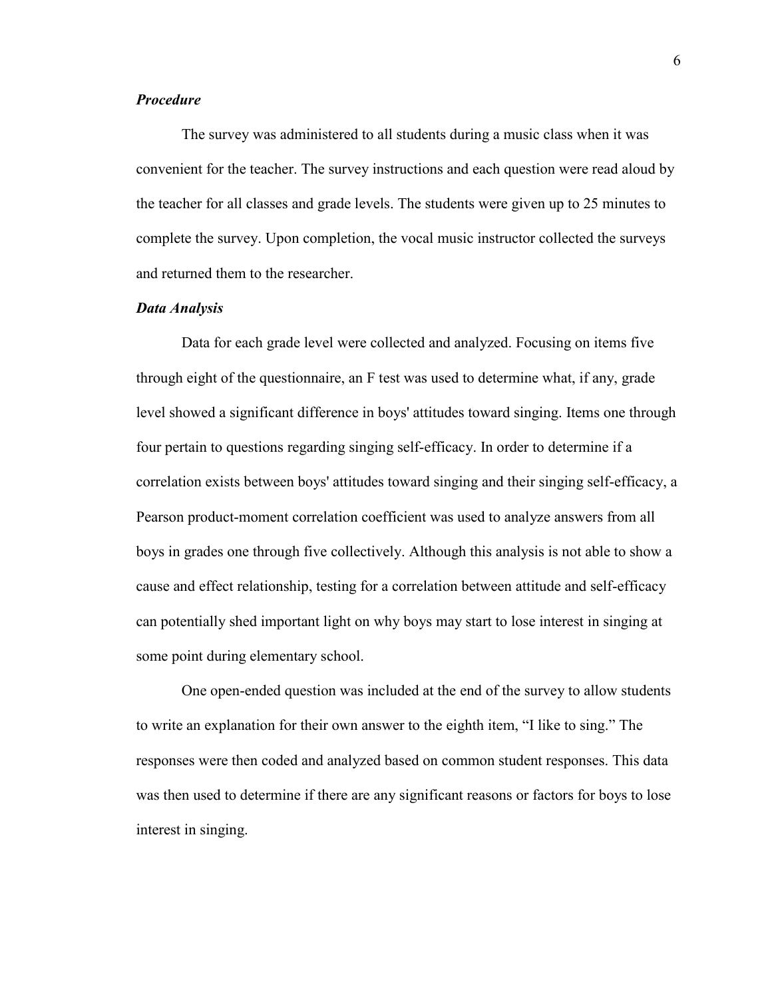## *Procedure*

The survey was administered to all students during a music class when it was convenient for the teacher. The survey instructions and each question were read aloud by the teacher for all classes and grade levels. The students were given up to 25 minutes to complete the survey. Upon completion, the vocal music instructor collected the surveys and returned them to the researcher.

#### *Data Analysis*

Data for each grade level were collected and analyzed. Focusing on items five through eight of the questionnaire, an F test was used to determine what, if any, grade level showed a significant difference in boys' attitudes toward singing. Items one through four pertain to questions regarding singing self-efficacy. In order to determine if a correlation exists between boys' attitudes toward singing and their singing self-efficacy, a Pearson product-moment correlation coefficient was used to analyze answers from all boys in grades one through five collectively. Although this analysis is not able to show a cause and effect relationship, testing for a correlation between attitude and self-efficacy can potentially shed important light on why boys may start to lose interest in singing at some point during elementary school.

One open-ended question was included at the end of the survey to allow students to write an explanation for their own answer to the eighth item, "I like to sing." The responses were then coded and analyzed based on common student responses. This data was then used to determine if there are any significant reasons or factors for boys to lose interest in singing.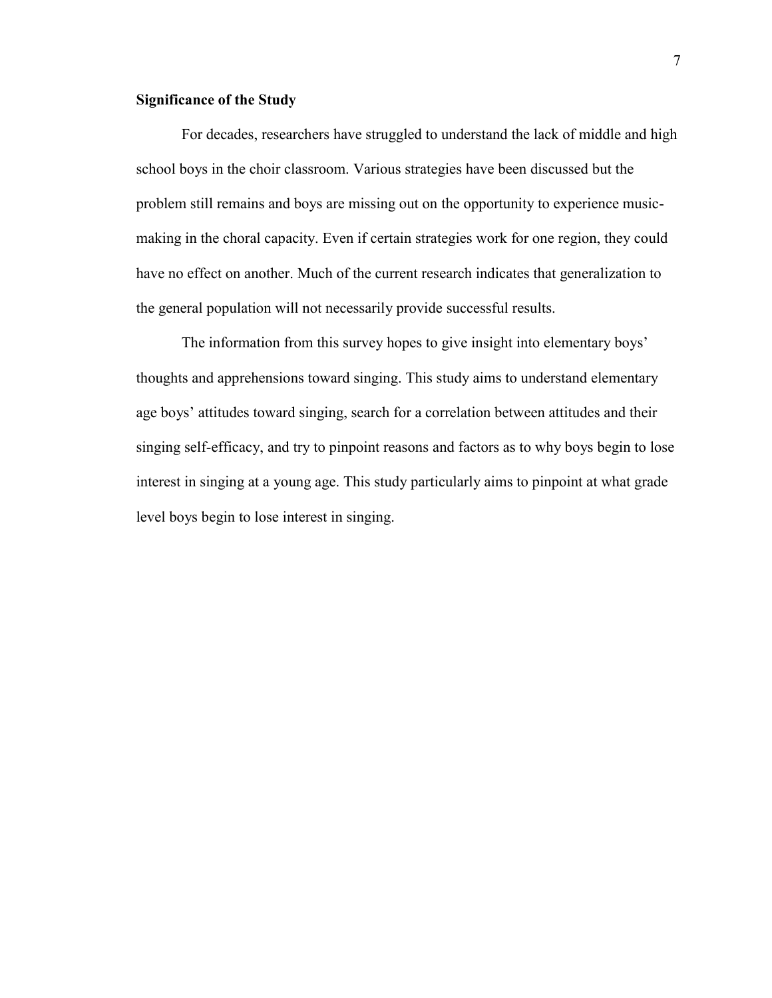## **Significance of the Study**

For decades, researchers have struggled to understand the lack of middle and high school boys in the choir classroom. Various strategies have been discussed but the problem still remains and boys are missing out on the opportunity to experience musicmaking in the choral capacity. Even if certain strategies work for one region, they could have no effect on another. Much of the current research indicates that generalization to the general population will not necessarily provide successful results.

The information from this survey hopes to give insight into elementary boys' thoughts and apprehensions toward singing. This study aims to understand elementary age boys' attitudes toward singing, search for a correlation between attitudes and their singing self-efficacy, and try to pinpoint reasons and factors as to why boys begin to lose interest in singing at a young age. This study particularly aims to pinpoint at what grade level boys begin to lose interest in singing.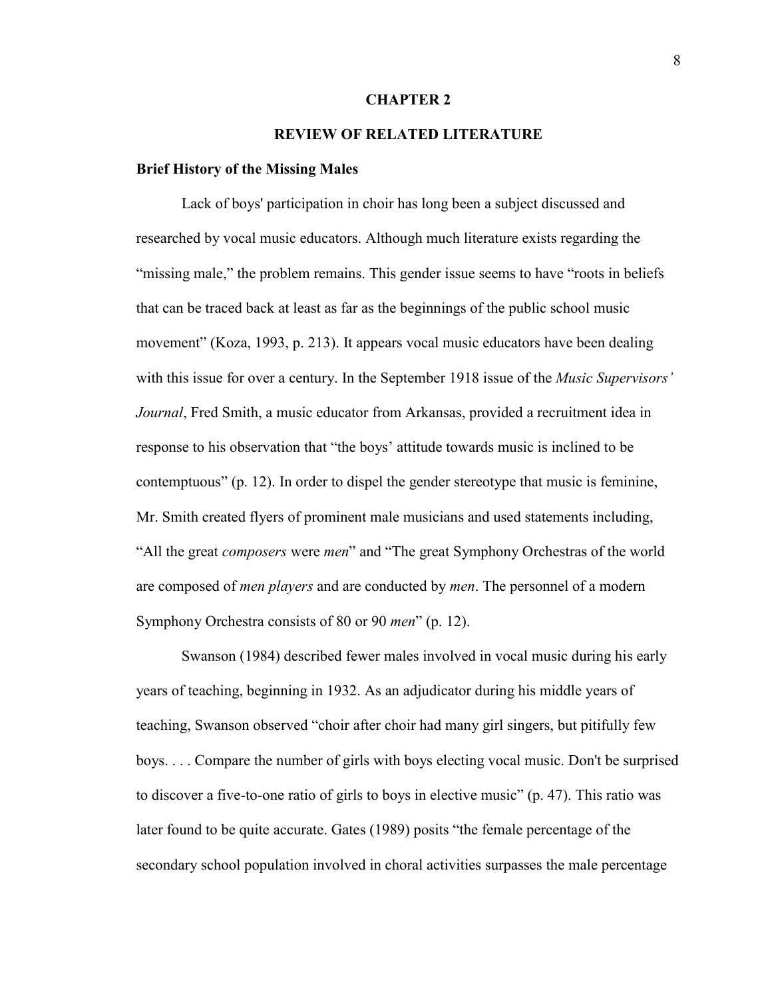#### **CHAPTER 2**

## **REVIEW OF RELATED LITERATURE**

#### **Brief History of the Missing Males**

Lack of boys' participation in choir has long been a subject discussed and researched by vocal music educators. Although much literature exists regarding the "missing male," the problem remains. This gender issue seems to have "roots in beliefs" that can be traced back at least as far as the beginnings of the public school music movement" (Koza, 1993, p. 213). It appears vocal music educators have been dealing with this issue for over a century. In the September 1918 issue of the *Music Supervisors' Journal*, Fred Smith, a music educator from Arkansas, provided a recruitment idea in response to his observation that "the boys' attitude towards music is inclined to be contemptuous" (p. 12). In order to dispel the gender stereotype that music is feminine, Mr. Smith created flyers of prominent male musicians and used statements including, "All the great *composers* were *men*" and "The great Symphony Orchestras of the world are composed of *men players* and are conducted by *men*. The personnel of a modern Symphony Orchestra consists of 80 or 90 *men*" (p. 12).

Swanson (1984) described fewer males involved in vocal music during his early years of teaching, beginning in 1932. As an adjudicator during his middle years of teaching, Swanson observed "choir after choir had many girl singers, but pitifully few boys. . . . Compare the number of girls with boys electing vocal music. Don't be surprised to discover a five-to-one ratio of girls to boys in elective music" (p. 47). This ratio was later found to be quite accurate. Gates (1989) posits "the female percentage of the secondary school population involved in choral activities surpasses the male percentage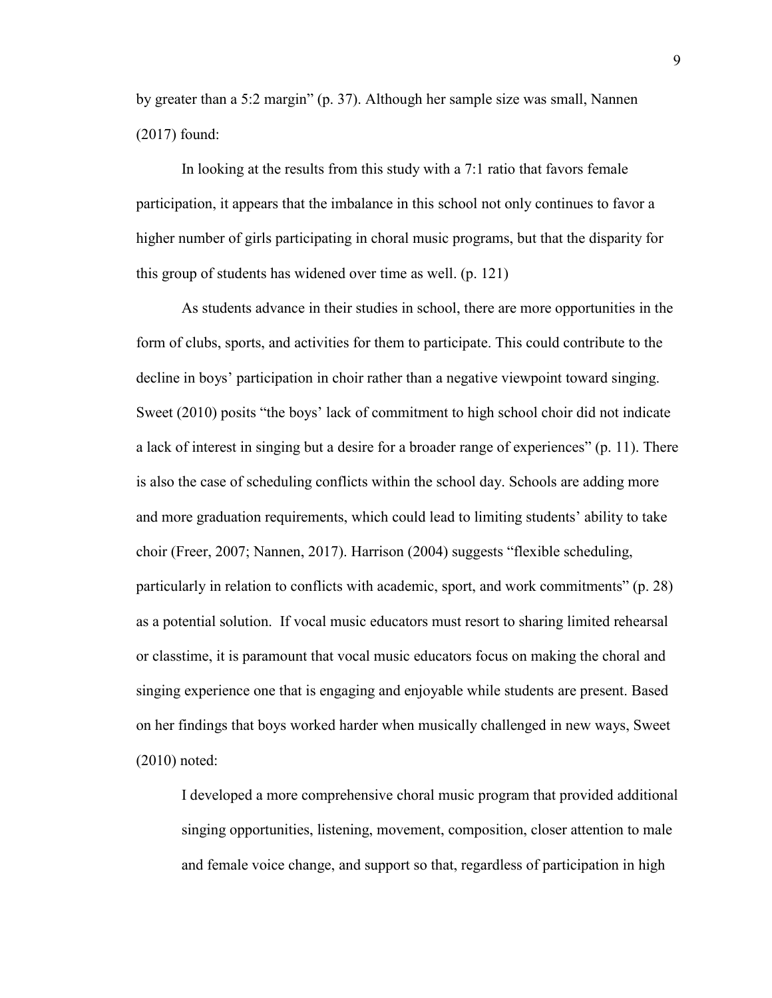by greater than a 5:2 margin" (p. 37). Although her sample size was small, Nannen (2017) found:

In looking at the results from this study with a 7:1 ratio that favors female participation, it appears that the imbalance in this school not only continues to favor a higher number of girls participating in choral music programs, but that the disparity for this group of students has widened over time as well. (p. 121)

As students advance in their studies in school, there are more opportunities in the form of clubs, sports, and activities for them to participate. This could contribute to the decline in boys' participation in choir rather than a negative viewpoint toward singing. Sweet (2010) posits "the boys' lack of commitment to high school choir did not indicate a lack of interest in singing but a desire for a broader range of experiences" (p. 11). There is also the case of scheduling conflicts within the school day. Schools are adding more and more graduation requirements, which could lead to limiting students' ability to take choir (Freer, 2007; Nannen, 2017). Harrison (2004) suggests "flexible scheduling, particularly in relation to conflicts with academic, sport, and work commitments" (p. 28) as a potential solution. If vocal music educators must resort to sharing limited rehearsal or classtime, it is paramount that vocal music educators focus on making the choral and singing experience one that is engaging and enjoyable while students are present. Based on her findings that boys worked harder when musically challenged in new ways, Sweet (2010) noted:

I developed a more comprehensive choral music program that provided additional singing opportunities, listening, movement, composition, closer attention to male and female voice change, and support so that, regardless of participation in high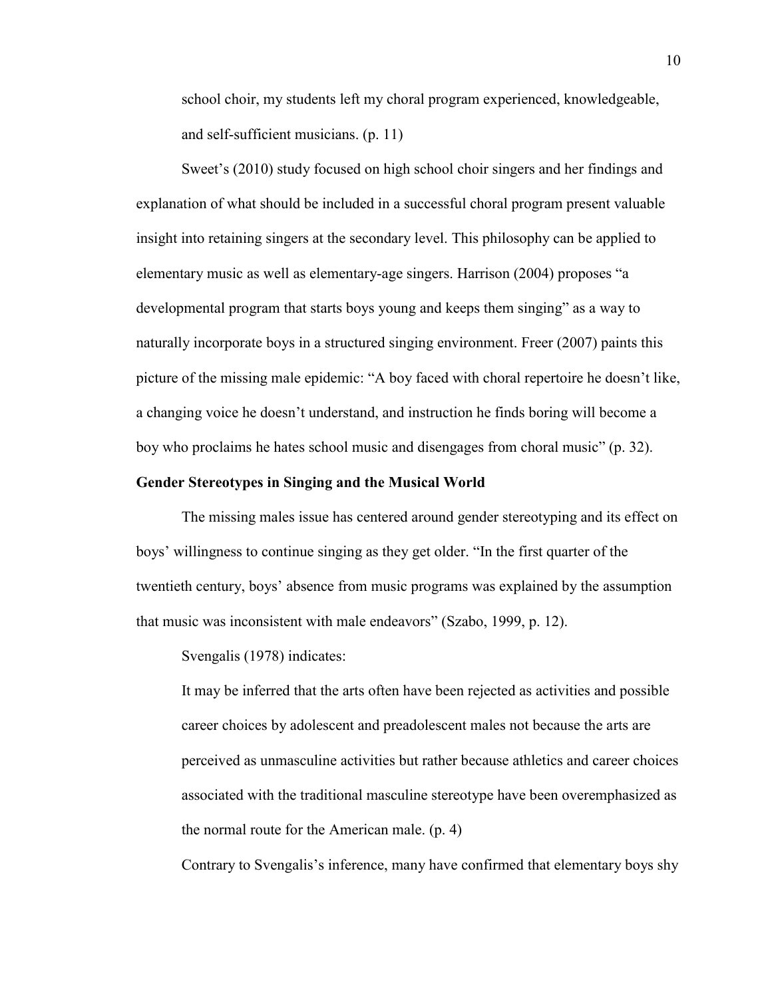school choir, my students left my choral program experienced, knowledgeable, and self-sufficient musicians. (p. 11)

Sweet's (2010) study focused on high school choir singers and her findings and explanation of what should be included in a successful choral program present valuable insight into retaining singers at the secondary level. This philosophy can be applied to elementary music as well as elementary-age singers. Harrison (2004) proposes "a developmental program that starts boys young and keeps them singing" as a way to naturally incorporate boys in a structured singing environment. Freer (2007) paints this picture of the missing male epidemic: "A boy faced with choral repertoire he doesn't like, a changing voice he doesn't understand, and instruction he finds boring will become a boy who proclaims he hates school music and disengages from choral music" (p. 32).

#### **Gender Stereotypes in Singing and the Musical World**

The missing males issue has centered around gender stereotyping and its effect on boys' willingness to continue singing as they get older. "In the first quarter of the twentieth century, boys' absence from music programs was explained by the assumption that music was inconsistent with male endeavors" (Szabo, 1999, p. 12).

Svengalis (1978) indicates:

It may be inferred that the arts often have been rejected as activities and possible career choices by adolescent and preadolescent males not because the arts are perceived as unmasculine activities but rather because athletics and career choices associated with the traditional masculine stereotype have been overemphasized as the normal route for the American male. (p. 4)

Contrary to Svengalis's inference, many have confirmed that elementary boys shy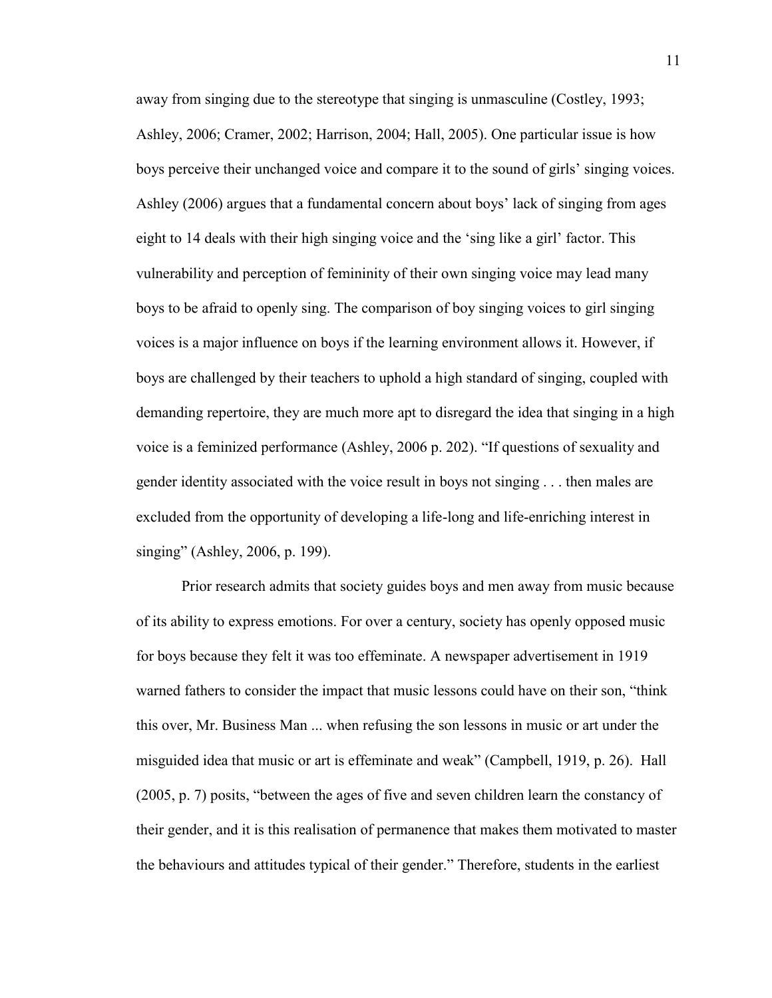away from singing due to the stereotype that singing is unmasculine (Costley, 1993; Ashley, 2006; Cramer, 2002; Harrison, 2004; Hall, 2005). One particular issue is how boys perceive their unchanged voice and compare it to the sound of girls' singing voices. Ashley (2006) argues that a fundamental concern about boys' lack of singing from ages eight to 14 deals with their high singing voice and the 'sing like a girl' factor. This vulnerability and perception of femininity of their own singing voice may lead many boys to be afraid to openly sing. The comparison of boy singing voices to girl singing voices is a major influence on boys if the learning environment allows it. However, if boys are challenged by their teachers to uphold a high standard of singing, coupled with demanding repertoire, they are much more apt to disregard the idea that singing in a high voice is a feminized performance (Ashley, 2006 p. 202). "If questions of sexuality and gender identity associated with the voice result in boys not singing . . . then males are excluded from the opportunity of developing a life-long and life-enriching interest in singing" (Ashley, 2006, p. 199).

Prior research admits that society guides boys and men away from music because of its ability to express emotions. For over a century, society has openly opposed music for boys because they felt it was too effeminate. A newspaper advertisement in 1919 warned fathers to consider the impact that music lessons could have on their son, "think this over, Mr. Business Man ... when refusing the son lessons in music or art under the misguided idea that music or art is effeminate and weak" (Campbell, 1919, p. 26). Hall (2005, p. 7) posits, "between the ages of five and seven children learn the constancy of their gender, and it is this realisation of permanence that makes them motivated to master the behaviours and attitudes typical of their gender." Therefore, students in the earliest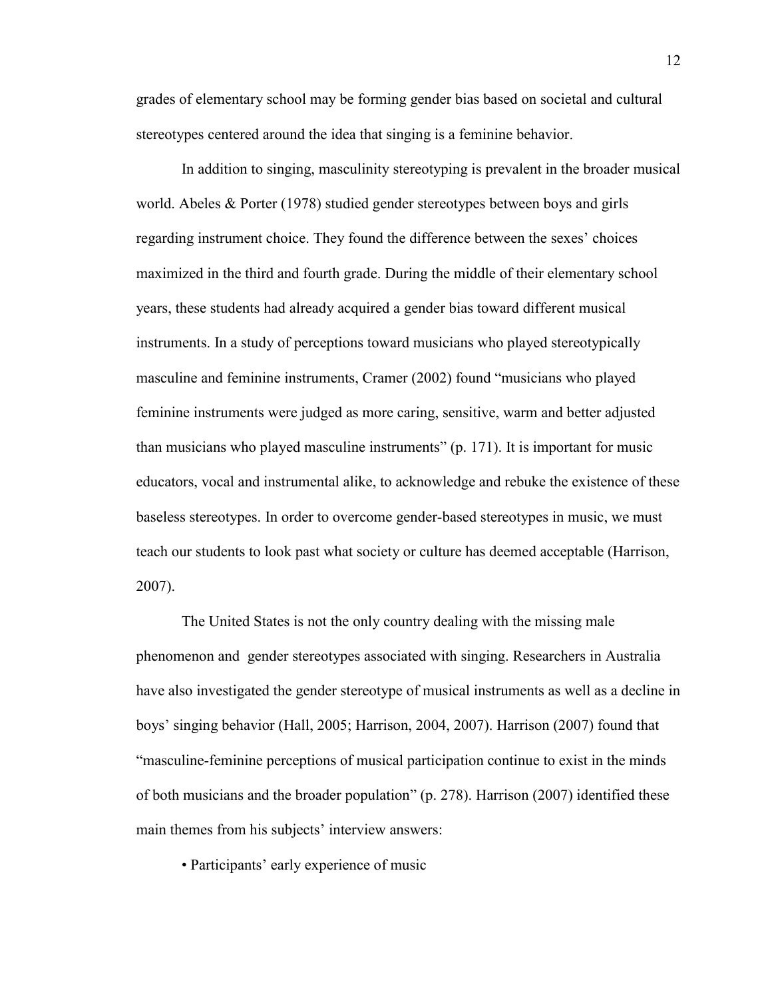grades of elementary school may be forming gender bias based on societal and cultural stereotypes centered around the idea that singing is a feminine behavior.

In addition to singing, masculinity stereotyping is prevalent in the broader musical world. Abeles  $\&$  Porter (1978) studied gender stereotypes between boys and girls regarding instrument choice. They found the difference between the sexes' choices maximized in the third and fourth grade. During the middle of their elementary school years, these students had already acquired a gender bias toward different musical instruments. In a study of perceptions toward musicians who played stereotypically masculine and feminine instruments, Cramer (2002) found "musicians who played feminine instruments were judged as more caring, sensitive, warm and better adjusted than musicians who played masculine instruments" (p. 171). It is important for music educators, vocal and instrumental alike, to acknowledge and rebuke the existence of these baseless stereotypes. In order to overcome gender-based stereotypes in music, we must teach our students to look past what society or culture has deemed acceptable (Harrison, 2007).

The United States is not the only country dealing with the missing male phenomenon and gender stereotypes associated with singing. Researchers in Australia have also investigated the gender stereotype of musical instruments as well as a decline in boys' singing behavior (Hall, 2005; Harrison, 2004, 2007). Harrison (2007) found that "masculine-feminine perceptions of musical participation continue to exist in the minds of both musicians and the broader population" (p. 278). Harrison (2007) identified these main themes from his subjects' interview answers:

• Participants' early experience of music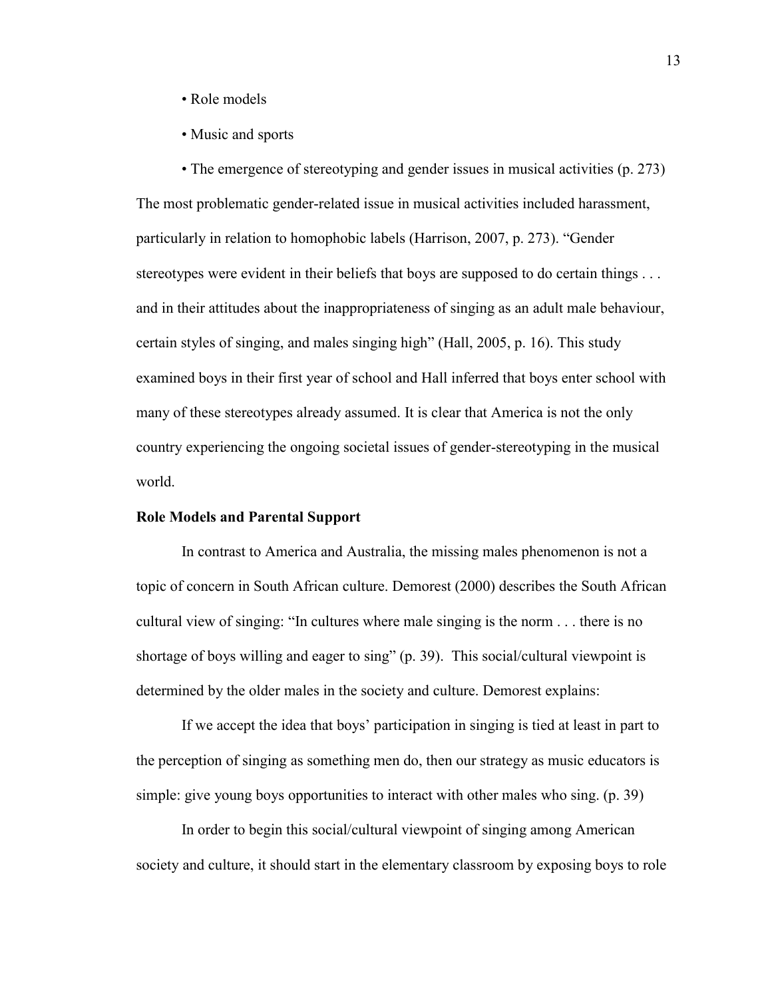- Role models
- Music and sports

• The emergence of stereotyping and gender issues in musical activities (p. 273) The most problematic gender-related issue in musical activities included harassment, particularly in relation to homophobic labels (Harrison, 2007, p. 273). "Gender stereotypes were evident in their beliefs that boys are supposed to do certain things . . . and in their attitudes about the inappropriateness of singing as an adult male behaviour, certain styles of singing, and males singing high" (Hall, 2005, p. 16). This study examined boys in their first year of school and Hall inferred that boys enter school with many of these stereotypes already assumed. It is clear that America is not the only country experiencing the ongoing societal issues of gender-stereotyping in the musical world.

## **Role Models and Parental Support**

In contrast to America and Australia, the missing males phenomenon is not a topic of concern in South African culture. Demorest (2000) describes the South African cultural view of singing: "In cultures where male singing is the norm . . . there is no shortage of boys willing and eager to sing" (p. 39). This social/cultural viewpoint is determined by the older males in the society and culture. Demorest explains:

If we accept the idea that boys' participation in singing is tied at least in part to the perception of singing as something men do, then our strategy as music educators is simple: give young boys opportunities to interact with other males who sing. (p. 39)

In order to begin this social/cultural viewpoint of singing among American society and culture, it should start in the elementary classroom by exposing boys to role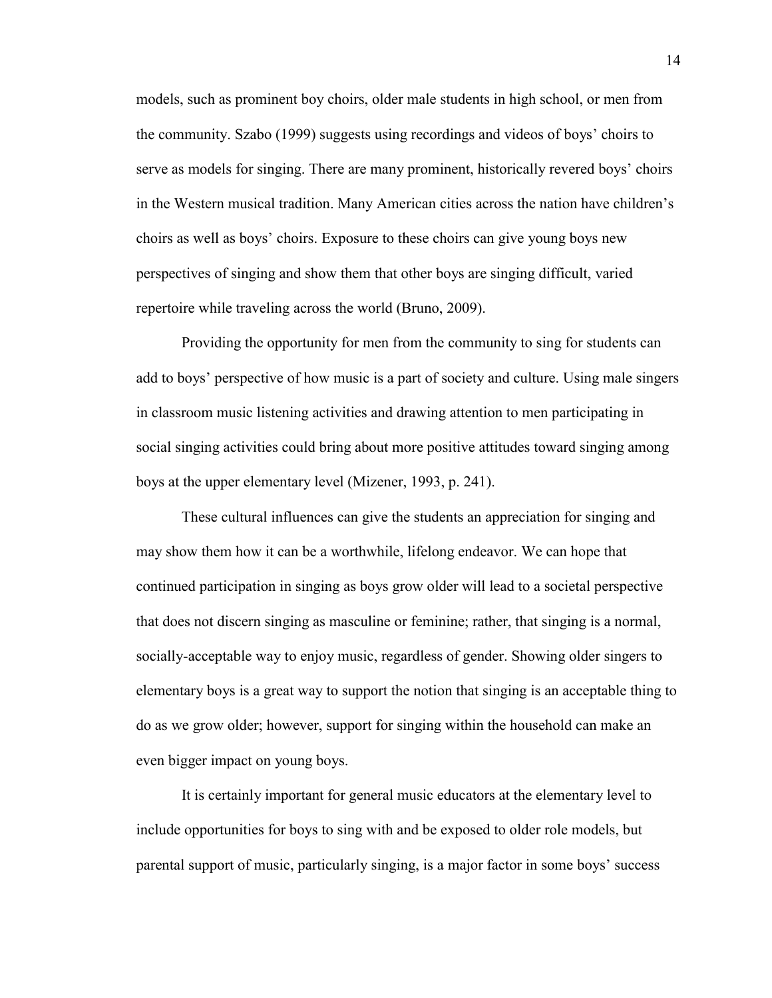models, such as prominent boy choirs, older male students in high school, or men from the community. Szabo (1999) suggests using recordings and videos of boys' choirs to serve as models for singing. There are many prominent, historically revered boys' choirs in the Western musical tradition. Many American cities across the nation have children's choirs as well as boys' choirs. Exposure to these choirs can give young boys new perspectives of singing and show them that other boys are singing difficult, varied repertoire while traveling across the world (Bruno, 2009).

Providing the opportunity for men from the community to sing for students can add to boys' perspective of how music is a part of society and culture. Using male singers in classroom music listening activities and drawing attention to men participating in social singing activities could bring about more positive attitudes toward singing among boys at the upper elementary level (Mizener, 1993, p. 241).

These cultural influences can give the students an appreciation for singing and may show them how it can be a worthwhile, lifelong endeavor. We can hope that continued participation in singing as boys grow older will lead to a societal perspective that does not discern singing as masculine or feminine; rather, that singing is a normal, socially-acceptable way to enjoy music, regardless of gender. Showing older singers to elementary boys is a great way to support the notion that singing is an acceptable thing to do as we grow older; however, support for singing within the household can make an even bigger impact on young boys.

It is certainly important for general music educators at the elementary level to include opportunities for boys to sing with and be exposed to older role models, but parental support of music, particularly singing, is a major factor in some boys' success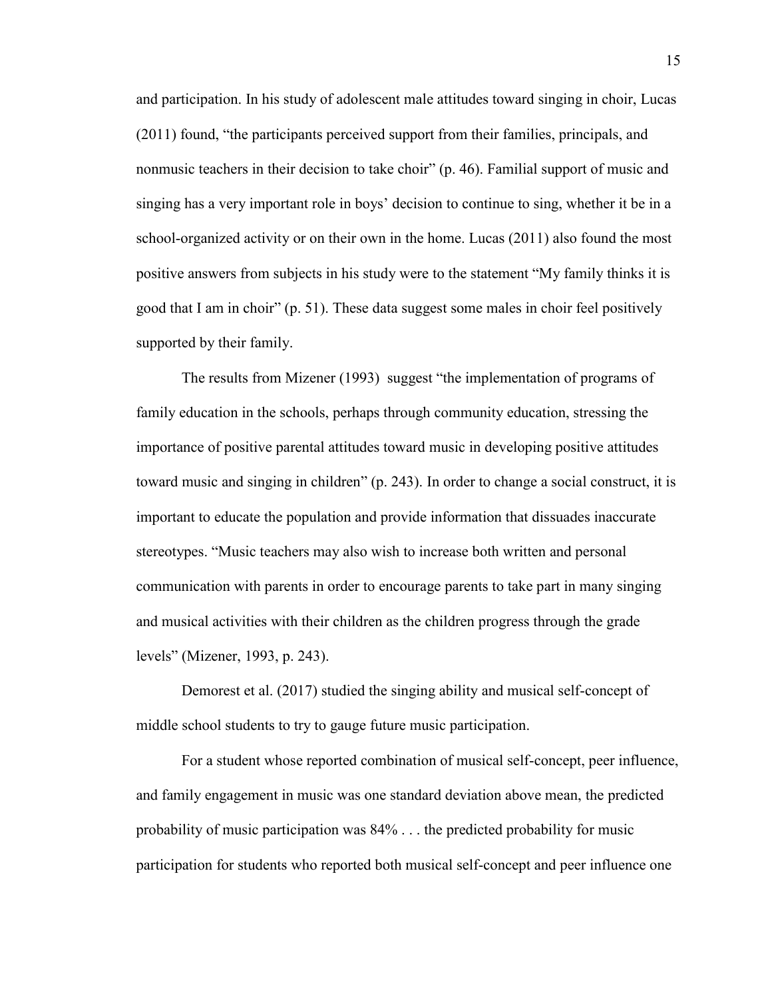and participation. In his study of adolescent male attitudes toward singing in choir, Lucas (2011) found, "the participants perceived support from their families, principals, and nonmusic teachers in their decision to take choir" (p. 46). Familial support of music and singing has a very important role in boys' decision to continue to sing, whether it be in a school-organized activity or on their own in the home. Lucas (2011) also found the most positive answers from subjects in his study were to the statement "My family thinks it is good that I am in choir" (p. 51). These data suggest some males in choir feel positively supported by their family.

The results from Mizener (1993) suggest "the implementation of programs of family education in the schools, perhaps through community education, stressing the importance of positive parental attitudes toward music in developing positive attitudes toward music and singing in children" (p. 243). In order to change a social construct, it is important to educate the population and provide information that dissuades inaccurate stereotypes. "Music teachers may also wish to increase both written and personal communication with parents in order to encourage parents to take part in many singing and musical activities with their children as the children progress through the grade levels" (Mizener, 1993, p. 243).

Demorest et al. (2017) studied the singing ability and musical self-concept of middle school students to try to gauge future music participation.

For a student whose reported combination of musical self-concept, peer influence, and family engagement in music was one standard deviation above mean, the predicted probability of music participation was 84% . . . the predicted probability for music participation for students who reported both musical self-concept and peer influence one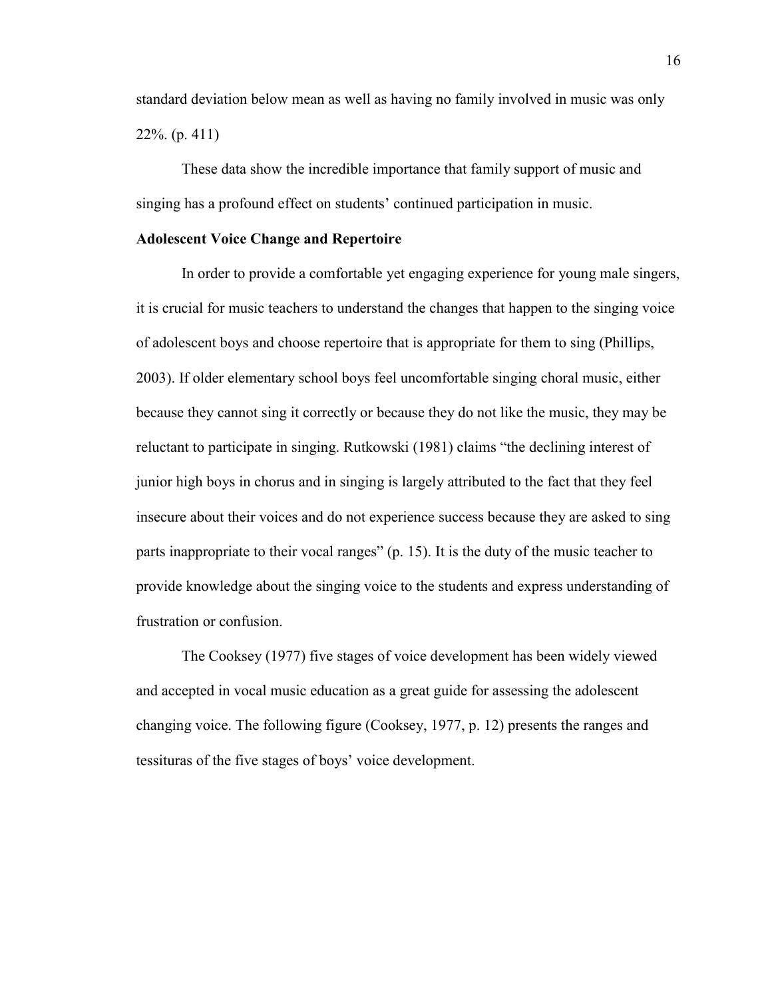standard deviation below mean as well as having no family involved in music was only 22%. (p. 411)

These data show the incredible importance that family support of music and singing has a profound effect on students' continued participation in music.

### **Adolescent Voice Change and Repertoire**

In order to provide a comfortable yet engaging experience for young male singers, it is crucial for music teachers to understand the changes that happen to the singing voice of adolescent boys and choose repertoire that is appropriate for them to sing (Phillips, 2003). If older elementary school boys feel uncomfortable singing choral music, either because they cannot sing it correctly or because they do not like the music, they may be reluctant to participate in singing. Rutkowski (1981) claims "the declining interest of junior high boys in chorus and in singing is largely attributed to the fact that they feel insecure about their voices and do not experience success because they are asked to sing parts inappropriate to their vocal ranges" (p. 15). It is the duty of the music teacher to provide knowledge about the singing voice to the students and express understanding of frustration or confusion.

The Cooksey (1977) five stages of voice development has been widely viewed and accepted in vocal music education as a great guide for assessing the adolescent changing voice. The following figure (Cooksey, 1977, p. 12) presents the ranges and tessituras of the five stages of boys' voice development.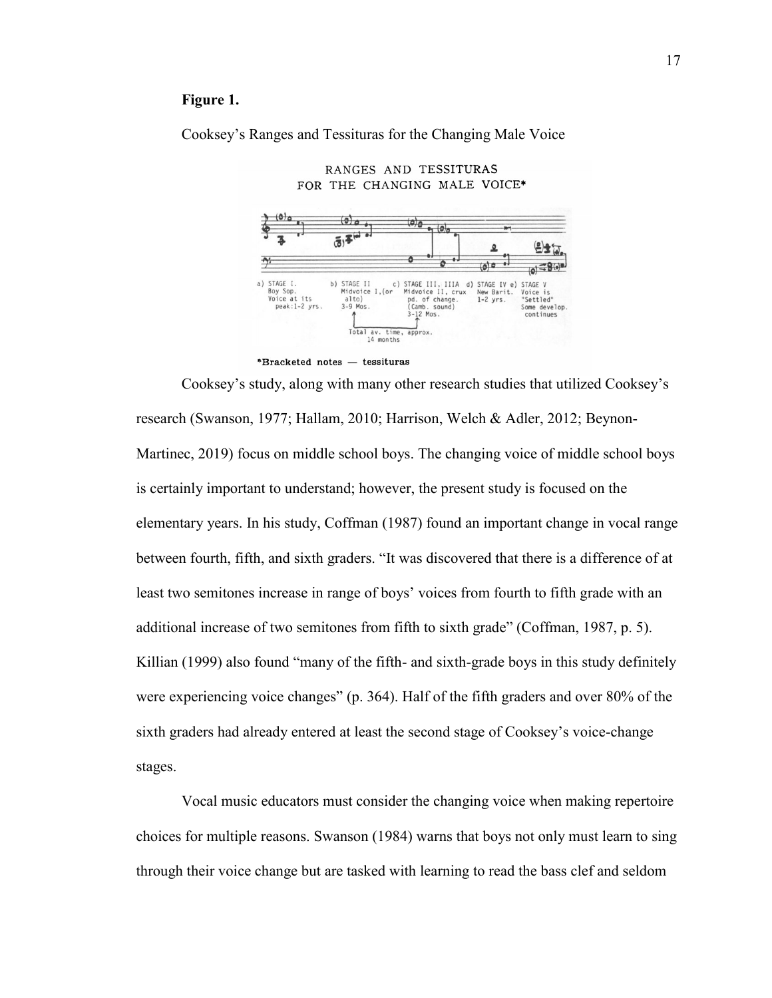## **Figure 1.**

Cooksey's Ranges and Tessituras for the Changing Male Voice



RANGES AND TESSITURAS



Cooksey's study, along with many other research studies that utilized Cooksey's research (Swanson, 1977; Hallam, 2010; Harrison, Welch & Adler, 2012; Beynon-Martinec, 2019) focus on middle school boys. The changing voice of middle school boys is certainly important to understand; however, the present study is focused on the elementary years. In his study, Coffman (1987) found an important change in vocal range between fourth, fifth, and sixth graders. "It was discovered that there is a difference of at least two semitones increase in range of boys' voices from fourth to fifth grade with an additional increase of two semitones from fifth to sixth grade" (Coffman, 1987, p. 5). Killian (1999) also found "many of the fifth- and sixth-grade boys in this study definitely were experiencing voice changes" (p. 364). Half of the fifth graders and over 80% of the sixth graders had already entered at least the second stage of Cooksey's voice-change stages.

Vocal music educators must consider the changing voice when making repertoire choices for multiple reasons. Swanson (1984) warns that boys not only must learn to sing through their voice change but are tasked with learning to read the bass clef and seldom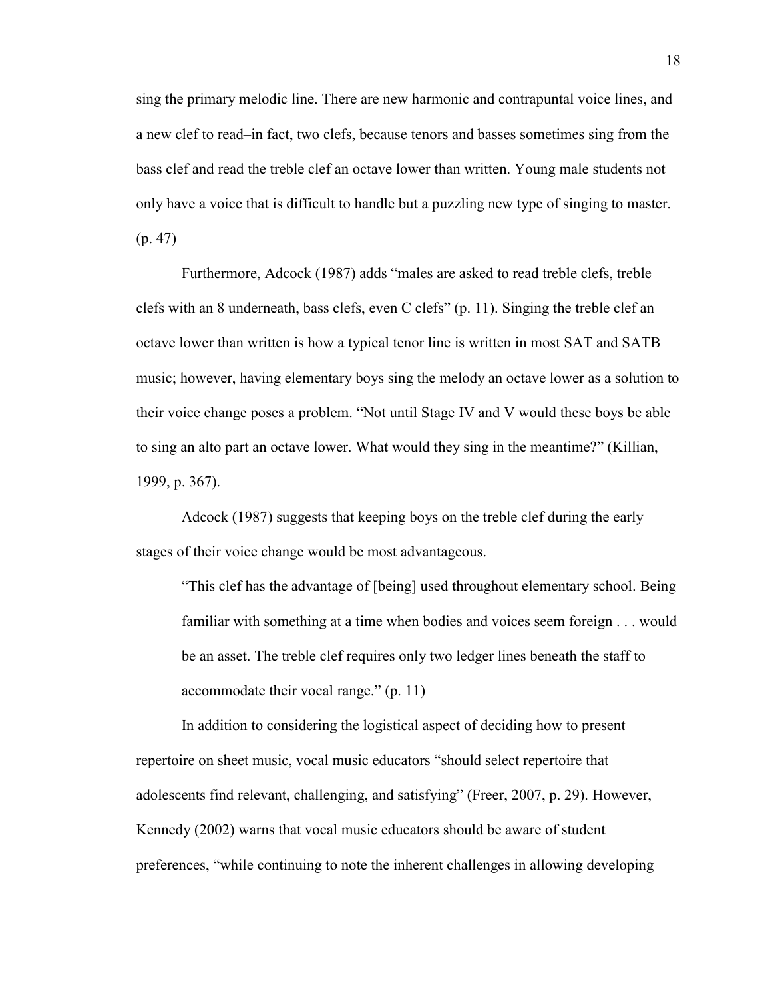sing the primary melodic line. There are new harmonic and contrapuntal voice lines, and a new clef to read–in fact, two clefs, because tenors and basses sometimes sing from the bass clef and read the treble clef an octave lower than written. Young male students not only have a voice that is difficult to handle but a puzzling new type of singing to master. (p. 47)

Furthermore, Adcock (1987) adds "males are asked to read treble clefs, treble clefs with an 8 underneath, bass clefs, even C clefs" (p. 11). Singing the treble clef an octave lower than written is how a typical tenor line is written in most SAT and SATB music; however, having elementary boys sing the melody an octave lower as a solution to their voice change poses a problem. "Not until Stage IV and V would these boys be able to sing an alto part an octave lower. What would they sing in the meantime?" (Killian, 1999, p. 367).

Adcock (1987) suggests that keeping boys on the treble clef during the early stages of their voice change would be most advantageous.

"This clef has the advantage of [being] used throughout elementary school. Being familiar with something at a time when bodies and voices seem foreign . . . would be an asset. The treble clef requires only two ledger lines beneath the staff to accommodate their vocal range." (p. 11)

In addition to considering the logistical aspect of deciding how to present repertoire on sheet music, vocal music educators "should select repertoire that adolescents find relevant, challenging, and satisfying" (Freer, 2007, p. 29). However, Kennedy (2002) warns that vocal music educators should be aware of student preferences, "while continuing to note the inherent challenges in allowing developing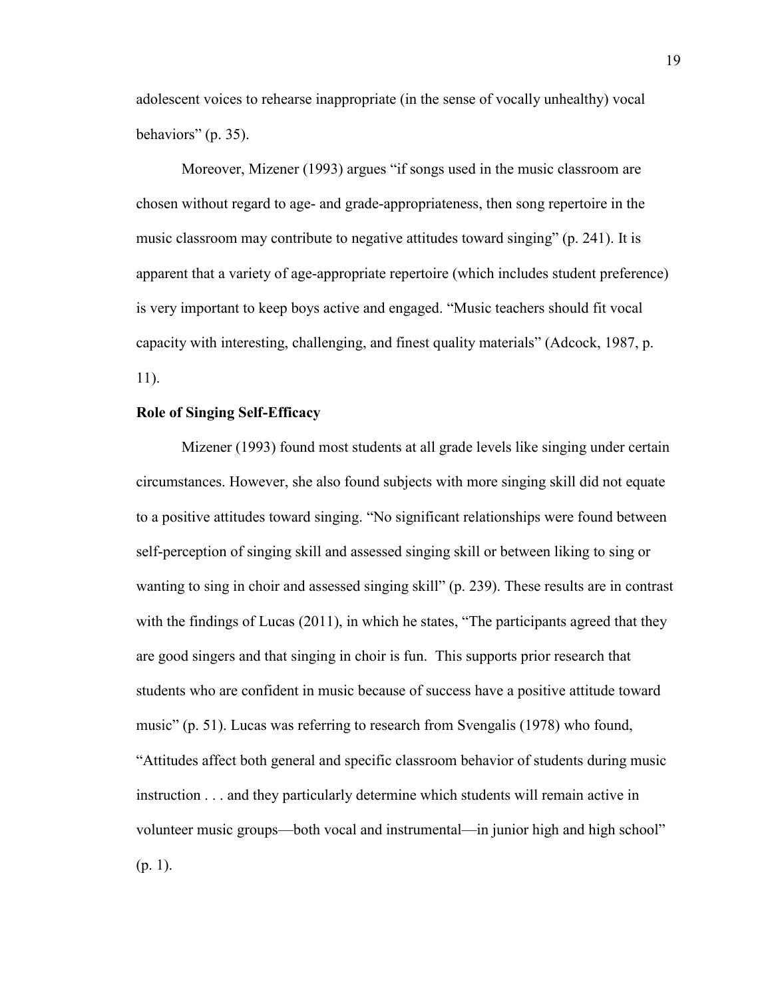adolescent voices to rehearse inappropriate (in the sense of vocally unhealthy) vocal behaviors" (p. 35).

Moreover, Mizener (1993) argues "if songs used in the music classroom are chosen without regard to age- and grade-appropriateness, then song repertoire in the music classroom may contribute to negative attitudes toward singing" (p. 241). It is apparent that a variety of age-appropriate repertoire (which includes student preference) is very important to keep boys active and engaged. "Music teachers should fit vocal capacity with interesting, challenging, and finest quality materials" (Adcock, 1987, p. 11).

## **Role of Singing Self-Efficacy**

Mizener (1993) found most students at all grade levels like singing under certain circumstances. However, she also found subjects with more singing skill did not equate to a positive attitudes toward singing. "No significant relationships were found between self-perception of singing skill and assessed singing skill or between liking to sing or wanting to sing in choir and assessed singing skill" (p. 239). These results are in contrast with the findings of Lucas (2011), in which he states, "The participants agreed that they are good singers and that singing in choir is fun. This supports prior research that students who are confident in music because of success have a positive attitude toward music" (p. 51). Lucas was referring to research from Svengalis (1978) who found, "Attitudes affect both general and specific classroom behavior of students during music instruction . . . and they particularly determine which students will remain active in volunteer music groups—both vocal and instrumental—in junior high and high school"  $(p. 1)$ .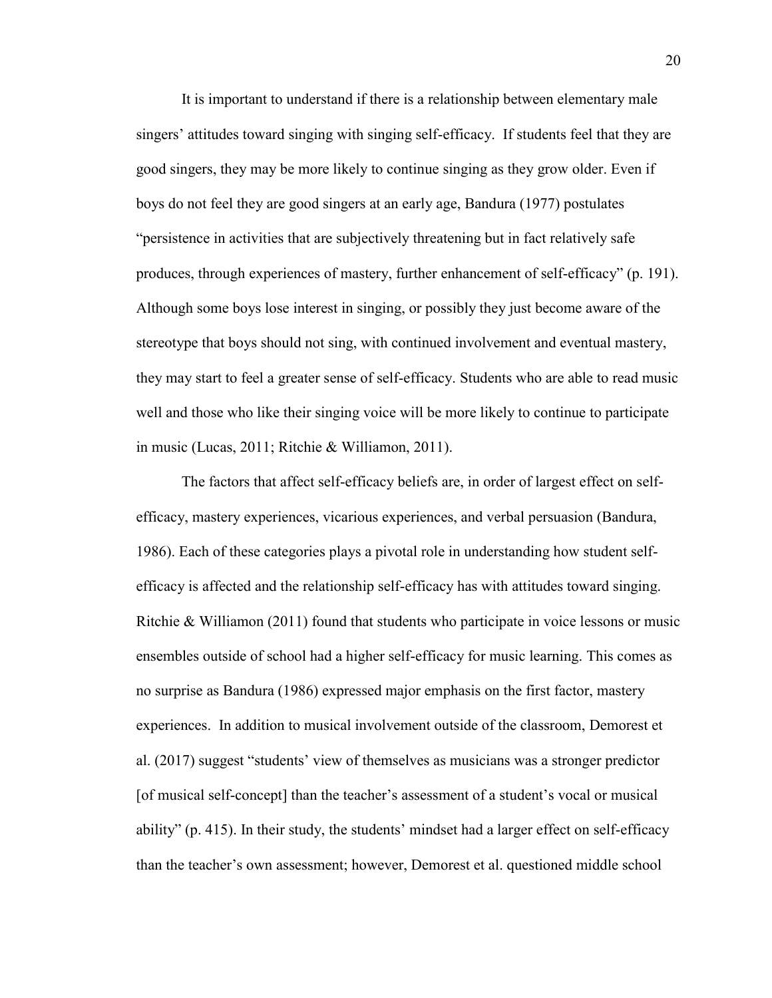It is important to understand if there is a relationship between elementary male singers' attitudes toward singing with singing self-efficacy. If students feel that they are good singers, they may be more likely to continue singing as they grow older. Even if boys do not feel they are good singers at an early age, Bandura (1977) postulates "persistence in activities that are subjectively threatening but in fact relatively safe produces, through experiences of mastery, further enhancement of self-efficacy" (p. 191). Although some boys lose interest in singing, or possibly they just become aware of the stereotype that boys should not sing, with continued involvement and eventual mastery, they may start to feel a greater sense of self-efficacy. Students who are able to read music well and those who like their singing voice will be more likely to continue to participate in music (Lucas, 2011; Ritchie & Williamon, 2011).

The factors that affect self-efficacy beliefs are, in order of largest effect on selfefficacy, mastery experiences, vicarious experiences, and verbal persuasion (Bandura, 1986). Each of these categories plays a pivotal role in understanding how student selfefficacy is affected and the relationship self-efficacy has with attitudes toward singing. Ritchie & Williamon (2011) found that students who participate in voice lessons or music ensembles outside of school had a higher self-efficacy for music learning. This comes as no surprise as Bandura (1986) expressed major emphasis on the first factor, mastery experiences. In addition to musical involvement outside of the classroom, Demorest et al. (2017) suggest "students' view of themselves as musicians was a stronger predictor [of musical self-concept] than the teacher's assessment of a student's vocal or musical ability" (p. 415). In their study, the students' mindset had a larger effect on self-efficacy than the teacher's own assessment; however, Demorest et al. questioned middle school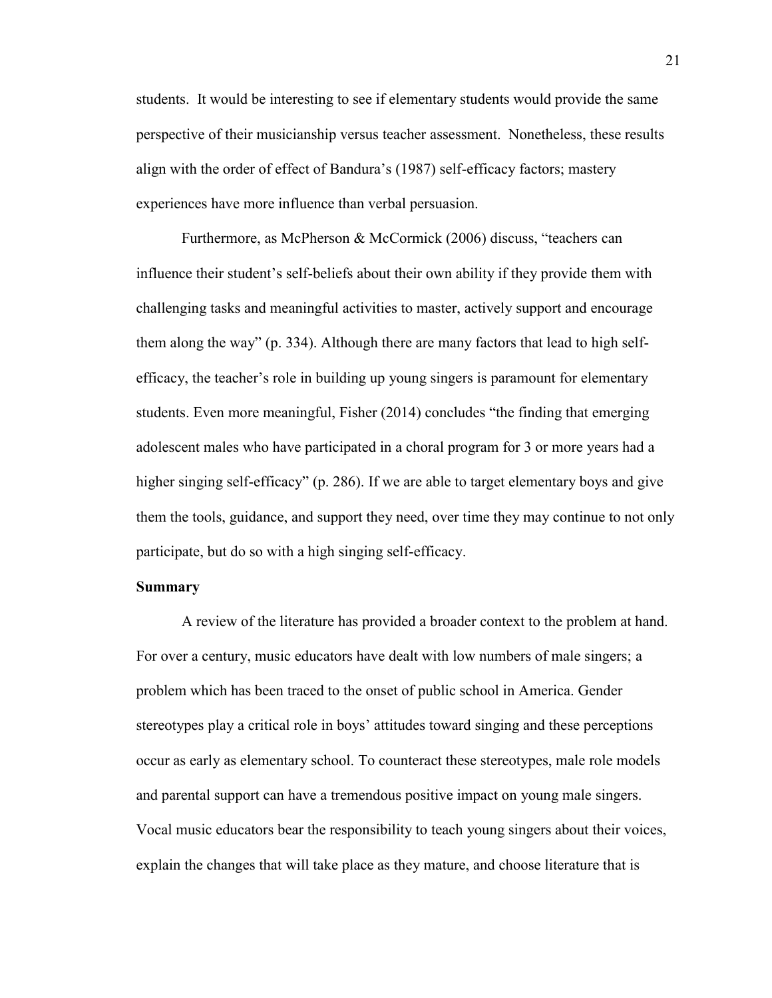students. It would be interesting to see if elementary students would provide the same perspective of their musicianship versus teacher assessment. Nonetheless, these results align with the order of effect of Bandura's (1987) self-efficacy factors; mastery experiences have more influence than verbal persuasion.

Furthermore, as McPherson & McCormick (2006) discuss, "teachers can influence their student's self-beliefs about their own ability if they provide them with challenging tasks and meaningful activities to master, actively support and encourage them along the way" (p. 334). Although there are many factors that lead to high selfefficacy, the teacher's role in building up young singers is paramount for elementary students. Even more meaningful, Fisher (2014) concludes "the finding that emerging adolescent males who have participated in a choral program for 3 or more years had a higher singing self-efficacy" (p. 286). If we are able to target elementary boys and give them the tools, guidance, and support they need, over time they may continue to not only participate, but do so with a high singing self-efficacy.

### **Summary**

A review of the literature has provided a broader context to the problem at hand. For over a century, music educators have dealt with low numbers of male singers; a problem which has been traced to the onset of public school in America. Gender stereotypes play a critical role in boys' attitudes toward singing and these perceptions occur as early as elementary school. To counteract these stereotypes, male role models and parental support can have a tremendous positive impact on young male singers. Vocal music educators bear the responsibility to teach young singers about their voices, explain the changes that will take place as they mature, and choose literature that is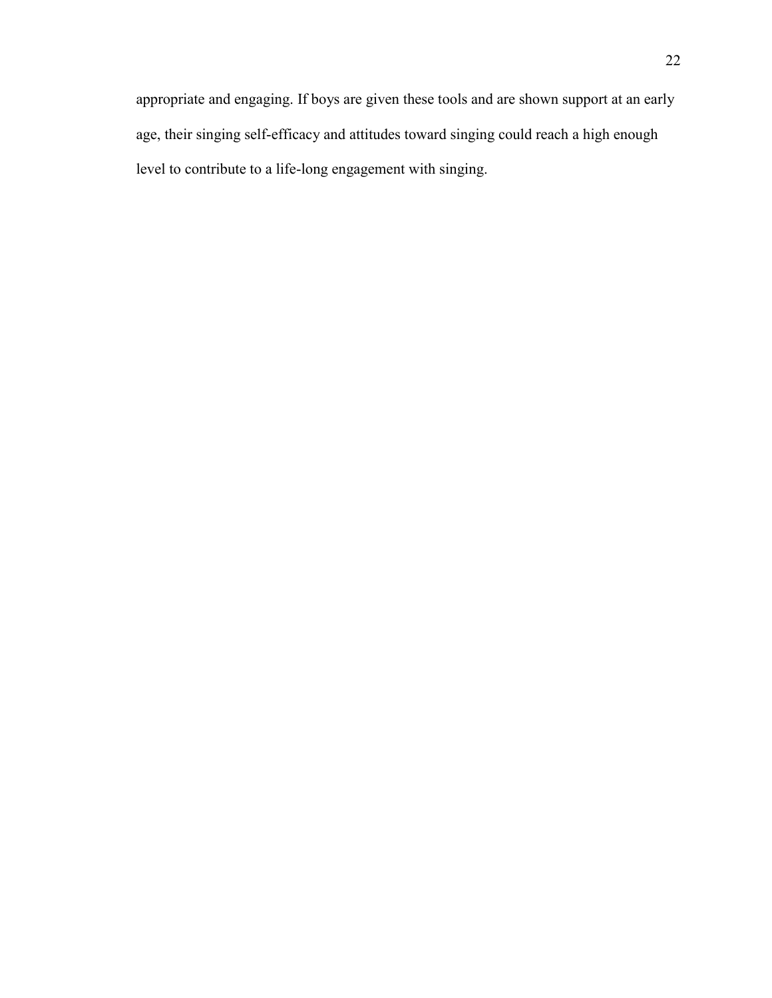appropriate and engaging. If boys are given these tools and are shown support at an early age, their singing self-efficacy and attitudes toward singing could reach a high enough level to contribute to a life-long engagement with singing.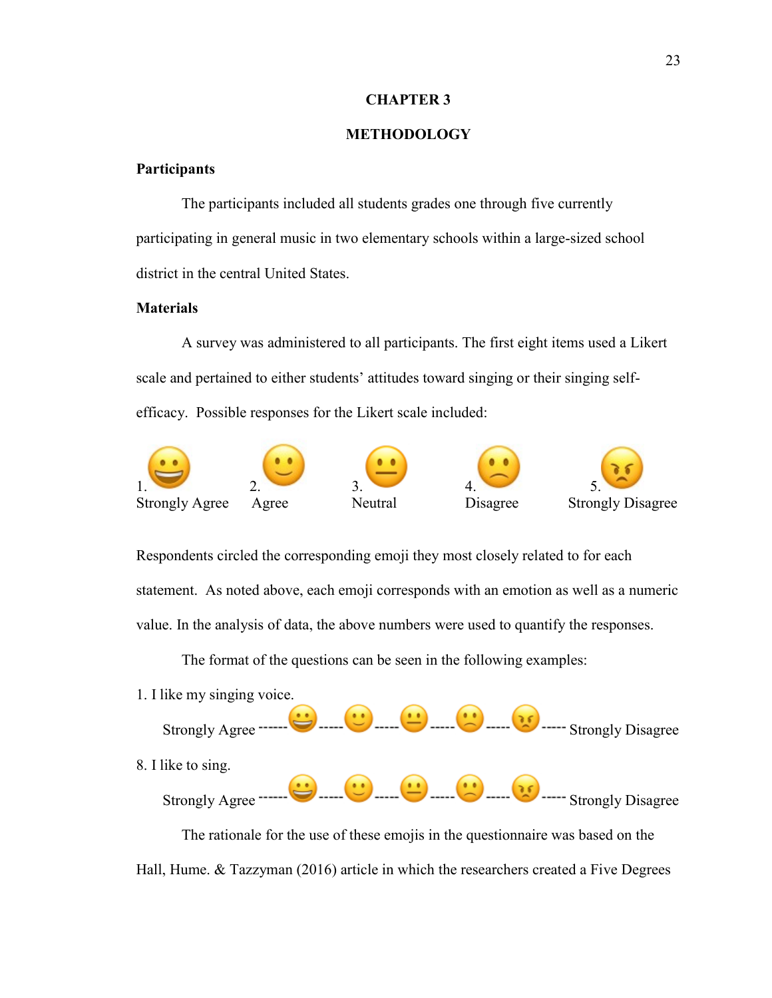#### **CHAPTER 3**

## **METHODOLOGY**

## **Participants**

The participants included all students grades one through five currently participating in general music in two elementary schools within a large-sized school district in the central United States.

## **Materials**

A survey was administered to all participants. The first eight items used a Likert scale and pertained to either students' attitudes toward singing or their singing selfefficacy. Possible responses for the Likert scale included:



Respondents circled the corresponding emoji they most closely related to for each statement. As noted above, each emoji corresponds with an emotion as well as a numeric value. In the analysis of data, the above numbers were used to quantify the responses.

The format of the questions can be seen in the following examples:



Hall, Hume. & Tazzyman (2016) article in which the researchers created a Five Degrees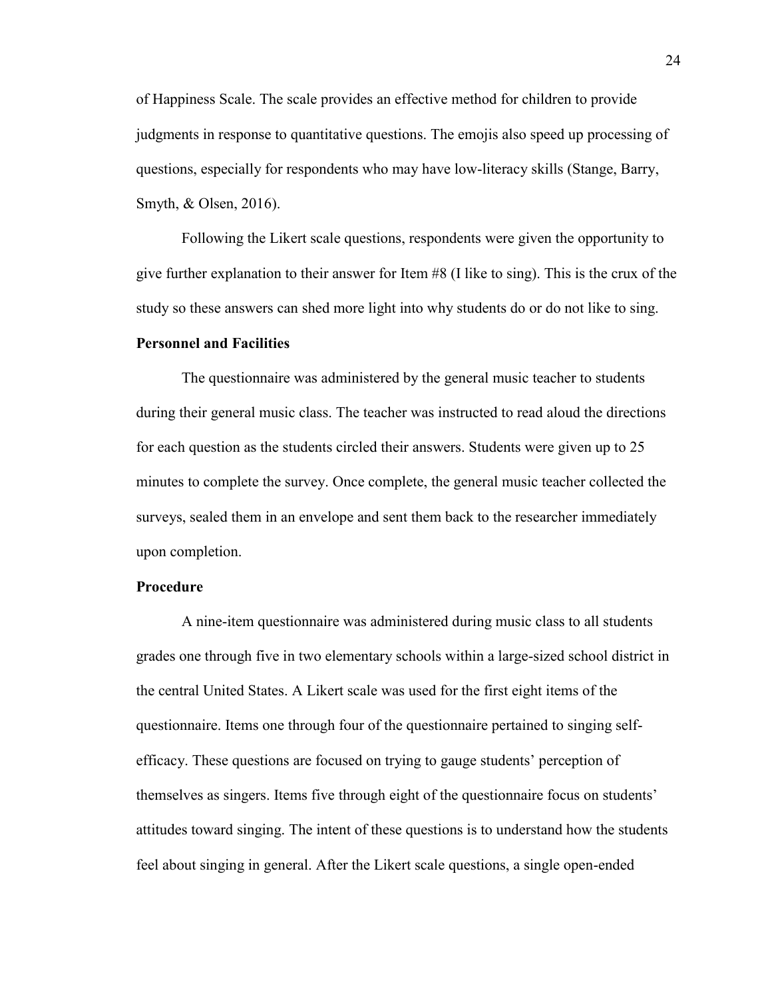of Happiness Scale. The scale provides an effective method for children to provide judgments in response to quantitative questions. The emojis also speed up processing of questions, especially for respondents who may have low-literacy skills (Stange, Barry, Smyth, & Olsen, 2016).

Following the Likert scale questions, respondents were given the opportunity to give further explanation to their answer for Item #8 (I like to sing). This is the crux of the study so these answers can shed more light into why students do or do not like to sing.

#### **Personnel and Facilities**

The questionnaire was administered by the general music teacher to students during their general music class. The teacher was instructed to read aloud the directions for each question as the students circled their answers. Students were given up to 25 minutes to complete the survey. Once complete, the general music teacher collected the surveys, sealed them in an envelope and sent them back to the researcher immediately upon completion.

## **Procedure**

A nine-item questionnaire was administered during music class to all students grades one through five in two elementary schools within a large-sized school district in the central United States. A Likert scale was used for the first eight items of the questionnaire. Items one through four of the questionnaire pertained to singing selfefficacy. These questions are focused on trying to gauge students' perception of themselves as singers. Items five through eight of the questionnaire focus on students' attitudes toward singing. The intent of these questions is to understand how the students feel about singing in general. After the Likert scale questions, a single open-ended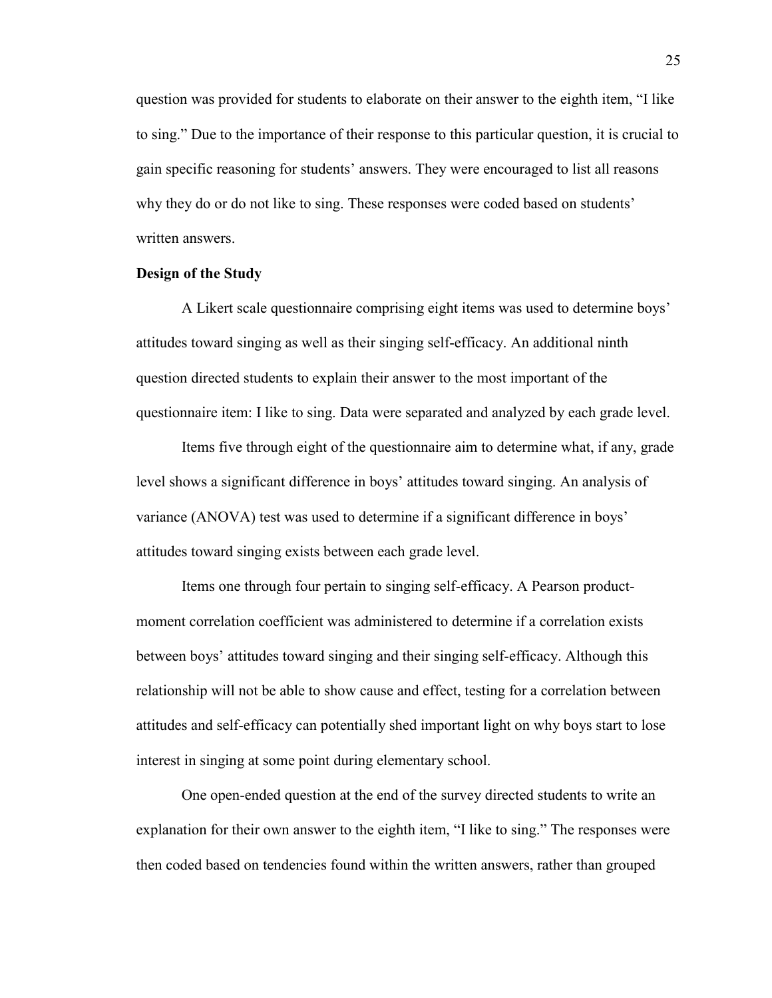question was provided for students to elaborate on their answer to the eighth item, "I like to sing." Due to the importance of their response to this particular question, it is crucial to gain specific reasoning for students' answers. They were encouraged to list all reasons why they do or do not like to sing. These responses were coded based on students' written answers.

## **Design of the Study**

A Likert scale questionnaire comprising eight items was used to determine boys' attitudes toward singing as well as their singing self-efficacy. An additional ninth question directed students to explain their answer to the most important of the questionnaire item: I like to sing. Data were separated and analyzed by each grade level.

Items five through eight of the questionnaire aim to determine what, if any, grade level shows a significant difference in boys' attitudes toward singing. An analysis of variance (ANOVA) test was used to determine if a significant difference in boys' attitudes toward singing exists between each grade level.

Items one through four pertain to singing self-efficacy. A Pearson productmoment correlation coefficient was administered to determine if a correlation exists between boys' attitudes toward singing and their singing self-efficacy. Although this relationship will not be able to show cause and effect, testing for a correlation between attitudes and self-efficacy can potentially shed important light on why boys start to lose interest in singing at some point during elementary school.

One open-ended question at the end of the survey directed students to write an explanation for their own answer to the eighth item, "I like to sing." The responses were then coded based on tendencies found within the written answers, rather than grouped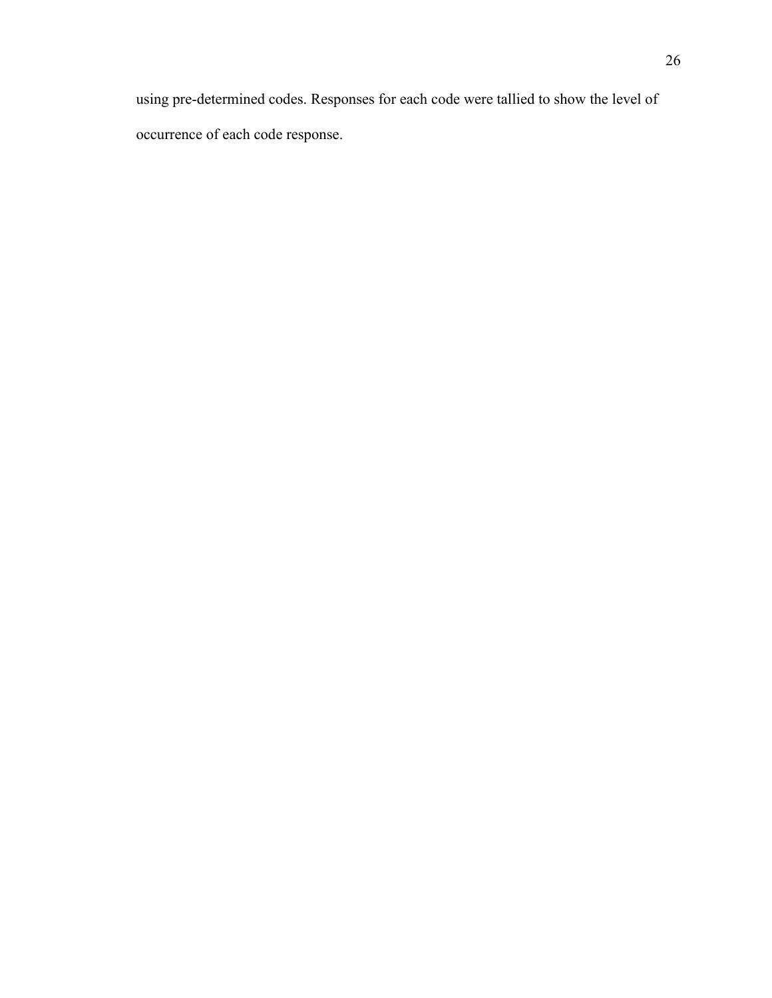using pre-determined codes. Responses for each code were tallied to show the level of occurrence of each code response.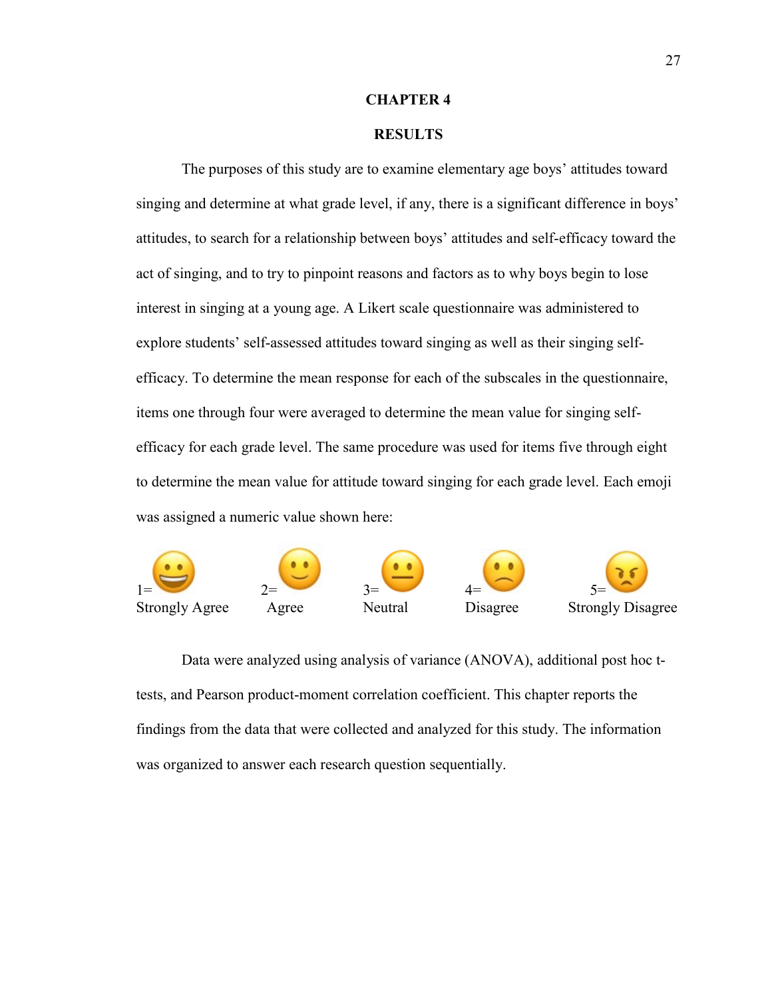#### **CHAPTER 4**

## **RESULTS**

The purposes of this study are to examine elementary age boys' attitudes toward singing and determine at what grade level, if any, there is a significant difference in boys' attitudes, to search for a relationship between boys' attitudes and self-efficacy toward the act of singing, and to try to pinpoint reasons and factors as to why boys begin to lose interest in singing at a young age. A Likert scale questionnaire was administered to explore students' self-assessed attitudes toward singing as well as their singing selfefficacy. To determine the mean response for each of the subscales in the questionnaire, items one through four were averaged to determine the mean value for singing selfefficacy for each grade level. The same procedure was used for items five through eight to determine the mean value for attitude toward singing for each grade level. Each emoji was assigned a numeric value shown here:



Data were analyzed using analysis of variance (ANOVA), additional post hoc ttests, and Pearson product-moment correlation coefficient. This chapter reports the findings from the data that were collected and analyzed for this study. The information was organized to answer each research question sequentially.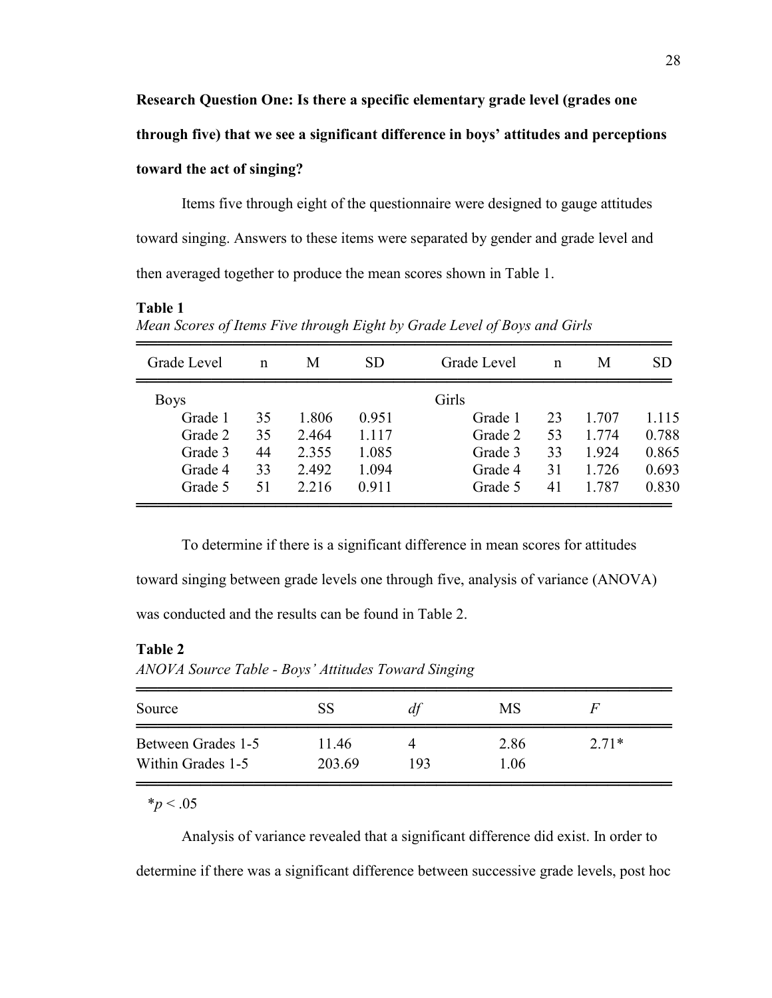**through five) that we see a significant difference in boys' attitudes and perceptions** 

## **toward the act of singing?**

Items five through eight of the questionnaire were designed to gauge attitudes toward singing. Answers to these items were separated by gender and grade level and then averaged together to produce the mean scores shown in Table 1.

## **Table 1**

*Mean Scores of Items Five through Eight by Grade Level of Boys and Girls*

| Grade Level | $\mathsf{n}$ | M     | <b>SD</b><br>Grade Level |         | $\mathsf{n}$ | M     | <b>SD</b> |
|-------------|--------------|-------|--------------------------|---------|--------------|-------|-----------|
| <b>Boys</b> |              |       |                          | Girls   |              |       |           |
| Grade 1     | 35           | 1.806 | 0.951                    | Grade 1 | 23           | 1.707 | 1.115     |
| Grade 2     | 35           | 2.464 | 1.117                    | Grade 2 | 53           | 1.774 | 0.788     |
| Grade 3     | 44           | 2.355 | 1.085                    | Grade 3 | 33           | 1.924 | 0.865     |
| Grade 4     | 33           | 2.492 | 1.094                    | Grade 4 | 31           | 1.726 | 0.693     |
| Grade 5     | 51           | 2.216 | 0.911                    | Grade 5 | 41           | 1.787 | 0.830     |
|             |              |       |                          |         |              |       |           |

To determine if there is a significant difference in mean scores for attitudes toward singing between grade levels one through five, analysis of variance (ANOVA) was conducted and the results can be found in Table 2.

## **Table 2**

*ANOVA Source Table - Boys' Attitudes Toward Singing*

| Source             | <b>SS</b> | dt  | <b>MS</b> | H       |
|--------------------|-----------|-----|-----------|---------|
| Between Grades 1-5 | 11.46     |     | 2.86      | $2.71*$ |
| Within Grades 1-5  | 203.69    | 193 | 1.06      |         |

 $**p* < .05$ 

Analysis of variance revealed that a significant difference did exist. In order to determine if there was a significant difference between successive grade levels, post hoc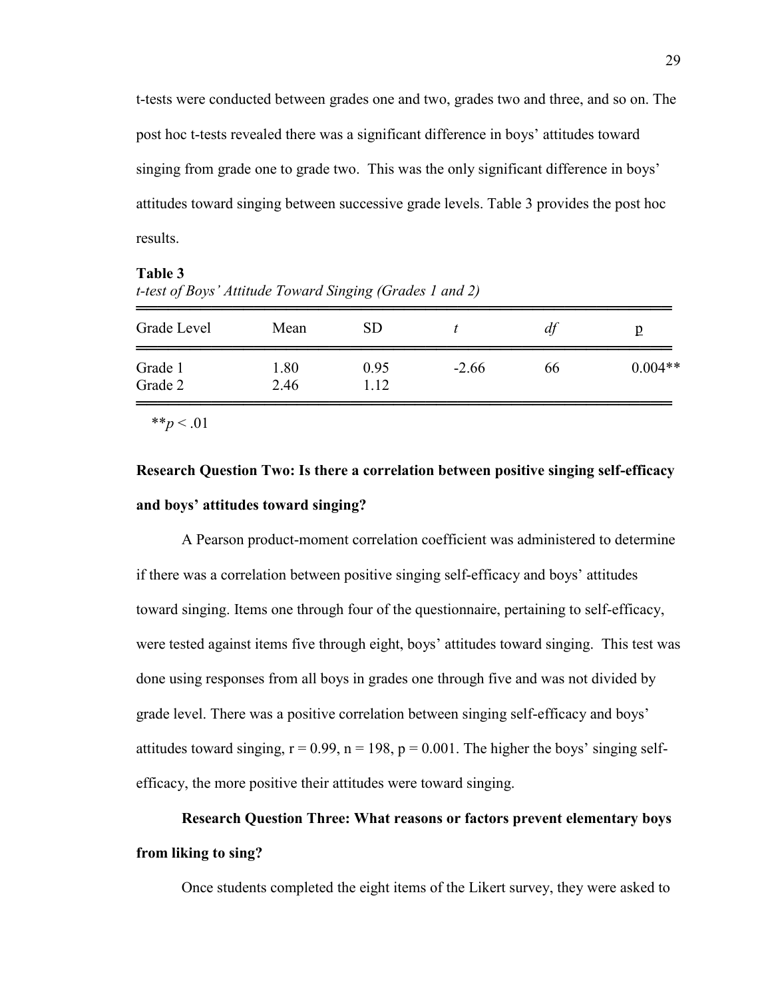t-tests were conducted between grades one and two, grades two and three, and so on. The post hoc t-tests revealed there was a significant difference in boys' attitudes toward singing from grade one to grade two. This was the only significant difference in boys' attitudes toward singing between successive grade levels. Table 3 provides the post hoc results.

| t-test of boys Attitude Toward Singing (Grades T and 2) |              |               |        |    |           |  |
|---------------------------------------------------------|--------------|---------------|--------|----|-----------|--|
| Grade Level                                             | Mean         | SD.           |        | dt |           |  |
| Grade 1<br>Grade 2                                      | 1.80<br>2.46 | 0.95<br>1 1 2 | $-266$ | 66 | $0.004**$ |  |
|                                                         |              |               |        |    |           |  |

**Table 3** *t-test of Boys' Attitude Toward Singing (Grades 1 and 2)*

\*\* $p < .01$ 

# **Research Question Two: Is there a correlation between positive singing self-efficacy and boys' attitudes toward singing?**

A Pearson product-moment correlation coefficient was administered to determine if there was a correlation between positive singing self-efficacy and boys' attitudes toward singing. Items one through four of the questionnaire, pertaining to self-efficacy, were tested against items five through eight, boys' attitudes toward singing. This test was done using responses from all boys in grades one through five and was not divided by grade level. There was a positive correlation between singing self-efficacy and boys' attitudes toward singing,  $r = 0.99$ ,  $n = 198$ ,  $p = 0.001$ . The higher the boys' singing selfefficacy, the more positive their attitudes were toward singing.

# **Research Question Three: What reasons or factors prevent elementary boys from liking to sing?**

Once students completed the eight items of the Likert survey, they were asked to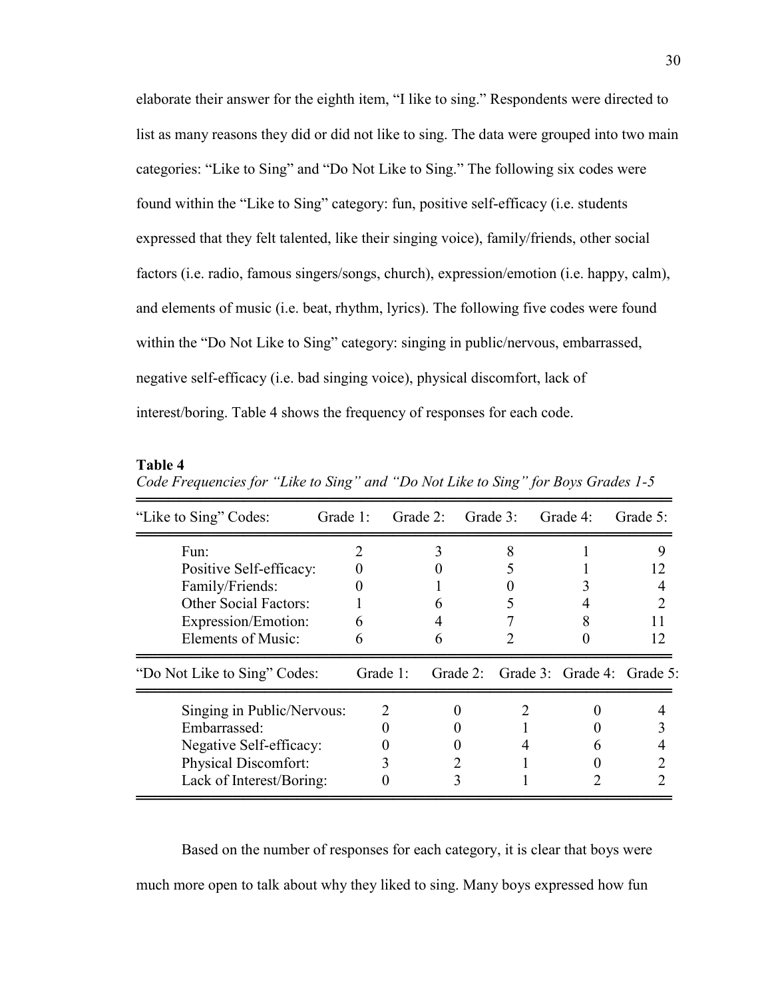elaborate their answer for the eighth item, "I like to sing." Respondents were directed to list as many reasons they did or did not like to sing. The data were grouped into two main categories: "Like to Sing" and "Do Not Like to Sing." The following six codes were found within the "Like to Sing" category: fun, positive self-efficacy (i.e. students expressed that they felt talented, like their singing voice), family/friends, other social factors (i.e. radio, famous singers/songs, church), expression/emotion (i.e. happy, calm), and elements of music (i.e. beat, rhythm, lyrics). The following five codes were found within the "Do Not Like to Sing" category: singing in public/nervous, embarrassed, negative self-efficacy (i.e. bad singing voice), physical discomfort, lack of interest/boring. Table 4 shows the frequency of responses for each code.

| "Like to Sing" Codes:        | Grade 1: | Grade 2: | Grade 3: | Grade 4:                            | Grade 5: |
|------------------------------|----------|----------|----------|-------------------------------------|----------|
| Fun:                         |          |          |          |                                     |          |
| Positive Self-efficacy:      |          |          |          |                                     |          |
| Family/Friends:              |          |          |          |                                     |          |
| <b>Other Social Factors:</b> |          |          |          |                                     |          |
| Expression/Emotion:          | h        |          |          |                                     |          |
| Elements of Music:           | 6        | n        |          |                                     | 12       |
| "Do Not Like to Sing" Codes: | Grade 1: |          |          | Grade 2: Grade 3: Grade 4: Grade 5: |          |
| Singing in Public/Nervous:   |          |          |          |                                     |          |
| Embarrassed:                 |          |          |          |                                     |          |
| Negative Self-efficacy:      |          |          |          |                                     |          |
| Physical Discomfort:         |          |          |          |                                     |          |
| Lack of Interest/Boring:     |          |          |          |                                     |          |
|                              |          |          |          |                                     |          |

**Table 4** *Code Frequencies for "Like to Sing" and "Do Not Like to Sing" for Boys Grades 1-5*

Based on the number of responses for each category, it is clear that boys were much more open to talk about why they liked to sing. Many boys expressed how fun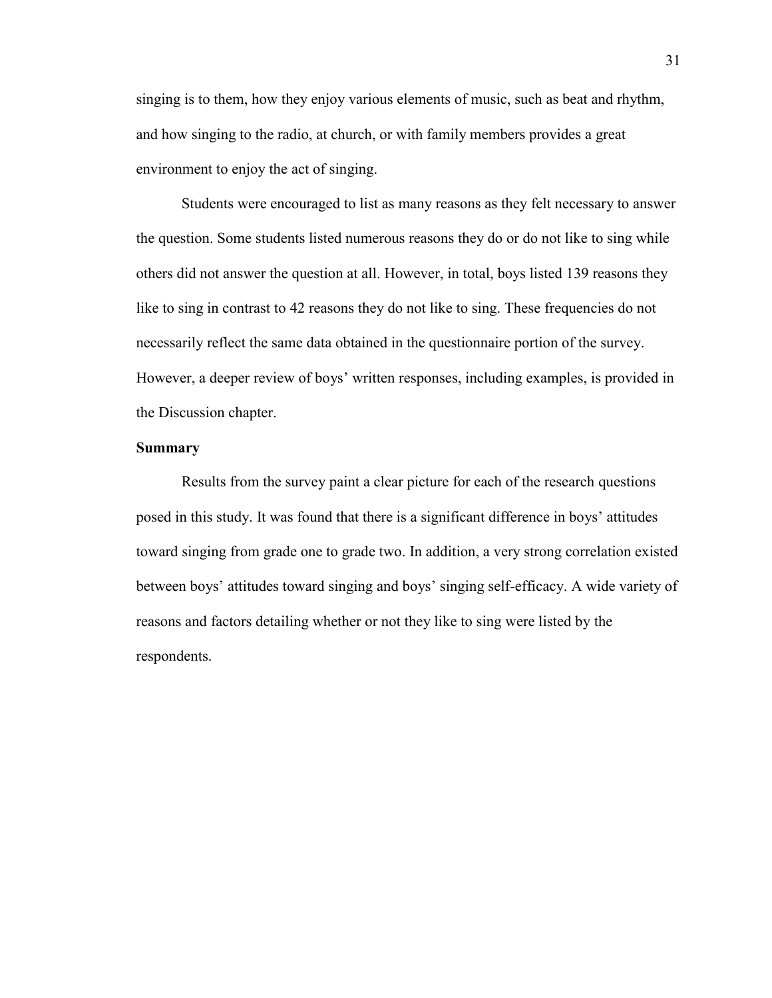singing is to them, how they enjoy various elements of music, such as beat and rhythm, and how singing to the radio, at church, or with family members provides a great environment to enjoy the act of singing.

Students were encouraged to list as many reasons as they felt necessary to answer the question. Some students listed numerous reasons they do or do not like to sing while others did not answer the question at all. However, in total, boys listed 139 reasons they like to sing in contrast to 42 reasons they do not like to sing. These frequencies do not necessarily reflect the same data obtained in the questionnaire portion of the survey. However, a deeper review of boys' written responses, including examples, is provided in the Discussion chapter.

### **Summary**

Results from the survey paint a clear picture for each of the research questions posed in this study. It was found that there is a significant difference in boys' attitudes toward singing from grade one to grade two. In addition, a very strong correlation existed between boys' attitudes toward singing and boys' singing self-efficacy. A wide variety of reasons and factors detailing whether or not they like to sing were listed by the respondents.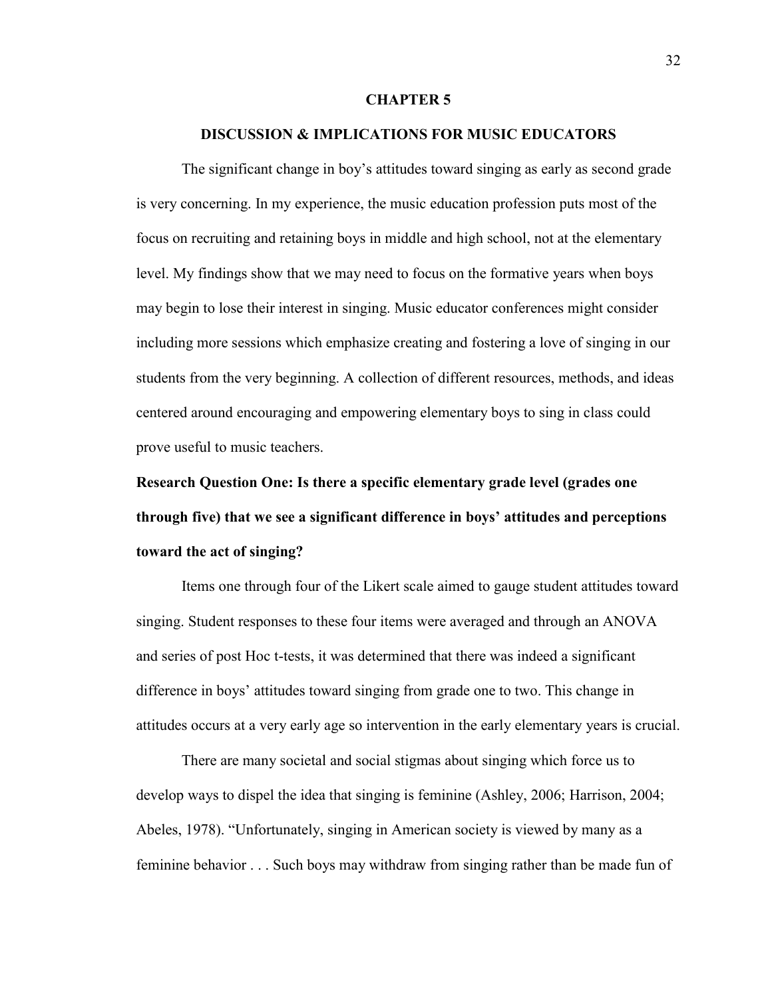#### **CHAPTER 5**

## **DISCUSSION & IMPLICATIONS FOR MUSIC EDUCATORS**

The significant change in boy's attitudes toward singing as early as second grade is very concerning. In my experience, the music education profession puts most of the focus on recruiting and retaining boys in middle and high school, not at the elementary level. My findings show that we may need to focus on the formative years when boys may begin to lose their interest in singing. Music educator conferences might consider including more sessions which emphasize creating and fostering a love of singing in our students from the very beginning. A collection of different resources, methods, and ideas centered around encouraging and empowering elementary boys to sing in class could prove useful to music teachers.

**Research Question One: Is there a specific elementary grade level (grades one through five) that we see a significant difference in boys' attitudes and perceptions toward the act of singing?**

Items one through four of the Likert scale aimed to gauge student attitudes toward singing. Student responses to these four items were averaged and through an ANOVA and series of post Hoc t-tests, it was determined that there was indeed a significant difference in boys' attitudes toward singing from grade one to two. This change in attitudes occurs at a very early age so intervention in the early elementary years is crucial.

There are many societal and social stigmas about singing which force us to develop ways to dispel the idea that singing is feminine (Ashley, 2006; Harrison, 2004; Abeles, 1978). "Unfortunately, singing in American society is viewed by many as a feminine behavior . . . Such boys may withdraw from singing rather than be made fun of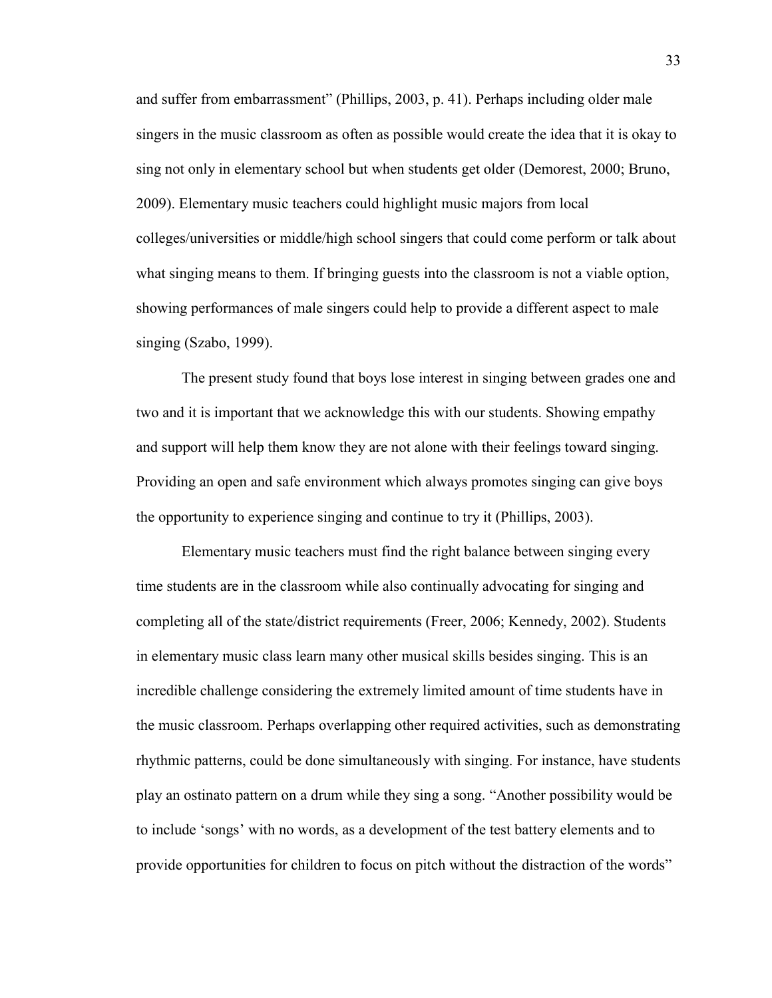and suffer from embarrassment" (Phillips, 2003, p. 41). Perhaps including older male singers in the music classroom as often as possible would create the idea that it is okay to sing not only in elementary school but when students get older (Demorest, 2000; Bruno, 2009). Elementary music teachers could highlight music majors from local colleges/universities or middle/high school singers that could come perform or talk about what singing means to them. If bringing guests into the classroom is not a viable option, showing performances of male singers could help to provide a different aspect to male singing (Szabo, 1999).

The present study found that boys lose interest in singing between grades one and two and it is important that we acknowledge this with our students. Showing empathy and support will help them know they are not alone with their feelings toward singing. Providing an open and safe environment which always promotes singing can give boys the opportunity to experience singing and continue to try it (Phillips, 2003).

Elementary music teachers must find the right balance between singing every time students are in the classroom while also continually advocating for singing and completing all of the state/district requirements (Freer, 2006; Kennedy, 2002). Students in elementary music class learn many other musical skills besides singing. This is an incredible challenge considering the extremely limited amount of time students have in the music classroom. Perhaps overlapping other required activities, such as demonstrating rhythmic patterns, could be done simultaneously with singing. For instance, have students play an ostinato pattern on a drum while they sing a song. "Another possibility would be to include 'songs' with no words, as a development of the test battery elements and to provide opportunities for children to focus on pitch without the distraction of the words"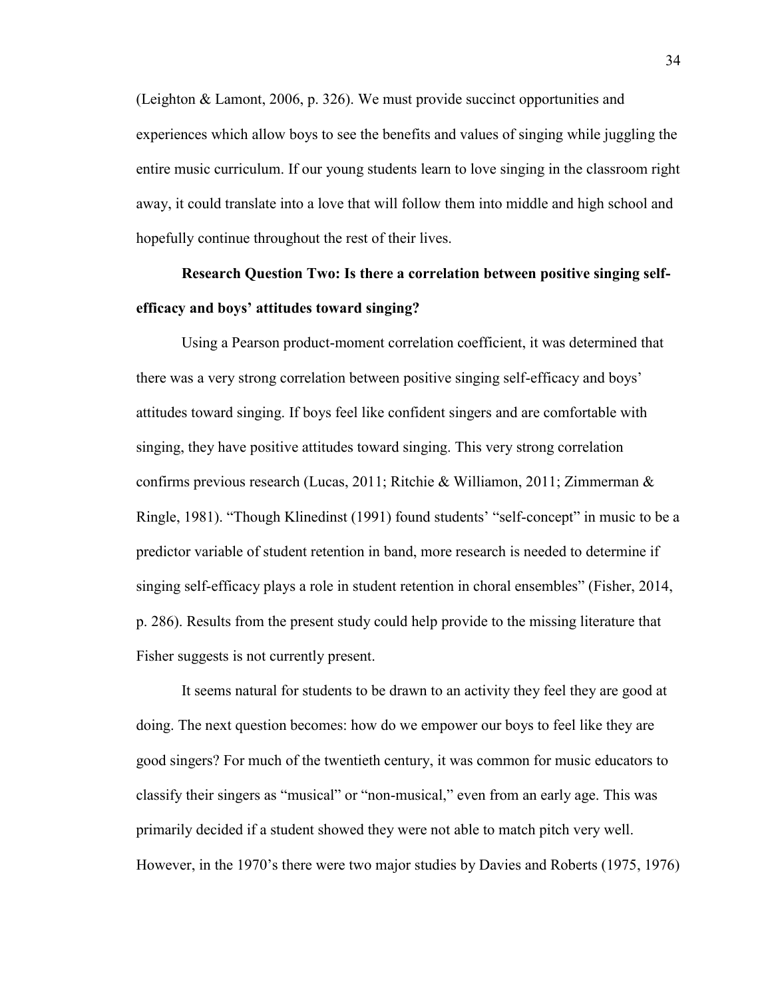(Leighton & Lamont, 2006, p. 326). We must provide succinct opportunities and experiences which allow boys to see the benefits and values of singing while juggling the entire music curriculum. If our young students learn to love singing in the classroom right away, it could translate into a love that will follow them into middle and high school and hopefully continue throughout the rest of their lives.

**Research Question Two: Is there a correlation between positive singing selfefficacy and boys' attitudes toward singing?**

Using a Pearson product-moment correlation coefficient, it was determined that there was a very strong correlation between positive singing self-efficacy and boys' attitudes toward singing. If boys feel like confident singers and are comfortable with singing, they have positive attitudes toward singing. This very strong correlation confirms previous research (Lucas, 2011; Ritchie & Williamon, 2011; Zimmerman & Ringle, 1981). "Though Klinedinst (1991) found students' "self-concept" in music to be a predictor variable of student retention in band, more research is needed to determine if singing self-efficacy plays a role in student retention in choral ensembles" (Fisher, 2014, p. 286). Results from the present study could help provide to the missing literature that Fisher suggests is not currently present.

It seems natural for students to be drawn to an activity they feel they are good at doing. The next question becomes: how do we empower our boys to feel like they are good singers? For much of the twentieth century, it was common for music educators to classify their singers as "musical" or "non-musical," even from an early age. This was primarily decided if a student showed they were not able to match pitch very well. However, in the 1970's there were two major studies by Davies and Roberts (1975, 1976)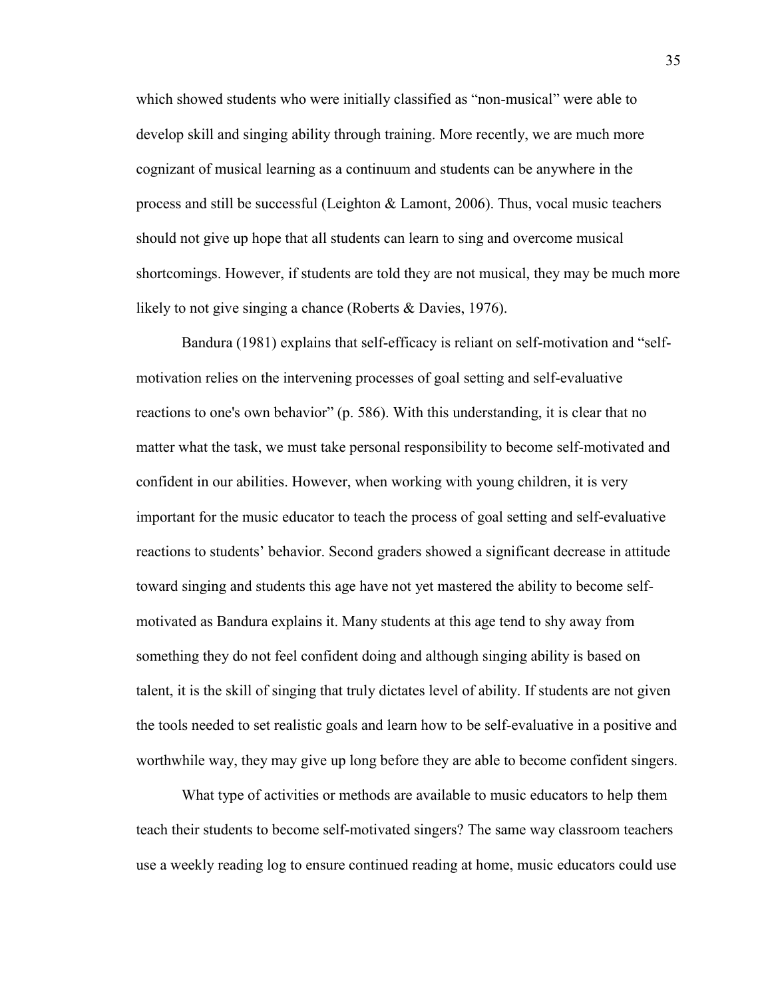which showed students who were initially classified as "non-musical" were able to develop skill and singing ability through training. More recently, we are much more cognizant of musical learning as a continuum and students can be anywhere in the process and still be successful (Leighton & Lamont, 2006). Thus, vocal music teachers should not give up hope that all students can learn to sing and overcome musical shortcomings. However, if students are told they are not musical, they may be much more likely to not give singing a chance (Roberts & Davies, 1976).

Bandura (1981) explains that self-efficacy is reliant on self-motivation and "selfmotivation relies on the intervening processes of goal setting and self-evaluative reactions to one's own behavior" (p. 586). With this understanding, it is clear that no matter what the task, we must take personal responsibility to become self-motivated and confident in our abilities. However, when working with young children, it is very important for the music educator to teach the process of goal setting and self-evaluative reactions to students' behavior. Second graders showed a significant decrease in attitude toward singing and students this age have not yet mastered the ability to become selfmotivated as Bandura explains it. Many students at this age tend to shy away from something they do not feel confident doing and although singing ability is based on talent, it is the skill of singing that truly dictates level of ability. If students are not given the tools needed to set realistic goals and learn how to be self-evaluative in a positive and worthwhile way, they may give up long before they are able to become confident singers.

What type of activities or methods are available to music educators to help them teach their students to become self-motivated singers? The same way classroom teachers use a weekly reading log to ensure continued reading at home, music educators could use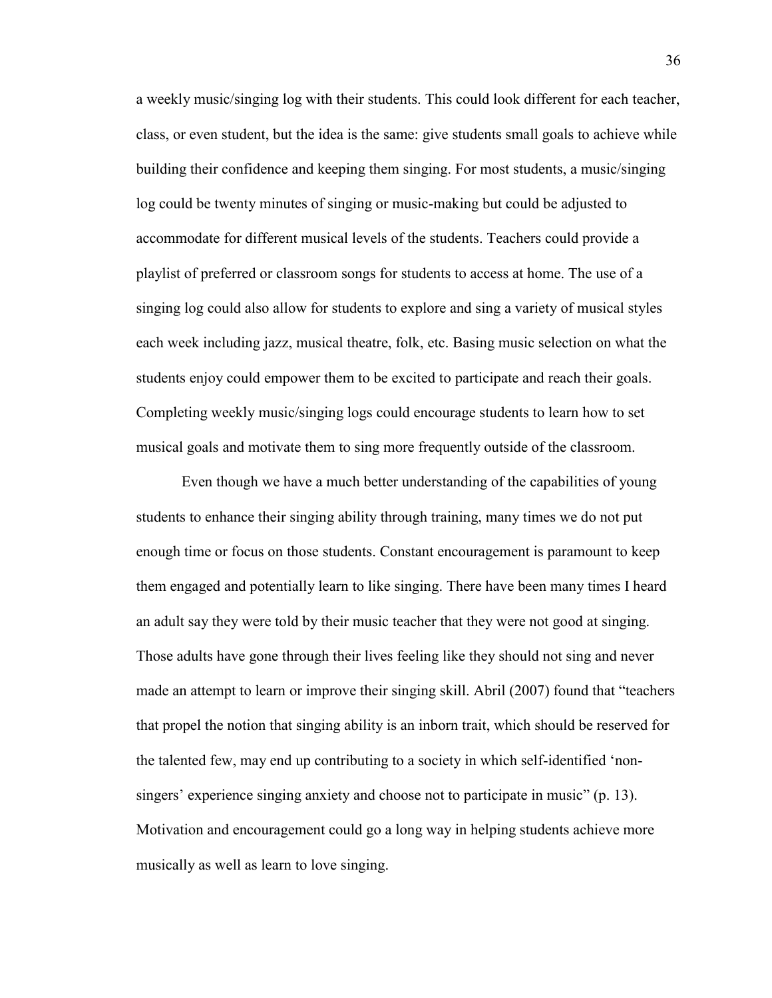a weekly music/singing log with their students. This could look different for each teacher, class, or even student, but the idea is the same: give students small goals to achieve while building their confidence and keeping them singing. For most students, a music/singing log could be twenty minutes of singing or music-making but could be adjusted to accommodate for different musical levels of the students. Teachers could provide a playlist of preferred or classroom songs for students to access at home. The use of a singing log could also allow for students to explore and sing a variety of musical styles each week including jazz, musical theatre, folk, etc. Basing music selection on what the students enjoy could empower them to be excited to participate and reach their goals. Completing weekly music/singing logs could encourage students to learn how to set musical goals and motivate them to sing more frequently outside of the classroom.

Even though we have a much better understanding of the capabilities of young students to enhance their singing ability through training, many times we do not put enough time or focus on those students. Constant encouragement is paramount to keep them engaged and potentially learn to like singing. There have been many times I heard an adult say they were told by their music teacher that they were not good at singing. Those adults have gone through their lives feeling like they should not sing and never made an attempt to learn or improve their singing skill. Abril (2007) found that "teachers that propel the notion that singing ability is an inborn trait, which should be reserved for the talented few, may end up contributing to a society in which self-identified 'nonsingers' experience singing anxiety and choose not to participate in music" (p. 13). Motivation and encouragement could go a long way in helping students achieve more musically as well as learn to love singing.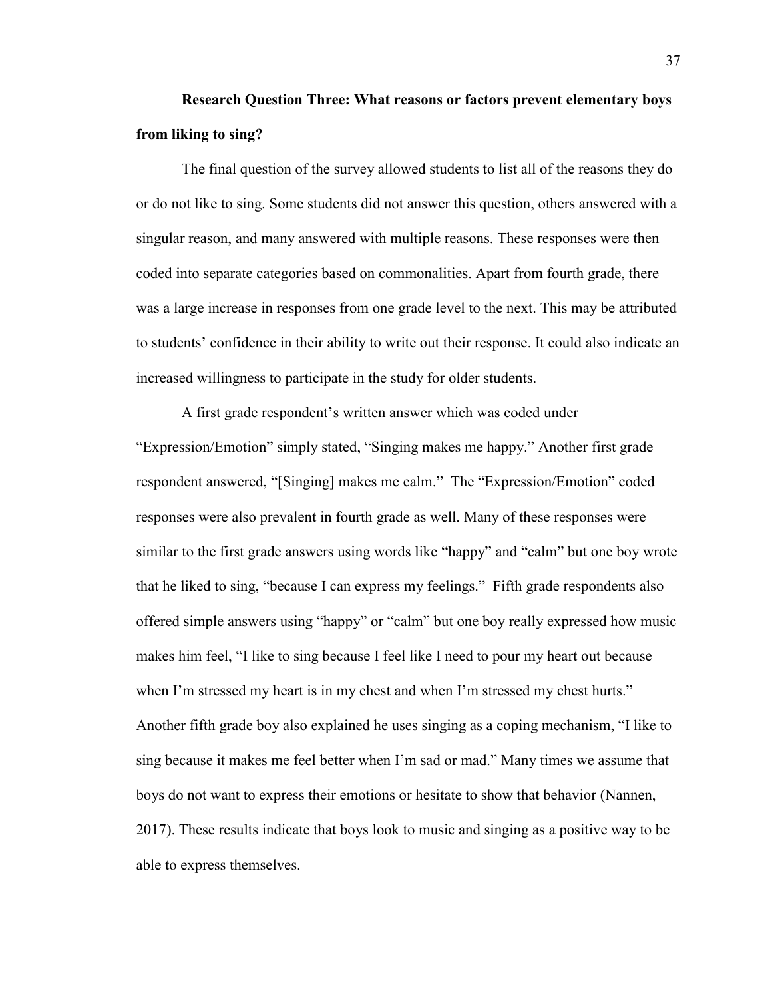# **Research Question Three: What reasons or factors prevent elementary boys from liking to sing?**

The final question of the survey allowed students to list all of the reasons they do or do not like to sing. Some students did not answer this question, others answered with a singular reason, and many answered with multiple reasons. These responses were then coded into separate categories based on commonalities. Apart from fourth grade, there was a large increase in responses from one grade level to the next. This may be attributed to students' confidence in their ability to write out their response. It could also indicate an increased willingness to participate in the study for older students.

A first grade respondent's written answer which was coded under "Expression/Emotion" simply stated, "Singing makes me happy." Another first grade respondent answered, "[Singing] makes me calm." The "Expression/Emotion" coded responses were also prevalent in fourth grade as well. Many of these responses were similar to the first grade answers using words like "happy" and "calm" but one boy wrote that he liked to sing, "because I can express my feelings." Fifth grade respondents also offered simple answers using "happy" or "calm" but one boy really expressed how music makes him feel, "I like to sing because I feel like I need to pour my heart out because when I'm stressed my heart is in my chest and when I'm stressed my chest hurts." Another fifth grade boy also explained he uses singing as a coping mechanism, "I like to sing because it makes me feel better when I'm sad or mad." Many times we assume that boys do not want to express their emotions or hesitate to show that behavior (Nannen, 2017). These results indicate that boys look to music and singing as a positive way to be able to express themselves.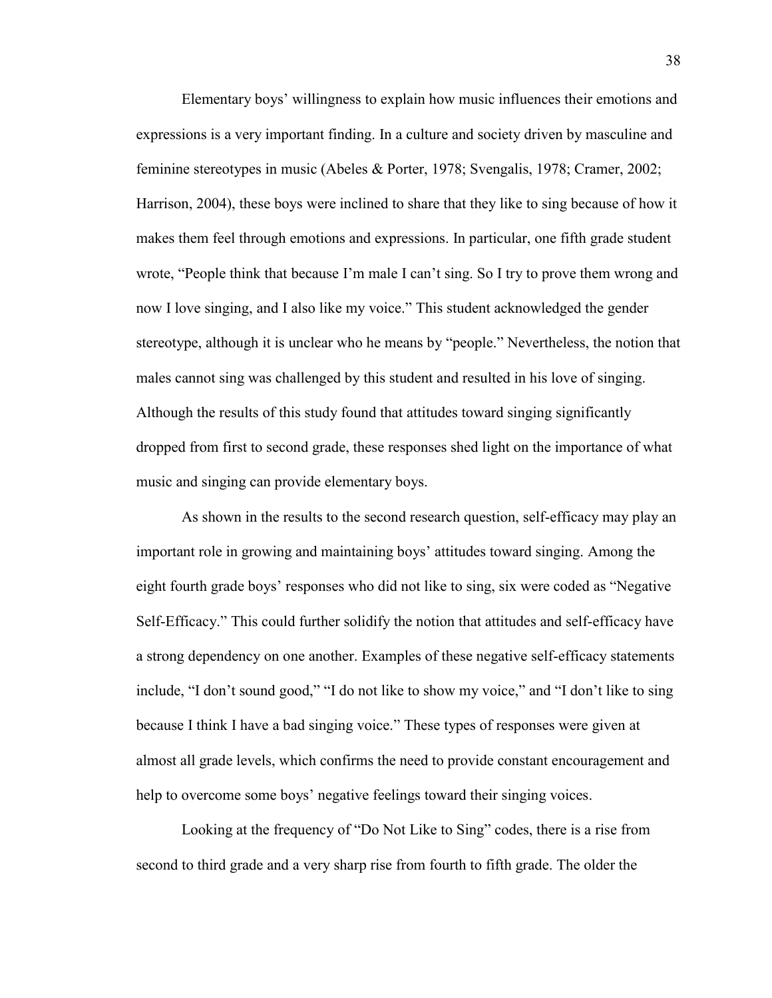Elementary boys' willingness to explain how music influences their emotions and expressions is a very important finding. In a culture and society driven by masculine and feminine stereotypes in music (Abeles & Porter, 1978; Svengalis, 1978; Cramer, 2002; Harrison, 2004), these boys were inclined to share that they like to sing because of how it makes them feel through emotions and expressions. In particular, one fifth grade student wrote, "People think that because I'm male I can't sing. So I try to prove them wrong and now I love singing, and I also like my voice." This student acknowledged the gender stereotype, although it is unclear who he means by "people." Nevertheless, the notion that males cannot sing was challenged by this student and resulted in his love of singing. Although the results of this study found that attitudes toward singing significantly dropped from first to second grade, these responses shed light on the importance of what music and singing can provide elementary boys.

As shown in the results to the second research question, self-efficacy may play an important role in growing and maintaining boys' attitudes toward singing. Among the eight fourth grade boys' responses who did not like to sing, six were coded as "Negative Self-Efficacy." This could further solidify the notion that attitudes and self-efficacy have a strong dependency on one another. Examples of these negative self-efficacy statements include, "I don't sound good," "I do not like to show my voice," and "I don't like to sing because I think I have a bad singing voice." These types of responses were given at almost all grade levels, which confirms the need to provide constant encouragement and help to overcome some boys' negative feelings toward their singing voices.

Looking at the frequency of "Do Not Like to Sing" codes, there is a rise from second to third grade and a very sharp rise from fourth to fifth grade. The older the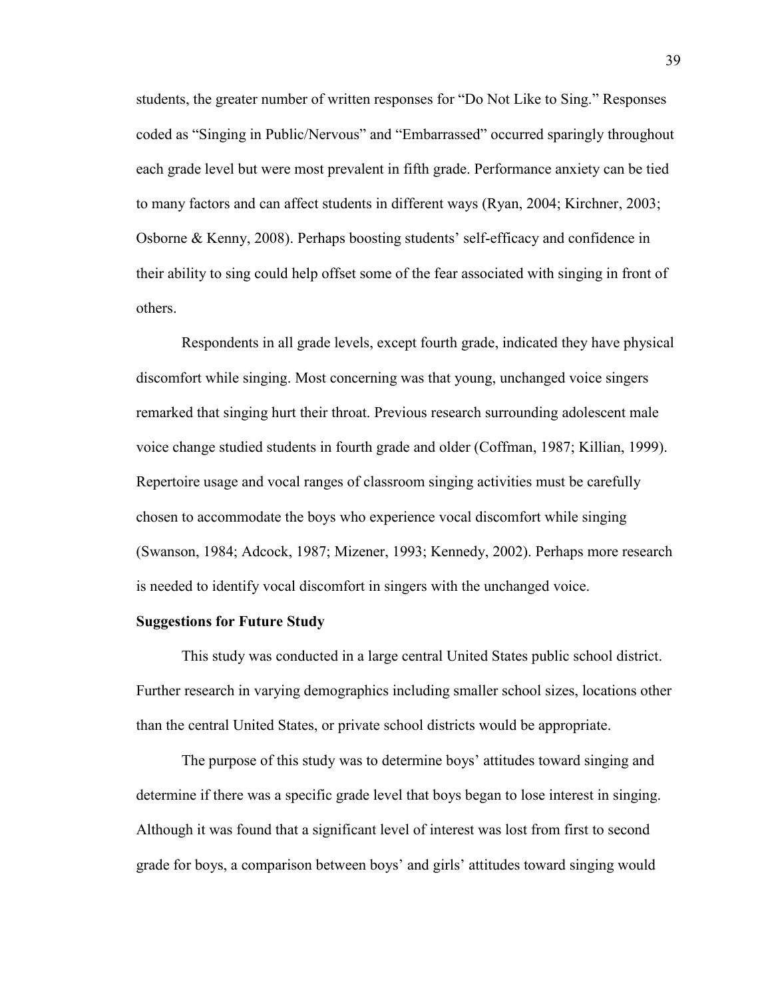students, the greater number of written responses for "Do Not Like to Sing." Responses coded as "Singing in Public/Nervous" and "Embarrassed" occurred sparingly throughout each grade level but were most prevalent in fifth grade. Performance anxiety can be tied to many factors and can affect students in different ways (Ryan, 2004; Kirchner, 2003; Osborne & Kenny, 2008). Perhaps boosting students' self-efficacy and confidence in their ability to sing could help offset some of the fear associated with singing in front of others.

Respondents in all grade levels, except fourth grade, indicated they have physical discomfort while singing. Most concerning was that young, unchanged voice singers remarked that singing hurt their throat. Previous research surrounding adolescent male voice change studied students in fourth grade and older (Coffman, 1987; Killian, 1999). Repertoire usage and vocal ranges of classroom singing activities must be carefully chosen to accommodate the boys who experience vocal discomfort while singing (Swanson, 1984; Adcock, 1987; Mizener, 1993; Kennedy, 2002). Perhaps more research is needed to identify vocal discomfort in singers with the unchanged voice.

## **Suggestions for Future Study**

This study was conducted in a large central United States public school district. Further research in varying demographics including smaller school sizes, locations other than the central United States, or private school districts would be appropriate.

The purpose of this study was to determine boys' attitudes toward singing and determine if there was a specific grade level that boys began to lose interest in singing. Although it was found that a significant level of interest was lost from first to second grade for boys, a comparison between boys' and girls' attitudes toward singing would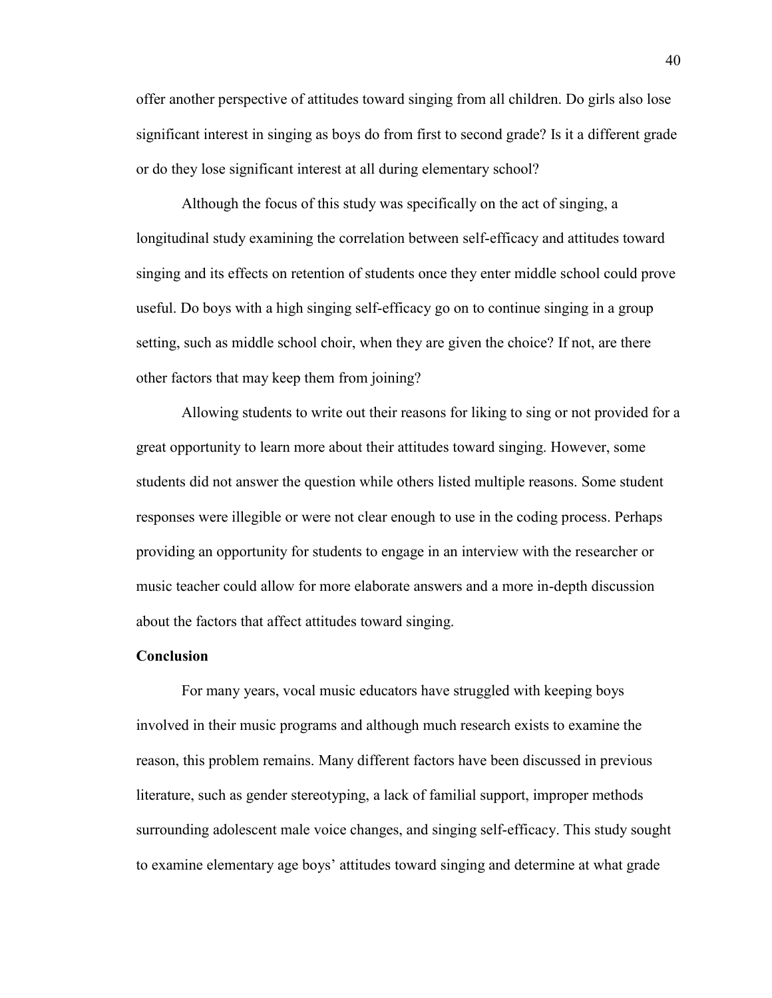offer another perspective of attitudes toward singing from all children. Do girls also lose significant interest in singing as boys do from first to second grade? Is it a different grade or do they lose significant interest at all during elementary school?

Although the focus of this study was specifically on the act of singing, a longitudinal study examining the correlation between self-efficacy and attitudes toward singing and its effects on retention of students once they enter middle school could prove useful. Do boys with a high singing self-efficacy go on to continue singing in a group setting, such as middle school choir, when they are given the choice? If not, are there other factors that may keep them from joining?

Allowing students to write out their reasons for liking to sing or not provided for a great opportunity to learn more about their attitudes toward singing. However, some students did not answer the question while others listed multiple reasons. Some student responses were illegible or were not clear enough to use in the coding process. Perhaps providing an opportunity for students to engage in an interview with the researcher or music teacher could allow for more elaborate answers and a more in-depth discussion about the factors that affect attitudes toward singing.

#### **Conclusion**

For many years, vocal music educators have struggled with keeping boys involved in their music programs and although much research exists to examine the reason, this problem remains. Many different factors have been discussed in previous literature, such as gender stereotyping, a lack of familial support, improper methods surrounding adolescent male voice changes, and singing self-efficacy. This study sought to examine elementary age boys' attitudes toward singing and determine at what grade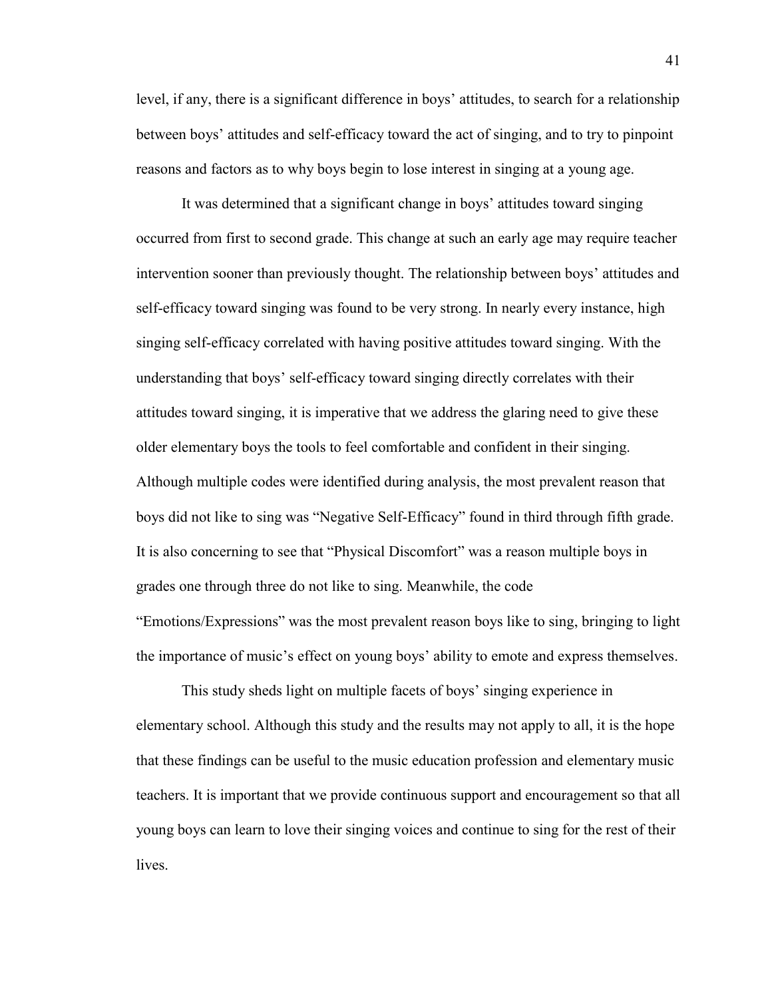level, if any, there is a significant difference in boys' attitudes, to search for a relationship between boys' attitudes and self-efficacy toward the act of singing, and to try to pinpoint reasons and factors as to why boys begin to lose interest in singing at a young age.

It was determined that a significant change in boys' attitudes toward singing occurred from first to second grade. This change at such an early age may require teacher intervention sooner than previously thought. The relationship between boys' attitudes and self-efficacy toward singing was found to be very strong. In nearly every instance, high singing self-efficacy correlated with having positive attitudes toward singing. With the understanding that boys' self-efficacy toward singing directly correlates with their attitudes toward singing, it is imperative that we address the glaring need to give these older elementary boys the tools to feel comfortable and confident in their singing. Although multiple codes were identified during analysis, the most prevalent reason that boys did not like to sing was "Negative Self-Efficacy" found in third through fifth grade. It is also concerning to see that "Physical Discomfort" was a reason multiple boys in grades one through three do not like to sing. Meanwhile, the code "Emotions/Expressions" was the most prevalent reason boys like to sing, bringing to light the importance of music's effect on young boys' ability to emote and express themselves.

This study sheds light on multiple facets of boys' singing experience in elementary school. Although this study and the results may not apply to all, it is the hope that these findings can be useful to the music education profession and elementary music teachers. It is important that we provide continuous support and encouragement so that all young boys can learn to love their singing voices and continue to sing for the rest of their lives.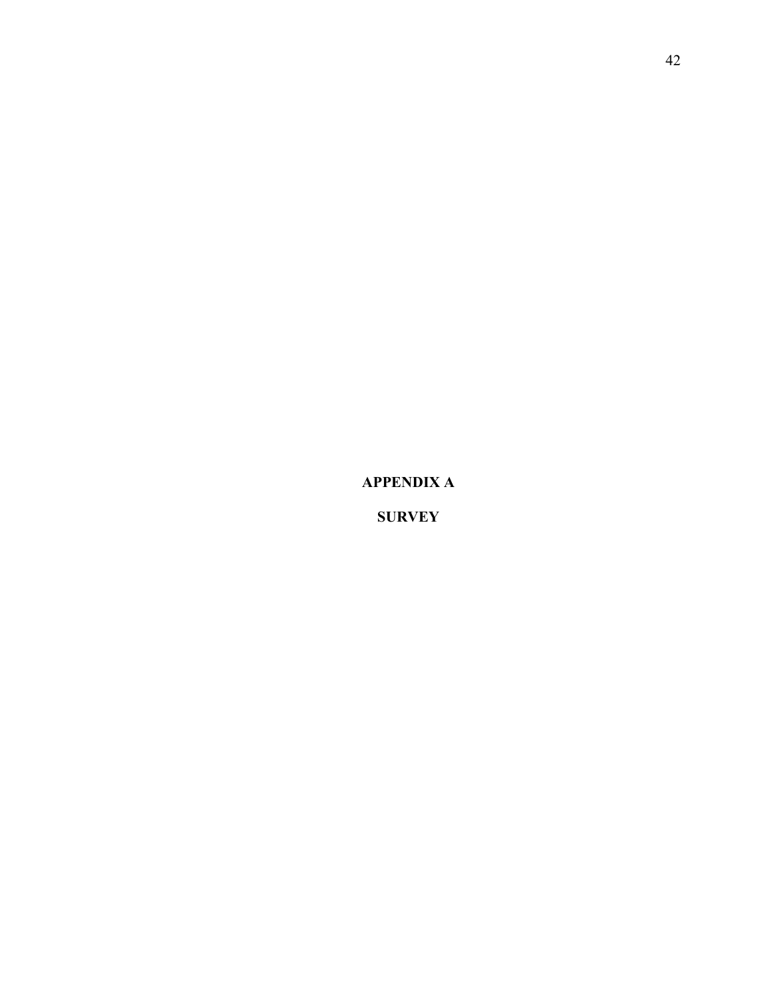**APPENDIX A**

**SURVEY**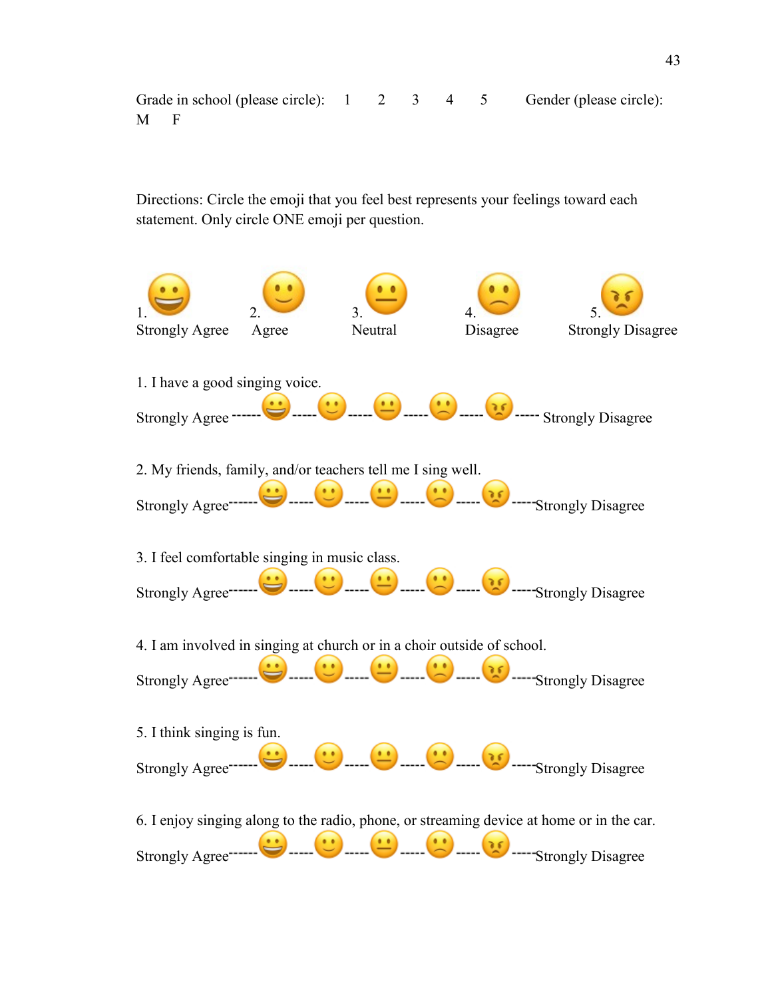Grade in school (please circle):  $1 \quad 2 \quad 3 \quad 4 \quad 5$  Gender (please circle): M F

Directions: Circle the emoji that you feel best represents your feelings toward each statement. Only circle ONE emoji per question.

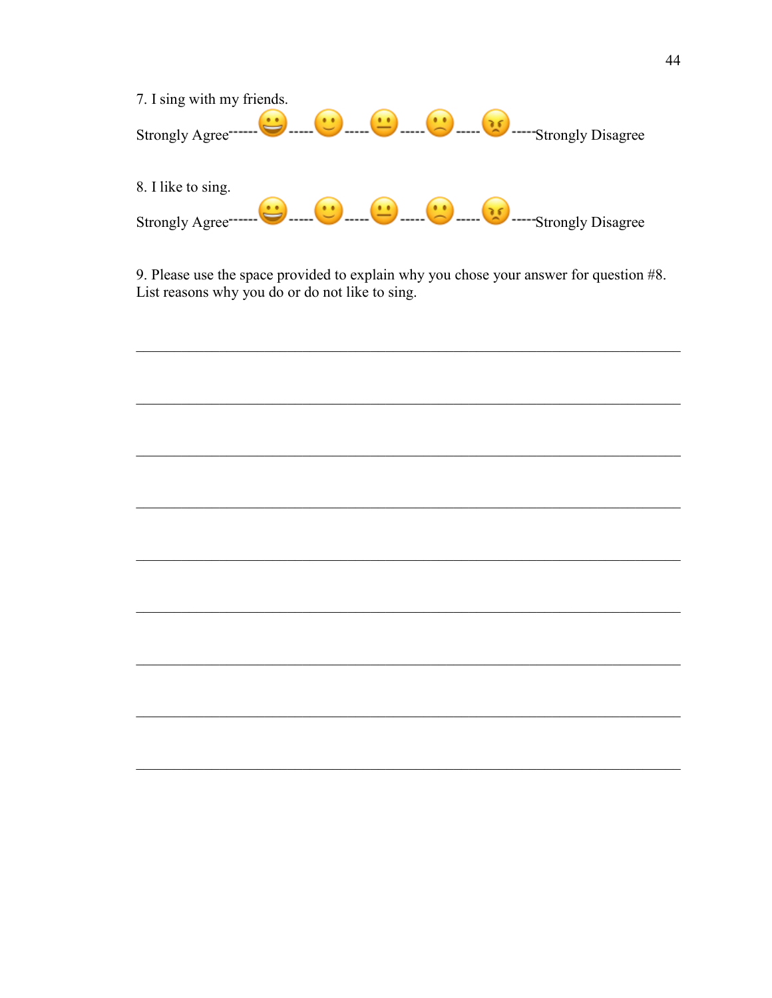

9. Please use the space provided to explain why you chose your answer for question #8. List reasons why you do or do not like to sing.

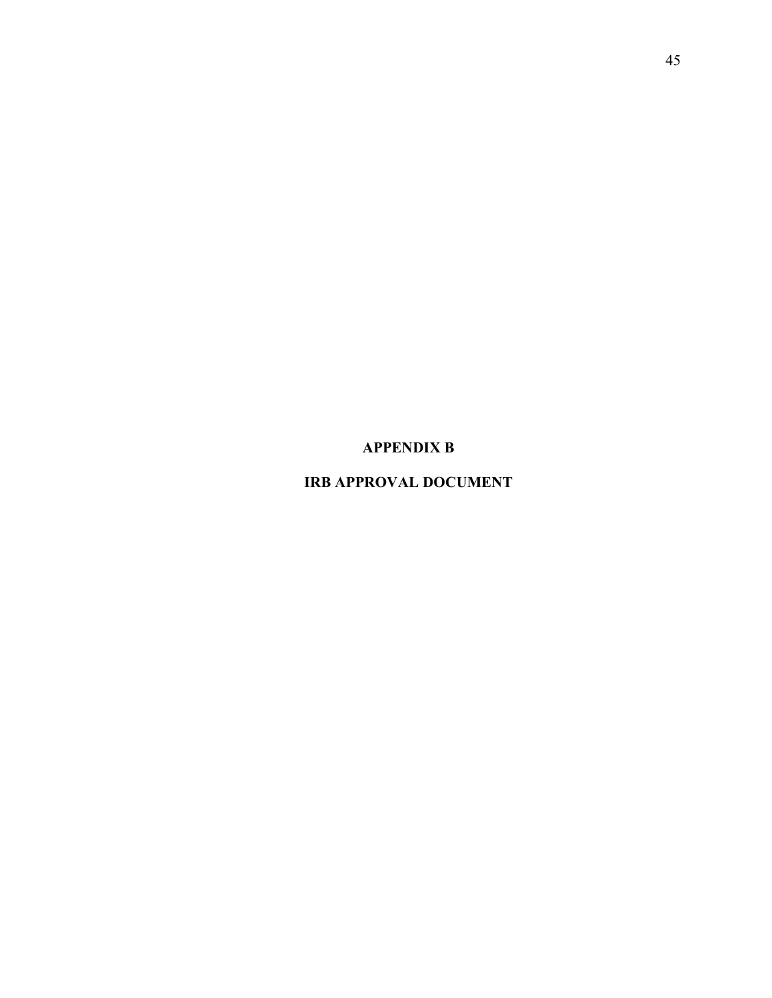**APPENDIX B**

**IRB APPROVAL DOCUMENT**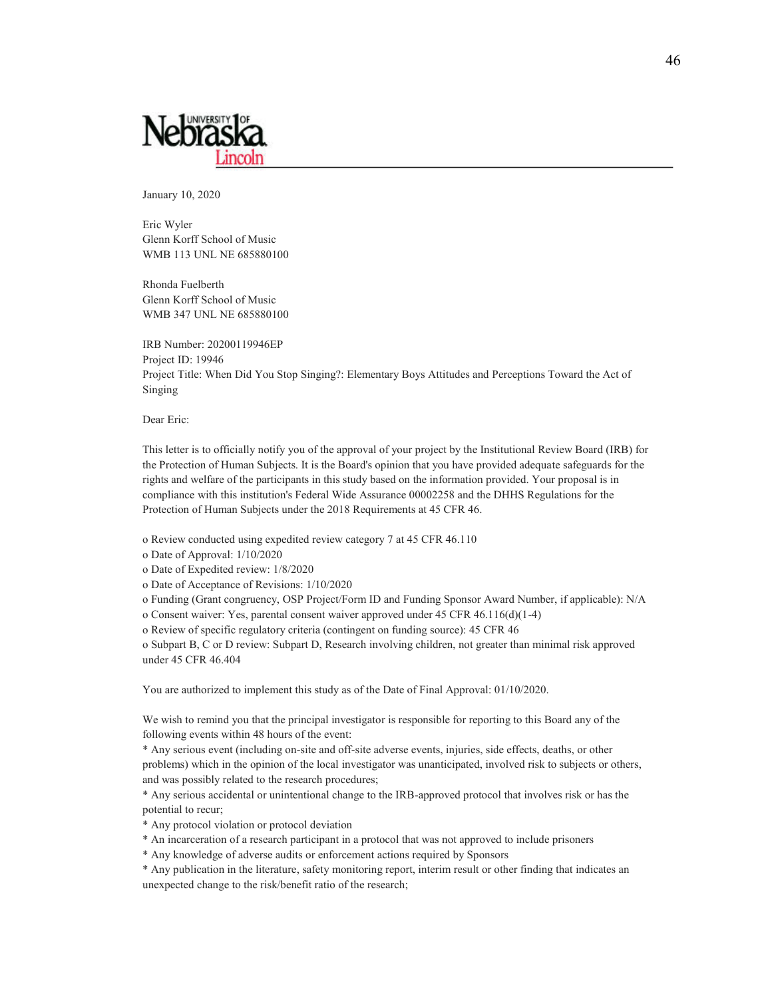

January 10, 2020

Eric Wyler Glenn Korff School of Music WMB 113 UNL NE 685880100

Rhonda Fuelberth Glenn Korff School of Music WMB 347 UNL NE 685880100

IRB Number: 20200119946EP Project ID: 19946 Project Title: When Did You Stop Singing?: Elementary Boys Attitudes and Perceptions Toward the Act of Singing

Dear Eric:

This letter is to officially notify you of the approval of your project by the Institutional Review Board (IRB) for the Protection of Human Subjects. It is the Board's opinion that you have provided adequate safeguards for the rights and welfare of the participants in this study based on the information provided. Your proposal is in compliance with this institution's Federal Wide Assurance 00002258 and the DHHS Regulations for the Protection of Human Subjects under the 2018 Requirements at 45 CFR 46.

o Review conducted using expedited review category 7 at 45 CFR 46.110

o Date of Approval: 1/10/2020

o Date of Expedited review: 1/8/2020

o Date of Acceptance of Revisions: 1/10/2020

o Funding (Grant congruency, OSP Project/Form ID and Funding Sponsor Award Number, if applicable): N/A

o Consent waiver: Yes, parental consent waiver approved under 45 CFR 46.116(d)(1-4)

o Review of specific regulatory criteria (contingent on funding source): 45 CFR 46

o Subpart B, C or D review: Subpart D, Research involving children, not greater than minimal risk approved under 45 CFR 46.404

You are authorized to implement this study as of the Date of Final Approval: 01/10/2020.

We wish to remind you that the principal investigator is responsible for reporting to this Board any of the following events within 48 hours of the event:

\* Any serious event (including on-site and off-site adverse events, injuries, side effects, deaths, or other problems) which in the opinion of the local investigator was unanticipated, involved risk to subjects or others, and was possibly related to the research procedures;

\* Any serious accidental or unintentional change to the IRB-approved protocol that involves risk or has the potential to recur;

\* Any protocol violation or protocol deviation

\* An incarceration of a research participant in a protocol that was not approved to include prisoners

\* Any knowledge of adverse audits or enforcement actions required by Sponsors

\* Any publication in the literature, safety monitoring report, interim result or other finding that indicates an unexpected change to the risk/benefit ratio of the research;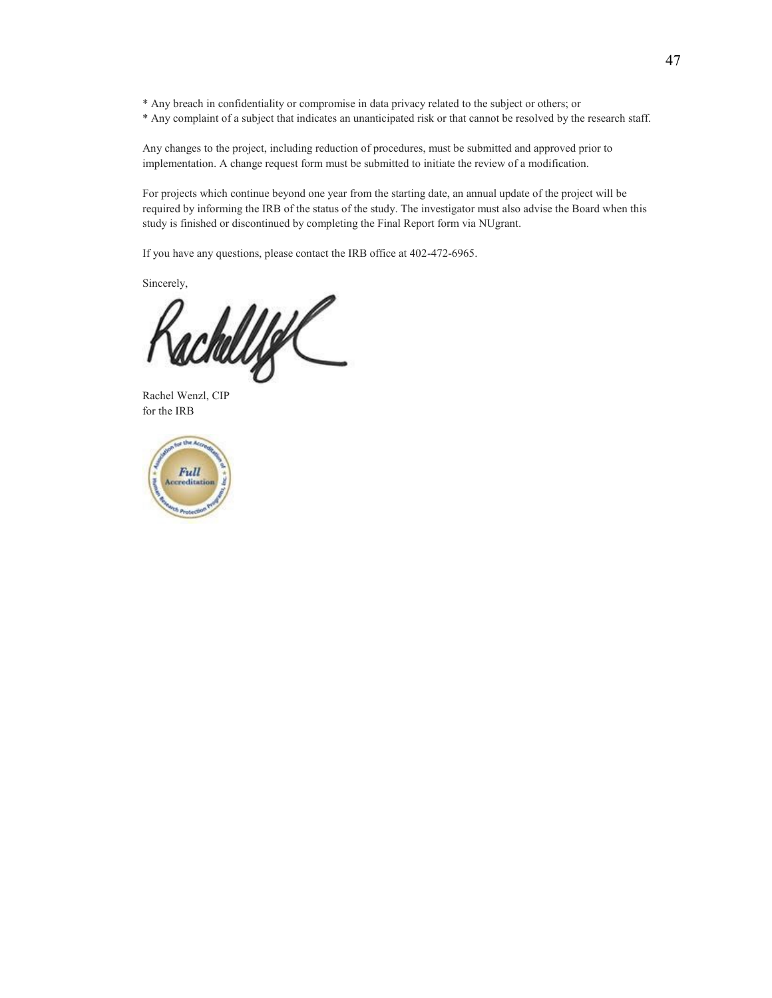\* Any breach in confidentiality or compromise in data privacy related to the subject or others; or

\* Any complaint of a subject that indicates an unanticipated risk or that cannot be resolved by the research staff.

Any changes to the project, including reduction of procedures, must be submitted and approved prior to implementation. A change request form must be submitted to initiate the review of a modification.

For projects which continue beyond one year from the starting date, an annual update of the project will be required by informing the IRB of the status of the study. The investigator must also advise the Board when this study is finished or discontinued by completing the Final Report form via NUgrant.

If you have any questions, please contact the IRB office at 402-472-6965.

Sincerely,

achellige

Rachel Wenzl, CIP for the IRB

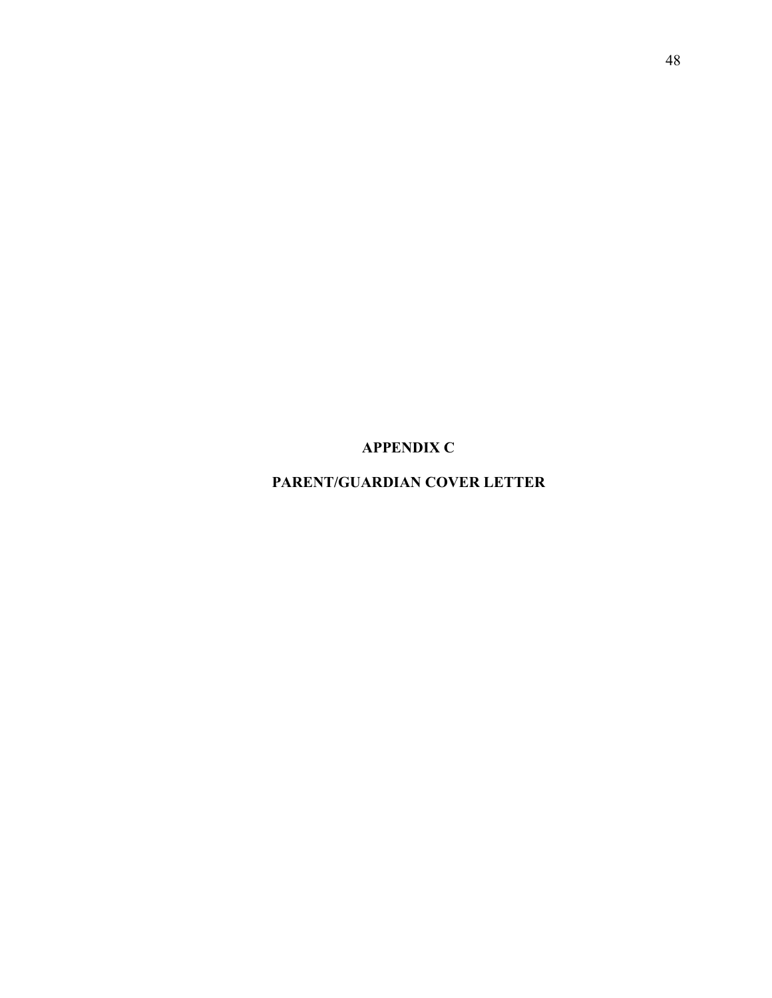**APPENDIX C**

**PARENT/GUARDIAN COVER LETTER**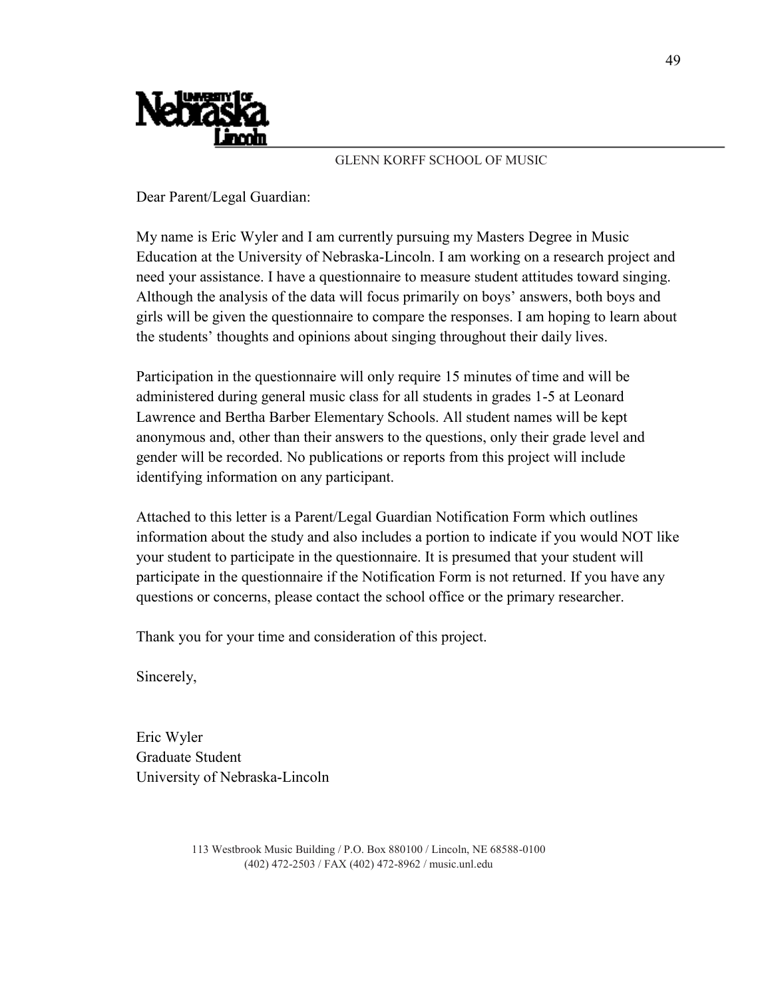

## GLENN KORFF SCHOOL OF MUSIC

Dear Parent/Legal Guardian:

My name is Eric Wyler and I am currently pursuing my Masters Degree in Music Education at the University of Nebraska-Lincoln. I am working on a research project and need your assistance. I have a questionnaire to measure student attitudes toward singing. Although the analysis of the data will focus primarily on boys' answers, both boys and girls will be given the questionnaire to compare the responses. I am hoping to learn about the students' thoughts and opinions about singing throughout their daily lives.

Participation in the questionnaire will only require 15 minutes of time and will be administered during general music class for all students in grades 1-5 at Leonard Lawrence and Bertha Barber Elementary Schools. All student names will be kept anonymous and, other than their answers to the questions, only their grade level and gender will be recorded. No publications or reports from this project will include identifying information on any participant.

Attached to this letter is a Parent/Legal Guardian Notification Form which outlines information about the study and also includes a portion to indicate if you would NOT like your student to participate in the questionnaire. It is presumed that your student will participate in the questionnaire if the Notification Form is not returned. If you have any questions or concerns, please contact the school office or the primary researcher.

Thank you for your time and consideration of this project.

Sincerely,

Eric Wyler Graduate Student University of Nebraska-Lincoln

> 113 Westbrook Music Building / P.O. Box 880100 / Lincoln, NE 68588-0100 (402) 472-2503 / FAX (402) 472-8962 / music.unl.edu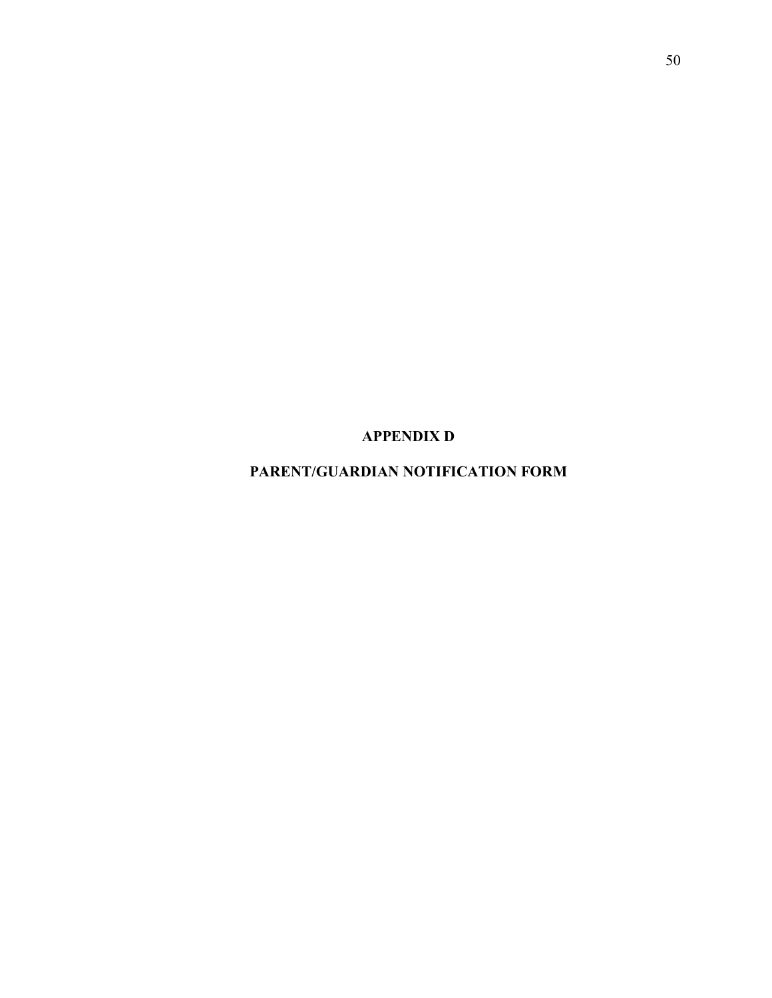**APPENDIX D**

**PARENT/GUARDIAN NOTIFICATION FORM**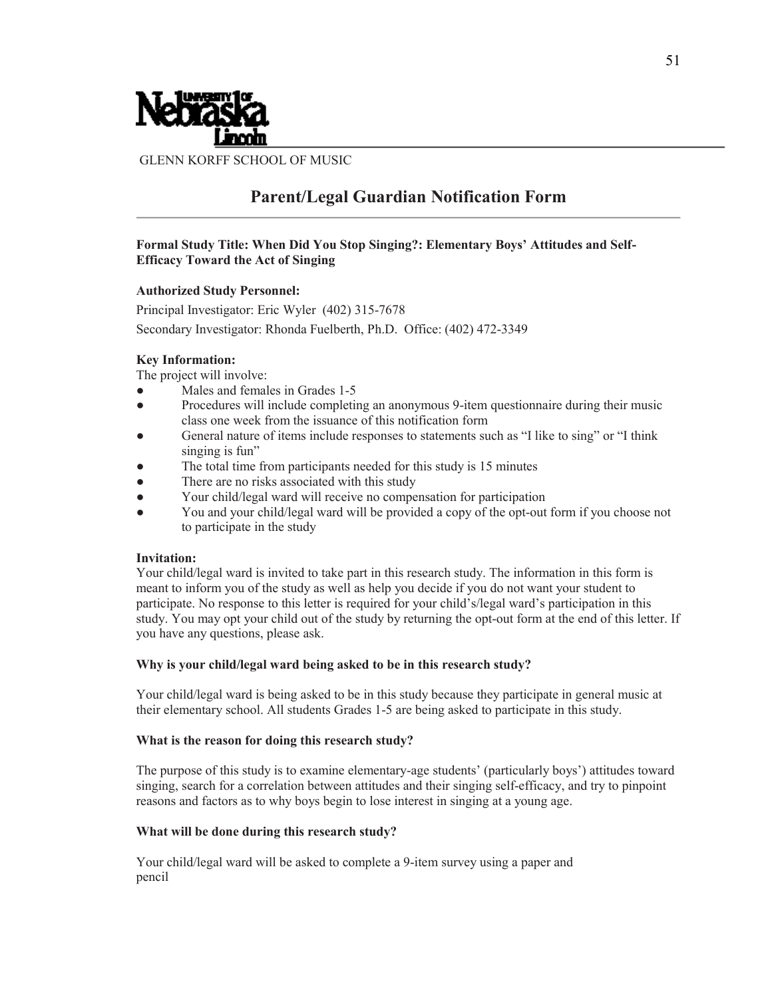

GLENN KORFF SCHOOL OF MUSIC

## **Parent/Legal Guardian Notification Form**

## **Formal Study Title: When Did You Stop Singing?: Elementary Boys' Attitudes and Self-Efficacy Toward the Act of Singing**

#### **Authorized Study Personnel:**

Principal Investigator: Eric Wyler (402) 315-7678 Secondary Investigator: Rhonda Fuelberth, Ph.D. Office: (402) 472-3349

#### **Key Information:**

The project will involve:

- Males and females in Grades 1-5
- Procedures will include completing an anonymous 9-item questionnaire during their music class one week from the issuance of this notification form
- General nature of items include responses to statements such as "I like to sing" or "I think singing is fun"
- The total time from participants needed for this study is 15 minutes
- There are no risks associated with this study
- Your child/legal ward will receive no compensation for participation
- You and your child/legal ward will be provided a copy of the opt-out form if you choose not to participate in the study

#### **Invitation:**

Your child/legal ward is invited to take part in this research study. The information in this form is meant to inform you of the study as well as help you decide if you do not want your student to participate. No response to this letter is required for your child's/legal ward's participation in this study. You may opt your child out of the study by returning the opt-out form at the end of this letter. If you have any questions, please ask.

#### **Why is your child/legal ward being asked to be in this research study?**

Your child/legal ward is being asked to be in this study because they participate in general music at their elementary school. All students Grades 1-5 are being asked to participate in this study.

#### **What is the reason for doing this research study?**

The purpose of this study is to examine elementary-age students' (particularly boys') attitudes toward singing, search for a correlation between attitudes and their singing self-efficacy, and try to pinpoint reasons and factors as to why boys begin to lose interest in singing at a young age.

#### **What will be done during this research study?**

Your child/legal ward will be asked to complete a 9-item survey using a paper and pencil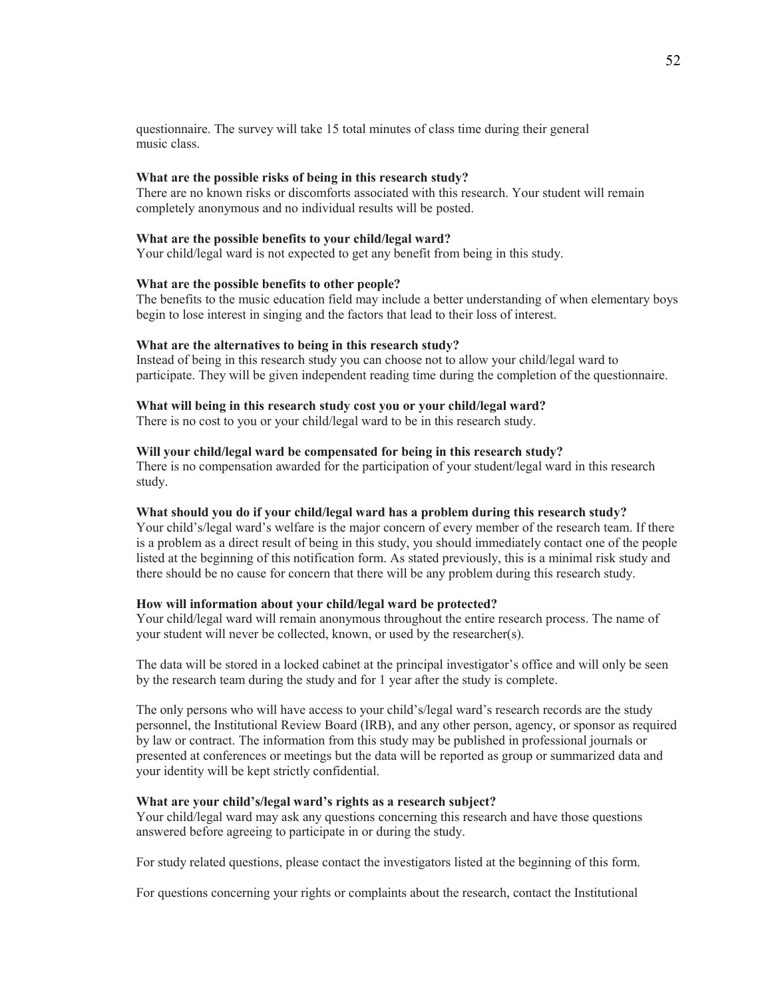questionnaire. The survey will take 15 total minutes of class time during their general music class.

### **What are the possible risks of being in this research study?**

There are no known risks or discomforts associated with this research. Your student will remain completely anonymous and no individual results will be posted.

#### **What are the possible benefits to your child/legal ward?**

Your child/legal ward is not expected to get any benefit from being in this study.

#### **What are the possible benefits to other people?**

The benefits to the music education field may include a better understanding of when elementary boys begin to lose interest in singing and the factors that lead to their loss of interest.

#### **What are the alternatives to being in this research study?**

Instead of being in this research study you can choose not to allow your child/legal ward to participate. They will be given independent reading time during the completion of the questionnaire.

#### **What will being in this research study cost you or your child/legal ward?**

There is no cost to you or your child/legal ward to be in this research study.

#### **Will your child/legal ward be compensated for being in this research study?**

There is no compensation awarded for the participation of your student/legal ward in this research study.

#### **What should you do if your child/legal ward has a problem during this research study?**

Your child's/legal ward's welfare is the major concern of every member of the research team. If there is a problem as a direct result of being in this study, you should immediately contact one of the people listed at the beginning of this notification form. As stated previously, this is a minimal risk study and there should be no cause for concern that there will be any problem during this research study.

#### **How will information about your child/legal ward be protected?**

Your child/legal ward will remain anonymous throughout the entire research process. The name of your student will never be collected, known, or used by the researcher(s).

The data will be stored in a locked cabinet at the principal investigator's office and will only be seen by the research team during the study and for 1 year after the study is complete.

The only persons who will have access to your child's/legal ward's research records are the study personnel, the Institutional Review Board (IRB), and any other person, agency, or sponsor as required by law or contract. The information from this study may be published in professional journals or presented at conferences or meetings but the data will be reported as group or summarized data and your identity will be kept strictly confidential.

#### **What are your child's/legal ward's rights as a research subject?**

Your child/legal ward may ask any questions concerning this research and have those questions answered before agreeing to participate in or during the study.

For study related questions, please contact the investigators listed at the beginning of this form.

For questions concerning your rights or complaints about the research, contact the Institutional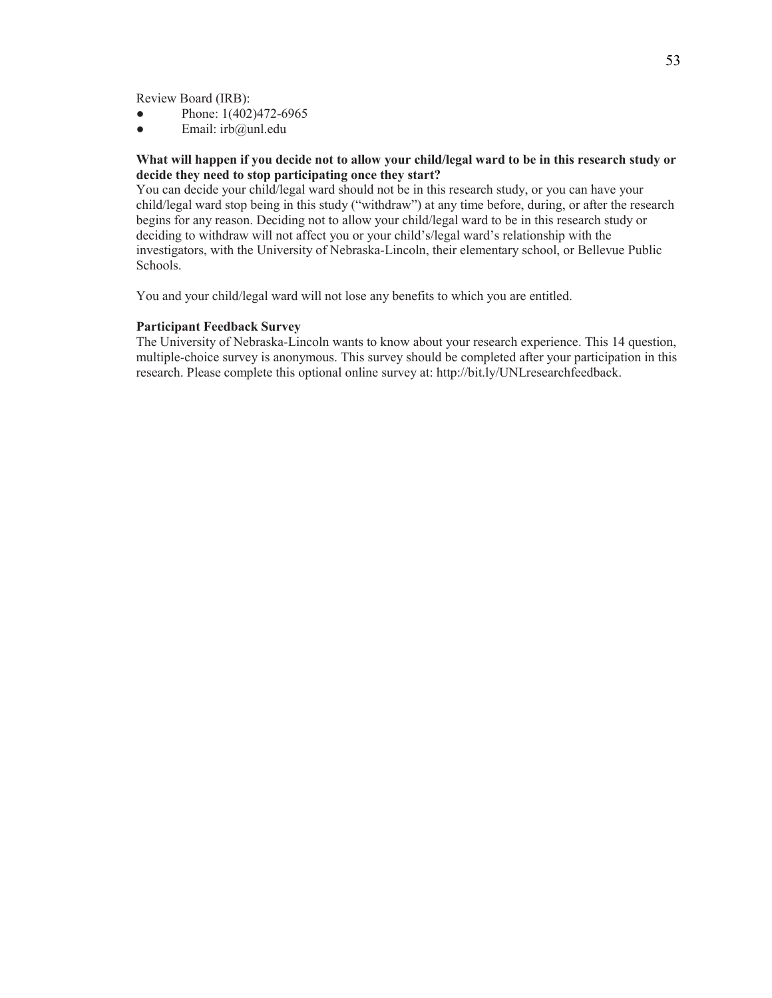Review Board (IRB):

- Phone: 1(402)472-6965
- $\bullet$  Email: irb@unl.edu

#### **What will happen if you decide not to allow your child/legal ward to be in this research study or decide they need to stop participating once they start?**

You can decide your child/legal ward should not be in this research study, or you can have your child/legal ward stop being in this study ("withdraw") at any time before, during, or after the research begins for any reason. Deciding not to allow your child/legal ward to be in this research study or deciding to withdraw will not affect you or your child's/legal ward's relationship with the investigators, with the University of Nebraska-Lincoln, their elementary school, or Bellevue Public Schools.

You and your child/legal ward will not lose any benefits to which you are entitled.

#### **Participant Feedback Survey**

The University of Nebraska-Lincoln wants to know about your research experience. This 14 question, multiple-choice survey is anonymous. This survey should be completed after your participation in this research. Please complete this optional online survey at: http://bit.ly/UNLresearchfeedback.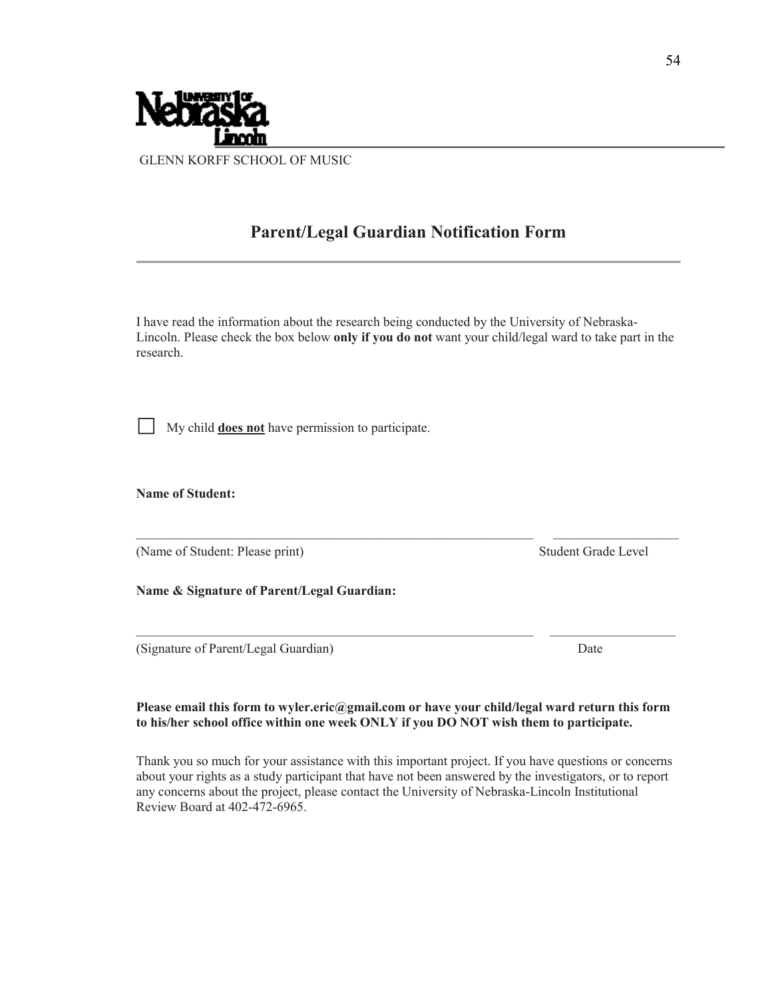

## **Parent/Legal Guardian Notification Form**

I have read the information about the research being conducted by the University of Nebraska-Lincoln. Please check the box below **only if you do not** want your child/legal ward to take part in the research.

⃞ My child **does not** have permission to participate.

**Name of Student:**

(Name of Student: Please print) Student Grade Level

**Name & Signature of Parent/Legal Guardian:**

(Signature of Parent/Legal Guardian) Date

## **Please email this form to wyler.eric@gmail.com or have your child/legal ward return this form to his/her school office within one week ONLY if you DO NOT wish them to participate.**

Thank you so much for your assistance with this important project. If you have questions or concerns about your rights as a study participant that have not been answered by the investigators, or to report any concerns about the project, please contact the University of Nebraska-Lincoln Institutional Review Board at 402-472-6965.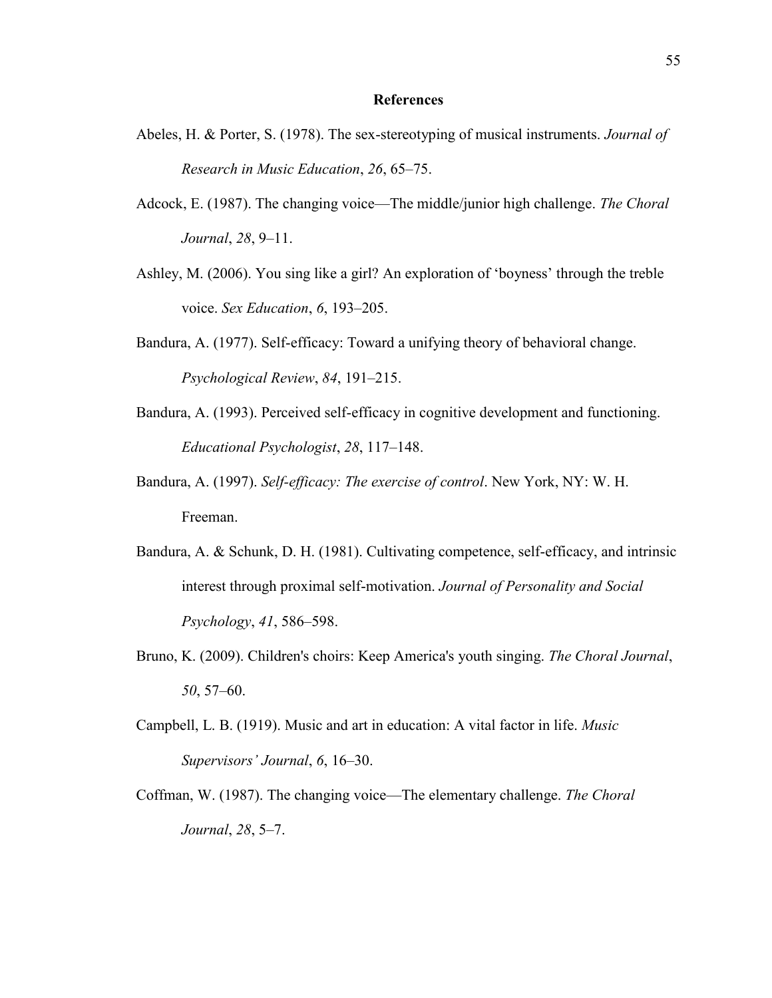#### **References**

- Abeles, H. & Porter, S. (1978). The sex-stereotyping of musical instruments. *Journal of Research in Music Education*, *26*, 65–75.
- Adcock, E. (1987). The changing voice—The middle/junior high challenge. *The Choral Journal*, *28*, 9–11.
- Ashley, M. (2006). You sing like a girl? An exploration of 'boyness' through the treble voice. *Sex Education*, *6*, 193–205.
- Bandura, A. (1977). Self-efficacy: Toward a unifying theory of behavioral change. *Psychological Review*, *84*, 191–215.
- Bandura, A. (1993). Perceived self-efficacy in cognitive development and functioning. *Educational Psychologist*, *28*, 117–148.
- Bandura, A. (1997). *Self-efficacy: The exercise of control*. New York, NY: W. H. Freeman.
- Bandura, A. & Schunk, D. H. (1981). Cultivating competence, self-efficacy, and intrinsic interest through proximal self-motivation. *Journal of Personality and Social Psychology*, *41*, 586–598.
- Bruno, K. (2009). Children's choirs: Keep America's youth singing. *The Choral Journal*, *50*, 57–60.
- Campbell, L. B. (1919). Music and art in education: A vital factor in life. *Music Supervisors' Journal*, *6*, 16–30.
- Coffman, W. (1987). The changing voice—The elementary challenge. *The Choral Journal*, *28*, 5–7.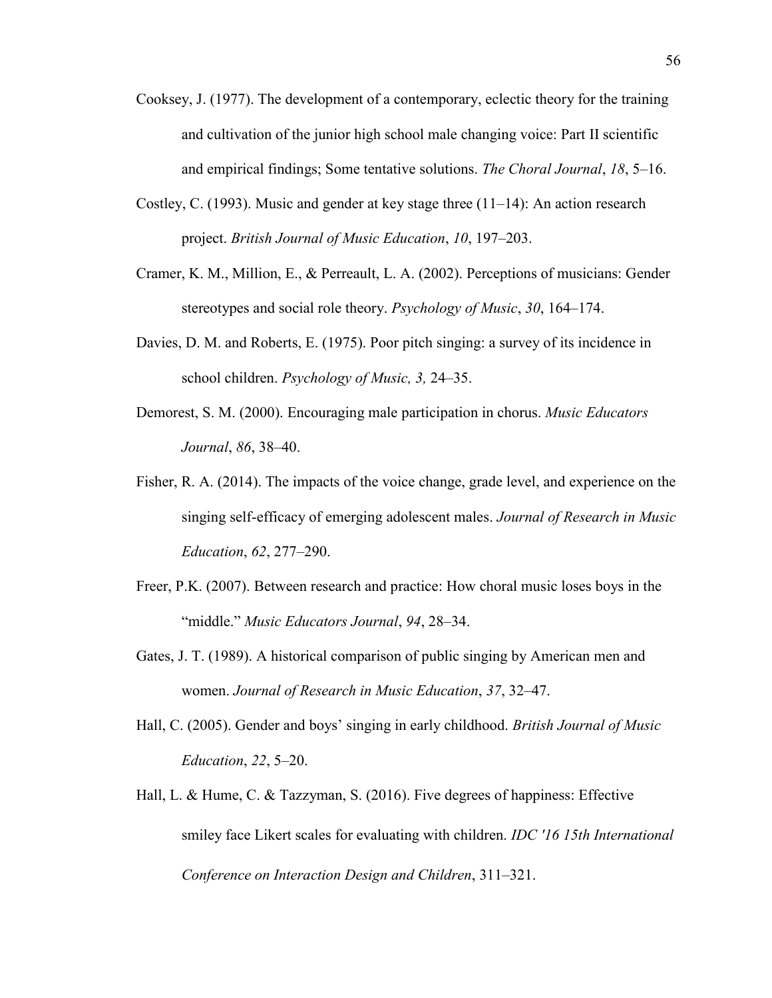- Cooksey, J. (1977). The development of a contemporary, eclectic theory for the training and cultivation of the junior high school male changing voice: Part II scientific and empirical findings; Some tentative solutions. *The Choral Journal*, *18*, 5–16.
- Costley, C. (1993). Music and gender at key stage three  $(11-14)$ : An action research project. *British Journal of Music Education*, *10*, 197–203.
- Cramer, K. M., Million, E., & Perreault, L. A. (2002). Perceptions of musicians: Gender stereotypes and social role theory. *Psychology of Music*, *30*, 164–174.
- Davies, D. M. and Roberts, E. (1975). Poor pitch singing: a survey of its incidence in school children. *Psychology of Music, 3,* 24–35.
- Demorest, S. M. (2000). Encouraging male participation in chorus. *Music Educators Journal*, *86*, 38–40.
- Fisher, R. A. (2014). The impacts of the voice change, grade level, and experience on the singing self-efficacy of emerging adolescent males. *Journal of Research in Music Education*, *62*, 277–290.
- Freer, P.K. (2007). Between research and practice: How choral music loses boys in the "middle." *Music Educators Journal*, *94*, 28–34.
- Gates, J. T. (1989). A historical comparison of public singing by American men and women. *Journal of Research in Music Education*, *37*, 32–47.
- Hall, C. (2005). Gender and boys' singing in early childhood. *British Journal of Music Education*, *22*, 5–20.
- Hall, L. & Hume, C. & Tazzyman, S. (2016). Five degrees of happiness: Effective smiley face Likert scales for evaluating with children. *IDC '16 15th International Conference on Interaction Design and Children*, 311–321.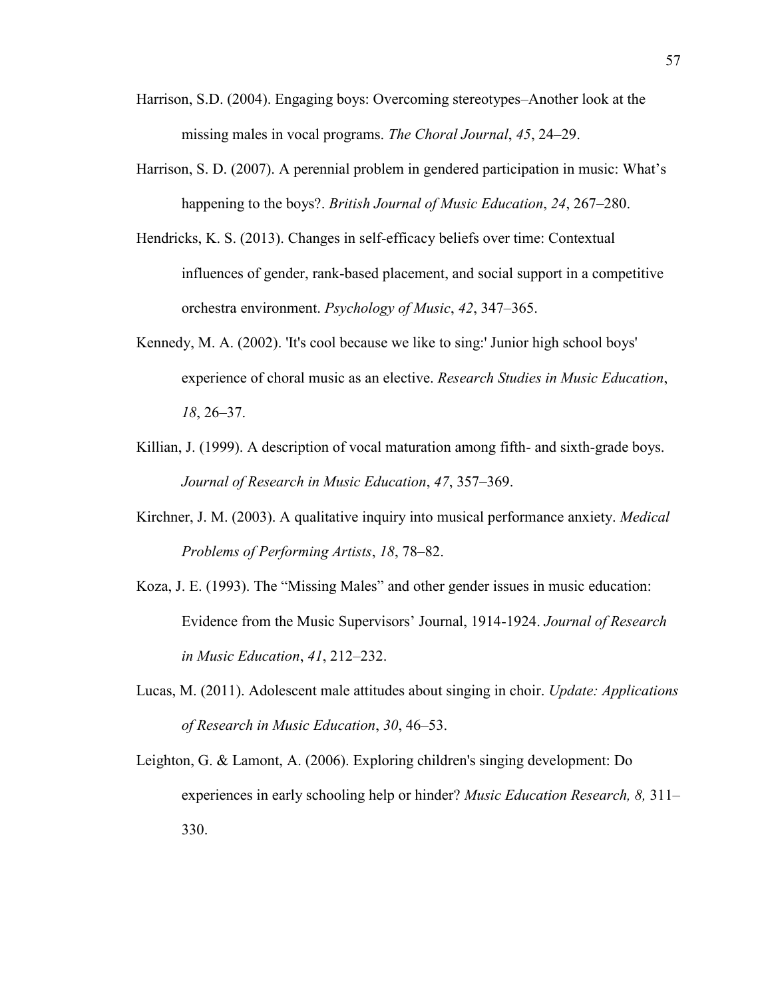- Harrison, S.D. (2004). Engaging boys: Overcoming stereotypes–Another look at the missing males in vocal programs. *The Choral Journal*, *45*, 24–29.
- Harrison, S. D. (2007). A perennial problem in gendered participation in music: What's happening to the boys?. *British Journal of Music Education*, *24*, 267–280.
- Hendricks, K. S. (2013). Changes in self-efficacy beliefs over time: Contextual influences of gender, rank-based placement, and social support in a competitive orchestra environment. *Psychology of Music*, *42*, 347–365.
- Kennedy, M. A. (2002). 'It's cool because we like to sing:' Junior high school boys' experience of choral music as an elective. *Research Studies in Music Education*, *18*, 26–37.
- Killian, J. (1999). A description of vocal maturation among fifth- and sixth-grade boys. *Journal of Research in Music Education*, *47*, 357–369.
- Kirchner, J. M. (2003). A qualitative inquiry into musical performance anxiety. *Medical Problems of Performing Artists*, *18*, 78–82.
- Koza, J. E. (1993). The "Missing Males" and other gender issues in music education: Evidence from the Music Supervisors' Journal, 1914-1924. *Journal of Research in Music Education*, *41*, 212–232.
- Lucas, M. (2011). Adolescent male attitudes about singing in choir. *Update: Applications of Research in Music Education*, *30*, 46–53.
- Leighton, G. & Lamont, A. (2006). Exploring children's singing development: Do experiences in early schooling help or hinder? *Music Education Research, 8,* 311– 330.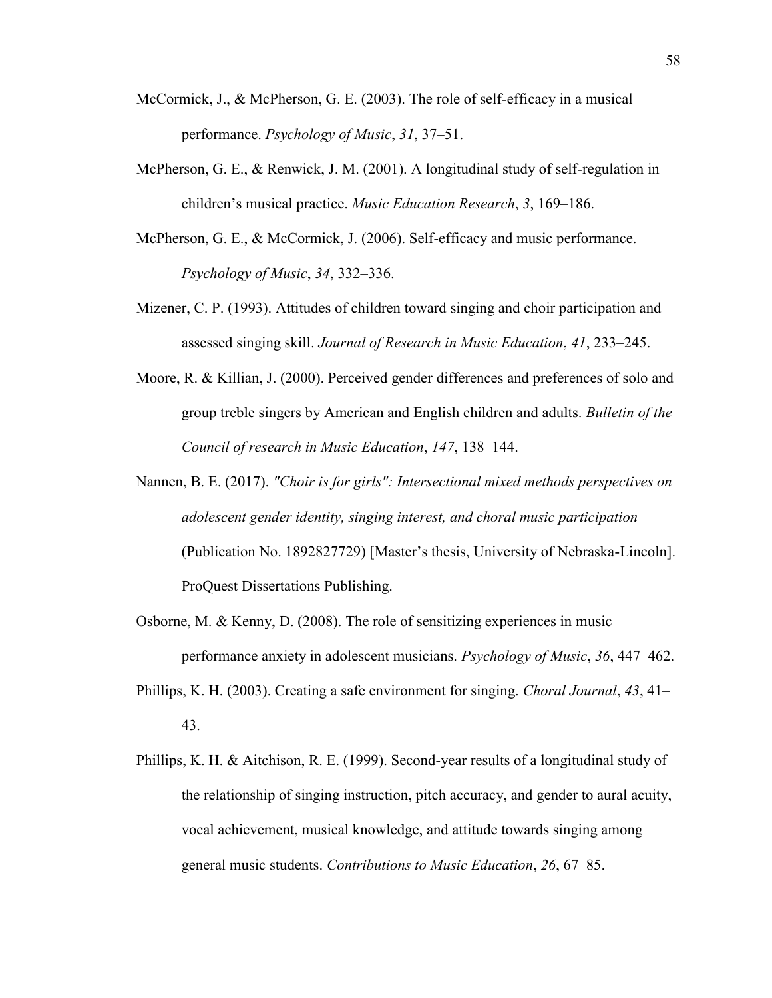- McCormick, J., & McPherson, G. E. (2003). The role of self-efficacy in a musical performance. *Psychology of Music*, *31*, 37–51.
- McPherson, G. E., & Renwick, J. M. (2001). A longitudinal study of self-regulation in children's musical practice. *Music Education Research*, *3*, 169–186.
- McPherson, G. E., & McCormick, J. (2006). Self-efficacy and music performance. *Psychology of Music*, *34*, 332–336.
- Mizener, C. P. (1993). Attitudes of children toward singing and choir participation and assessed singing skill. *Journal of Research in Music Education*, *41*, 233–245.
- Moore, R. & Killian, J. (2000). Perceived gender differences and preferences of solo and group treble singers by American and English children and adults. *Bulletin of the Council of research in Music Education*, *147*, 138–144.
- Nannen, B. E. (2017). *"Choir is for girls": Intersectional mixed methods perspectives on adolescent gender identity, singing interest, and choral music participation* (Publication No. 1892827729) [Master's thesis, University of Nebraska-Lincoln]. ProQuest Dissertations Publishing.
- Osborne, M. & Kenny, D. (2008). The role of sensitizing experiences in music performance anxiety in adolescent musicians. *Psychology of Music*, *36*, 447–462.
- Phillips, K. H. (2003). Creating a safe environment for singing. *Choral Journal*, *43*, 41– 43.
- Phillips, K. H. & Aitchison, R. E. (1999). Second-year results of a longitudinal study of the relationship of singing instruction, pitch accuracy, and gender to aural acuity, vocal achievement, musical knowledge, and attitude towards singing among general music students. *Contributions to Music Education*, *26*, 67–85.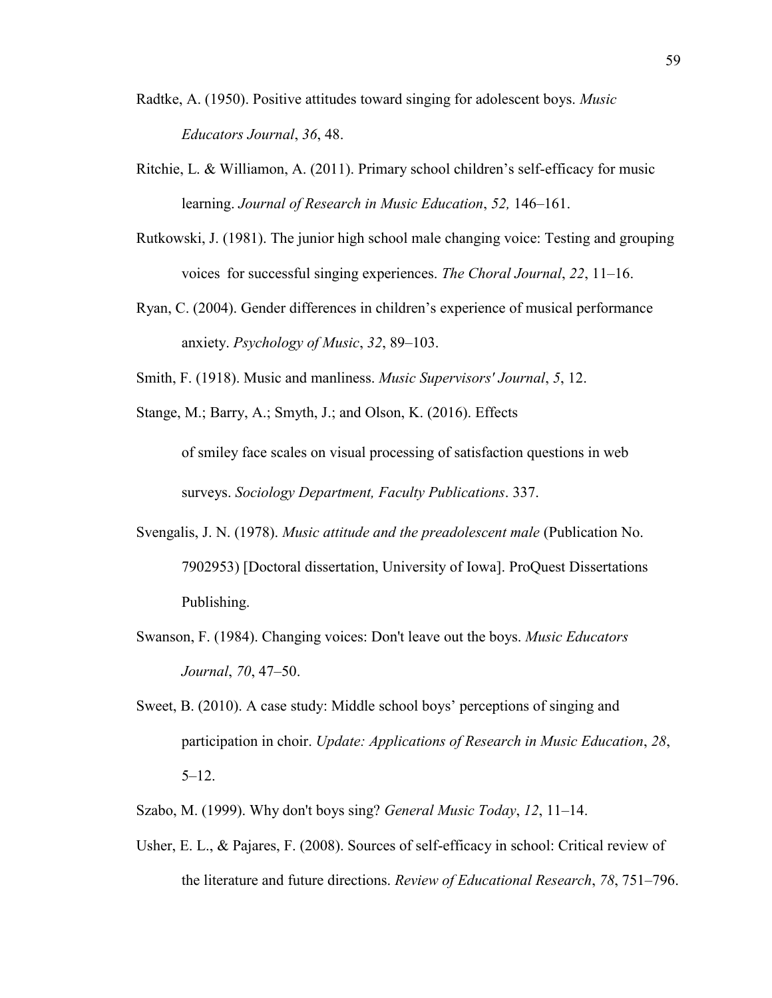- Radtke, A. (1950). Positive attitudes toward singing for adolescent boys. *Music Educators Journal*, *36*, 48.
- Ritchie, L. & Williamon, A. (2011). Primary school children's self-efficacy for music learning. *Journal of Research in Music Education*, *52,* 146–161.
- Rutkowski, J. (1981). The junior high school male changing voice: Testing and grouping voices for successful singing experiences. *The Choral Journal*, *22*, 11–16.
- Ryan, C. (2004). Gender differences in children's experience of musical performance anxiety. *Psychology of Music*, *32*, 89–103.
- Smith, F. (1918). Music and manliness. *Music Supervisors' Journal*, *5*, 12.

Stange, M.; Barry, A.; Smyth, J.; and Olson, K. (2016). Effects of smiley face scales on visual processing of satisfaction questions in web surveys. *Sociology Department, Faculty Publications*. 337.

- Svengalis, J. N. (1978). *Music attitude and the preadolescent male* (Publication No. 7902953) [Doctoral dissertation, University of Iowa]. ProQuest Dissertations Publishing.
- Swanson, F. (1984). Changing voices: Don't leave out the boys. *Music Educators Journal*, *70*, 47–50.
- Sweet, B. (2010). A case study: Middle school boys' perceptions of singing and participation in choir. *Update: Applications of Research in Music Education*, *28*,  $5 - 12$ .
- Szabo, M. (1999). Why don't boys sing? *General Music Today*, *12*, 11–14.
- Usher, E. L., & Pajares, F. (2008). Sources of self-efficacy in school: Critical review of the literature and future directions. *Review of Educational Research*, *78*, 751–796.